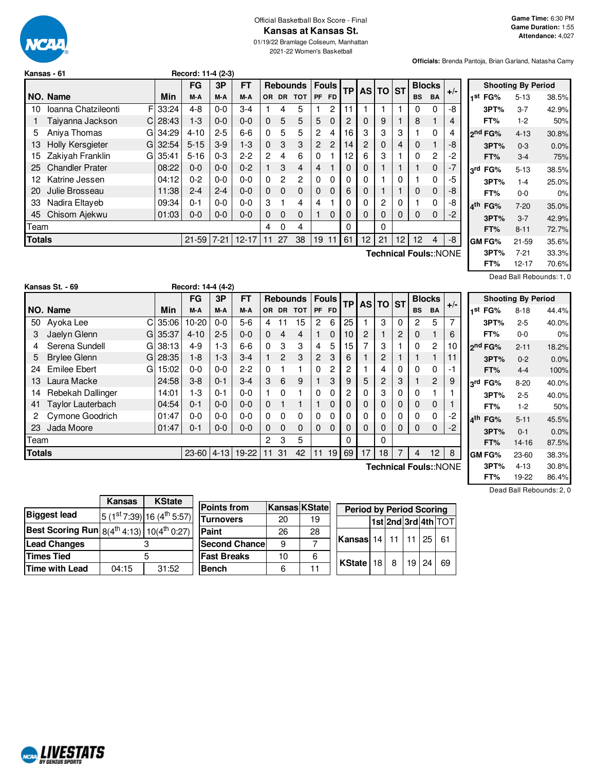

# Official Basketball Box Score - Final **Kansas at Kansas St.**

01/19/22 Bramlage Coliseum, Manhattan 2021-22 Women's Basketball

**Officials:** Brenda Pantoja, Brian Garland, Natasha Camy

|        | Kansas - 61                          |           | Record: 11-4 (2-3) |          |           |              |                |                 |              |                |           |              |    |     |                       |                |       |
|--------|--------------------------------------|-----------|--------------------|----------|-----------|--------------|----------------|-----------------|--------------|----------------|-----------|--------------|----|-----|-----------------------|----------------|-------|
|        |                                      |           | <b>FG</b>          | 3P       | FT        |              |                | <b>Rebounds</b> | <b>Fouls</b> |                | <b>TP</b> | <b>AS TO</b> |    | ∣sт | <b>Blocks</b>         |                |       |
|        | NO. Name                             | Min       | M-A                | M-A      | M-A       | OR.          | <b>DR</b>      | <b>TOT</b>      | <b>PF</b>    | <b>FD</b>      |           |              |    |     | <b>BS</b>             | <b>BA</b>      | $+/-$ |
| 10     | Ioanna Chatzileonti<br>FI            | 33:24     | $4 - 8$            | $0-0$    | $3-4$     |              | 4              | 5               |              | 2              | 11        |              |    |     | 0                     | 0              | -8    |
|        | Taiyanna Jackson<br>СI               | 28:43     | $1-3$              | $0 - 0$  | $0 - 0$   | $\Omega$     | 5              | 5               | 5            | $\Omega$       | 2         | 0            | 9  |     | 8                     |                | 4     |
| 5      | Aniva Thomas                         | $G$ 34:29 | $4 - 10$           | $2 - 5$  | $6-6$     | $\Omega$     | 5              | 5               | 2            | 4              | 16        | 3            | 3  | 3   |                       | 0              | 4     |
| 13     | Holly Kersgieter                     | G132:54   | $5 - 15$           | $3-9$    | $1-3$     | $\Omega$     | 3              | 3               | $\mathbf{2}$ | $\overline{c}$ | 14        | 2            | 0  | 4   | 0                     |                | -8    |
| 15     | Zakiyah Franklin                     | G135:41   | $5 - 16$           | $0 - 3$  | $2 - 2$   | $\mathbf{2}$ | 4              | 6               | $\Omega$     |                | 12        | 6            | 3  |     | 0                     | $\overline{2}$ | -2    |
| 25     | <b>Chandler Prater</b>               | 08:22     | $0 - 0$            | $0 - 0$  | $0 - 2$   |              | 3              | 4               | 4            |                | 0         | 0            |    |     |                       | 0              | $-7$  |
| 12     | Katrine Jessen                       | 04:12     | $0 - 2$            | $0 - 0$  | $0 - 0$   | $\Omega$     | $\overline{2}$ | 2               | 0            | 0              | 0         | 0            |    | 0   |                       | 0              | -5    |
| 20     | Julie Brosseau                       | 11:38     | $2 - 4$            | $2 - 4$  | $0 - 0$   | $\Omega$     | $\Omega$       | $\mathbf 0$     | 0            | $\Omega$       | 6         | 0            |    |     | 0                     | 0              | -8    |
| 33     | Nadira Eltayeb                       | 09:34     | $0 - 1$            | $0 - 0$  | $0 - 0$   | 3            |                | 4               | 4            |                | 0         | 0            | 2  | 0   |                       | 0              | -8    |
| 45     | Chisom Ajekwu                        | 01:03     | $0 - 0$            | $0-0$    | $0 - 0$   | $\Omega$     | $\Omega$       | 0               |              | $\Omega$       | 0         | 0            | 0  | 0   | 0                     | 0              | -2    |
|        | 0<br>$\Omega$<br>0<br>Team<br>4<br>4 |           |                    |          |           |              |                |                 |              |                |           |              |    |     |                       |                |       |
| Totals |                                      |           | $21 - 59$          | $7 - 21$ | $12 - 17$ | 11           | 27             | 38              | 19           | 11             | 61        | 12           | 21 | 12  | 12                    | 4              | -8    |
|        |                                      |           |                    |          |           |              |                |                 |              |                |           |              |    |     | Technical Fouls::NONE |                |       |

|                     | <b>Shooting By Period</b> |       |
|---------------------|---------------------------|-------|
| 1 <sup>st</sup> FG% | 5-13                      | 38.5% |
| 3PT%                | 3-7                       | 42.9% |
| FT%                 | $1-2$                     | 50%   |
| ond FG%             | $4 - 13$                  | 30.8% |
| 3PT%                | $0 - 3$                   | 0.0%  |
| FT%                 | $3-4$                     | 75%   |
| 3rd FG%             | $5 - 13$                  | 38.5% |
| 3PT%                | $1 - 4$                   | 25.0% |
| FT%                 | 0-0                       | 0%    |
| ⊿th<br>FG%          | $7-20$                    | 35.0% |
| 3PT%                | $3 - 7$                   | 42.9% |
| FT%                 | $8 - 11$                  | 72.7% |
| <b>GM FG%</b>       | $21 - 59$                 | 35.6% |
| 3PT%                | 7-21                      | 33.3% |
| FT%                 | $12 - 17$                 | 70.6% |

Dead Ball Rebounds: 1, 0

|               | Kansas St. - 69               |   |       | Record: 14-4 (4-2) |          |         |          |                |                 |           |              |           |          |                |           |           |                       |       |
|---------------|-------------------------------|---|-------|--------------------|----------|---------|----------|----------------|-----------------|-----------|--------------|-----------|----------|----------------|-----------|-----------|-----------------------|-------|
|               |                               |   |       | <b>FG</b>          | 3P       | FT      |          |                | <b>Rebounds</b> |           | <b>Fouls</b> |           |          | AS TO          | <b>ST</b> |           | <b>Blocks</b>         |       |
|               | NO. Name                      |   | Min   | M-A                | M-A      | M-A     |          | OR DR          | <b>TOT</b>      | <b>PF</b> | <b>FD</b>    | <b>TP</b> |          |                |           | <b>BS</b> | <b>BA</b>             | $+/-$ |
| 50            | Ayoka Lee                     | C | 35:06 | $10 - 20$          | $0-0$    | $5-6$   | 4        | 11             | 15              | 2         | 6            | 25        |          | 3              | 0         | 2         | 5                     | 7     |
| 3             | Jaelyn Glenn                  | G | 35:37 | $4 - 10$           | $2 - 5$  | $0 - 0$ | $\Omega$ | 4              | 4               | 1         | 0            | 10        | 2        |                | 2         | 0         |                       | 6     |
| 4             | Serena Sundell                | G | 38:13 | 4-9                | $1-3$    | 6-6     | 0        | 3              | 3               | 4         | 5            | 15        | 7        | 3              |           | 0         | 2                     | 10    |
| 5             | <b>Brylee Glenn</b>           | G | 28:35 | $1 - 8$            | $1-3$    | $3-4$   |          | $\overline{2}$ | 3               | 2         | 3            | 6         |          | $\overline{c}$ |           |           |                       | 11    |
| 24            | Emilee Ebert                  | G | 15:02 | $0 - 0$            | $0 - 0$  | $2-2$   | 0        |                |                 | $\Omega$  | 2            | 2         |          | 4              | 0         | 0         | 0                     | -1    |
| 13            | Laura Macke                   |   | 24:58 | $3 - 8$            | $0 - 1$  | $3-4$   | 3        | 6              | 9               |           | 3            | 9         | 5        | 2              | 3         |           | 2                     | 9     |
| 14            | Rebekah Dallinger             |   | 14:01 | $1-3$              | $0 - 1$  | $0 - 0$ |          | 0              |                 | 0         | $\Omega$     | 2         | 0        | 3              | 0         | 0         |                       |       |
| 41            | Taylor Lauterbach             |   | 04:54 | $0 - 1$            | $0 - 0$  | $0 - 0$ | 0        | 1              | 1               |           | 0            | 0         | 0        | 0              | 0         | 0         | 0                     |       |
| 2             | Cymone Goodrich               |   | 01:47 | $0-0$              | $0 - 0$  | $0 - 0$ | $\Omega$ | 0              | 0               | $\Omega$  | $\Omega$     | 0         | 0        | 0              | 0         | $\Omega$  | 0                     | $-2$  |
| 23            | Jada Moore                    |   | 01:47 | $0 - 1$            | $0 - 0$  | $0 - 0$ | 0        | $\mathbf 0$    | $\mathbf 0$     | 0         | $\Omega$     | $\Omega$  | $\Omega$ | 0              | 0         | 0         | 0                     | $-2$  |
|               | Team<br>5<br>3<br>0<br>2<br>0 |   |       |                    |          |         |          |                |                 |           |              |           |          |                |           |           |                       |       |
| <b>Totals</b> |                               |   |       | $23 - 60$          | $ 4-13 $ | 19-22   | 11       | 31             | 42              | 11        | 19           | 69        | 17       | 18             | 7         | 4         | 12                    | 8     |
|               |                               |   |       |                    |          |         |          |                |                 |           |              |           |          |                |           |           | Technical Fouls::NONE |       |

|     |                     | <b>Shooting By Period</b> |       |
|-----|---------------------|---------------------------|-------|
| 1st | FG%                 | 8-18                      | 44.4% |
|     | 3PT%                | $2 - 5$                   | 40.0% |
|     | FT%                 | 0-0                       | 0%    |
|     | o <sup>nd</sup> FG% | $2 - 11$                  | 18.2% |
|     | 3PT%                | $0 - 2$                   | 0.0%  |
|     | FT%                 | 4-4                       | 100%  |
| ord | FG%                 | $8-20$                    | 40.0% |
|     | 3PT%                | $2 - 5$                   | 40.0% |
|     | FT%                 | $1-2$                     | 50%   |
| ⊿th | FG%                 | $5 - 11$                  | 45.5% |
|     | 3PT%                | $0 - 1$                   | 0.0%  |
|     | FT%                 | 14-16                     | 87.5% |
|     | <b>GM FG%</b>       | 23-60                     | 38.3% |
|     | 3PT%                | $4 - 13$                  | 30.8% |
|     | FT%                 | 19-22                     | 86.4% |

|                                                                   | <b>Kansas</b> | <b>KState</b>              |  |  |  |  |  |
|-------------------------------------------------------------------|---------------|----------------------------|--|--|--|--|--|
| <b>Biggest lead</b>                                               |               | 5 (1st 7:39) 16 (4th 5:57) |  |  |  |  |  |
| <b>Best Scoring Run</b> $8(4^{th} 4:13)$ 10(4 <sup>th</sup> 0:27) |               |                            |  |  |  |  |  |
| <b>Lead Changes</b>                                               |               |                            |  |  |  |  |  |
| <b>Times Tied</b>                                                 | 5             |                            |  |  |  |  |  |
| Time with Lead                                                    | 04:15         | 31:52                      |  |  |  |  |  |

| <b>Points from</b>    | <b>Kansas KState</b> |    | <b>Period by Period Scoring</b> |  |     |         |    |                     |  |  |
|-----------------------|----------------------|----|---------------------------------|--|-----|---------|----|---------------------|--|--|
| Turnovers             | 20                   | 19 |                                 |  |     |         |    | 1st 2nd 3rd 4th TOT |  |  |
| Paint                 | 26                   | 28 |                                 |  |     |         |    |                     |  |  |
| <b>Second Chancel</b> | 9                    |    | <b>Kansas 14 11 11</b>          |  |     |         | 25 | 61                  |  |  |
| <b>Fast Breaks</b>    | 10                   | 6  | KState   18                     |  | - 8 |         |    | 69                  |  |  |
| Bench                 |                      |    |                                 |  |     | $19$ 24 |    |                     |  |  |

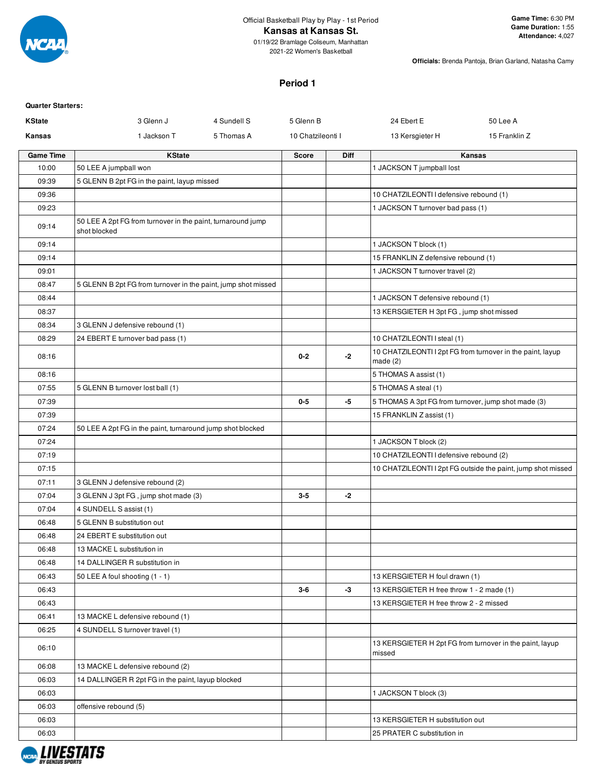

#### **Kansas at Kansas St.**

01/19/22 Bramlage Coliseum, Manhattan 2021-22 Women's Basketball

**Officials:** Brenda Pantoja, Brian Garland, Natasha Camy

#### **Period 1**

| <b>Quarter Starters:</b> |                                                                             |             |                   |      |                                                     |                                                              |
|--------------------------|-----------------------------------------------------------------------------|-------------|-------------------|------|-----------------------------------------------------|--------------------------------------------------------------|
| <b>KState</b>            | 3 Glenn J                                                                   | 4 Sundell S | 5 Glenn B         |      | 24 Ebert E                                          | 50 Lee A                                                     |
| Kansas                   | 1 Jackson T                                                                 | 5 Thomas A  | 10 Chatzileonti I |      | 13 Kersgieter H                                     | 15 Franklin Z                                                |
| <b>Game Time</b>         | <b>KState</b>                                                               |             | <b>Score</b>      | Diff |                                                     | Kansas                                                       |
| 10:00                    | 50 LEE A jumpball won                                                       |             |                   |      | 1 JACKSON T jumpball lost                           |                                                              |
| 09:39                    | 5 GLENN B 2pt FG in the paint, layup missed                                 |             |                   |      |                                                     |                                                              |
| 09:36                    |                                                                             |             |                   |      | 10 CHATZILEONTI I defensive rebound (1)             |                                                              |
| 09:23                    |                                                                             |             |                   |      | 1 JACKSON T turnover bad pass (1)                   |                                                              |
| 09:14                    | 50 LEE A 2pt FG from turnover in the paint, turnaround jump<br>shot blocked |             |                   |      |                                                     |                                                              |
| 09:14                    |                                                                             |             |                   |      | 1 JACKSON T block (1)                               |                                                              |
| 09:14                    |                                                                             |             |                   |      | 15 FRANKLIN Z defensive rebound (1)                 |                                                              |
| 09:01                    |                                                                             |             |                   |      | 1 JACKSON T turnover travel (2)                     |                                                              |
| 08:47                    | 5 GLENN B 2pt FG from turnover in the paint, jump shot missed               |             |                   |      |                                                     |                                                              |
| 08:44                    |                                                                             |             |                   |      | 1 JACKSON T defensive rebound (1)                   |                                                              |
| 08:37                    |                                                                             |             |                   |      | 13 KERSGIETER H 3pt FG, jump shot missed            |                                                              |
| 08:34                    | 3 GLENN J defensive rebound (1)                                             |             |                   |      |                                                     |                                                              |
| 08:29                    | 24 EBERT E turnover bad pass (1)                                            |             |                   |      | 10 CHATZILEONTI I steal (1)                         |                                                              |
| 08:16                    |                                                                             |             | $0 - 2$           | -2   | made $(2)$                                          | 10 CHATZILEONTI I 2pt FG from turnover in the paint, layup   |
| 08:16                    |                                                                             |             |                   |      | 5 THOMAS A assist (1)                               |                                                              |
| 07:55                    | 5 GLENN B turnover lost ball (1)                                            |             |                   |      | 5 THOMAS A steal (1)                                |                                                              |
| 07:39                    |                                                                             |             | $0-5$             | -5   | 5 THOMAS A 3pt FG from turnover, jump shot made (3) |                                                              |
| 07:39                    |                                                                             |             |                   |      | 15 FRANKLIN Z assist (1)                            |                                                              |
| 07:24                    | 50 LEE A 2pt FG in the paint, turnaround jump shot blocked                  |             |                   |      |                                                     |                                                              |
| 07:24                    |                                                                             |             |                   |      | 1 JACKSON T block (2)                               |                                                              |
| 07:19                    |                                                                             |             |                   |      | 10 CHATZILEONTI I defensive rebound (2)             |                                                              |
| 07:15                    |                                                                             |             |                   |      |                                                     | 10 CHATZILEONTI I 2pt FG outside the paint, jump shot missed |
| 07:11                    | 3 GLENN J defensive rebound (2)                                             |             |                   |      |                                                     |                                                              |
| 07:04                    | 3 GLENN J 3pt FG, jump shot made (3)                                        |             | $3-5$             | -2   |                                                     |                                                              |
| 07:04                    | 4 SUNDELL S assist (1)                                                      |             |                   |      |                                                     |                                                              |
| 06:48                    | 5 GLENN B substitution out                                                  |             |                   |      |                                                     |                                                              |
| 06:48                    | 24 EBERT E substitution out                                                 |             |                   |      |                                                     |                                                              |
| 06:48                    | 13 MACKE L substitution in                                                  |             |                   |      |                                                     |                                                              |
| 06:48                    | 14 DALLINGER R substitution in                                              |             |                   |      |                                                     |                                                              |
| 06:43                    | 50 LEE A foul shooting (1 - 1)                                              |             |                   |      | 13 KERSGIETER H foul drawn (1)                      |                                                              |
| 06:43                    |                                                                             |             | 3-6               | $-3$ | 13 KERSGIETER H free throw 1 - 2 made (1)           |                                                              |
| 06:43                    |                                                                             |             |                   |      | 13 KERSGIETER H free throw 2 - 2 missed             |                                                              |
| 06:41                    | 13 MACKE L defensive rebound (1)                                            |             |                   |      |                                                     |                                                              |
| 06:25                    | 4 SUNDELL S turnover travel (1)                                             |             |                   |      |                                                     |                                                              |
| 06:10                    |                                                                             |             |                   |      | missed                                              | 13 KERSGIETER H 2pt FG from turnover in the paint, layup     |
| 06:08                    | 13 MACKE L defensive rebound (2)                                            |             |                   |      |                                                     |                                                              |
| 06:03                    | 14 DALLINGER R 2pt FG in the paint, layup blocked                           |             |                   |      |                                                     |                                                              |
| 06:03                    |                                                                             |             |                   |      | 1 JACKSON T block (3)                               |                                                              |
| 06:03                    | offensive rebound (5)                                                       |             |                   |      |                                                     |                                                              |
| 06:03                    |                                                                             |             |                   |      | 13 KERSGIETER H substitution out                    |                                                              |
| 06:03                    |                                                                             |             |                   |      | 25 PRATER C substitution in                         |                                                              |

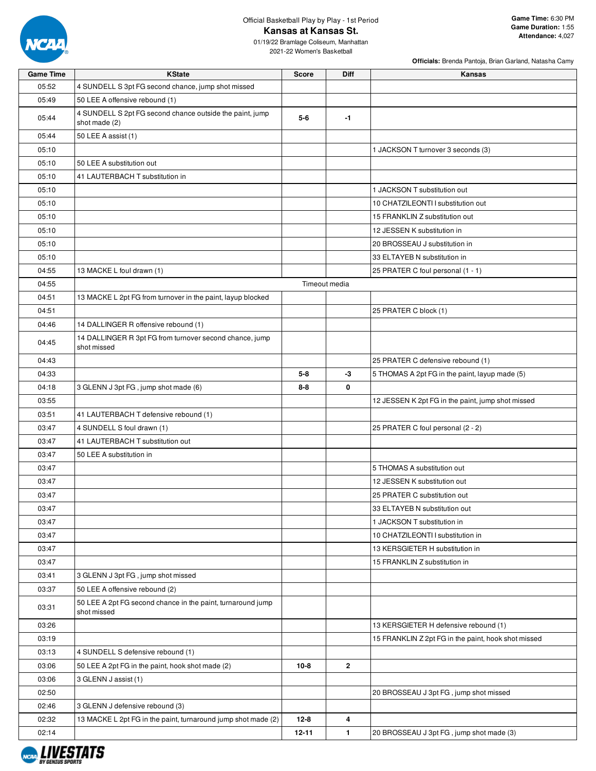

# Official Basketball Play by Play - 1st Period **Kansas at Kansas St.**

2021-22 Women's Basketball

| <b>Game Time</b> | <b>KState</b>                                                              | <b>Score</b> | Diff          | <b>Kansas</b>                                       |  |  |  |  |
|------------------|----------------------------------------------------------------------------|--------------|---------------|-----------------------------------------------------|--|--|--|--|
| 05:52            | 4 SUNDELL S 3pt FG second chance, jump shot missed                         |              |               |                                                     |  |  |  |  |
| 05:49            | 50 LEE A offensive rebound (1)                                             |              |               |                                                     |  |  |  |  |
| 05:44            | 4 SUNDELL S 2pt FG second chance outside the paint, jump<br>shot made (2)  | $5-6$        | $-1$          |                                                     |  |  |  |  |
| 05:44            | 50 LEE A assist (1)                                                        |              |               |                                                     |  |  |  |  |
| 05:10            |                                                                            |              |               | 1 JACKSON T turnover 3 seconds (3)                  |  |  |  |  |
| 05:10            | 50 LEE A substitution out                                                  |              |               |                                                     |  |  |  |  |
| 05:10            | 41 LAUTERBACH T substitution in                                            |              |               |                                                     |  |  |  |  |
| 05:10            |                                                                            |              |               | 1 JACKSON T substitution out                        |  |  |  |  |
| 05:10            |                                                                            |              |               | 10 CHATZILEONTI I substitution out                  |  |  |  |  |
| 05:10            |                                                                            |              |               | 15 FRANKLIN Z substitution out                      |  |  |  |  |
| 05:10            |                                                                            |              |               | 12 JESSEN K substitution in                         |  |  |  |  |
| 05:10            |                                                                            |              |               | 20 BROSSEAU J substitution in                       |  |  |  |  |
| 05:10            |                                                                            |              |               | 33 ELTAYEB N substitution in                        |  |  |  |  |
| 04:55            | 13 MACKE L foul drawn (1)                                                  |              |               | 25 PRATER C foul personal (1 - 1)                   |  |  |  |  |
| 04:55            |                                                                            |              | Timeout media |                                                     |  |  |  |  |
| 04:51            | 13 MACKE L 2pt FG from turnover in the paint, layup blocked                |              |               |                                                     |  |  |  |  |
| 04:51            |                                                                            |              |               | 25 PRATER C block (1)                               |  |  |  |  |
| 04:46            | 14 DALLINGER R offensive rebound (1)                                       |              |               |                                                     |  |  |  |  |
| 04:45            | 14 DALLINGER R 3pt FG from turnover second chance, jump<br>shot missed     |              |               |                                                     |  |  |  |  |
| 04:43            |                                                                            |              |               | 25 PRATER C defensive rebound (1)                   |  |  |  |  |
| 04:33            |                                                                            | $5 - 8$      | $-3$          | 5 THOMAS A 2pt FG in the paint, layup made (5)      |  |  |  |  |
| 04:18            | 3 GLENN J 3pt FG, jump shot made (6)                                       | $8 - 8$      | 0             |                                                     |  |  |  |  |
| 03:55            |                                                                            |              |               | 12 JESSEN K 2pt FG in the paint, jump shot missed   |  |  |  |  |
| 03:51            | 41 LAUTERBACH T defensive rebound (1)                                      |              |               |                                                     |  |  |  |  |
| 03:47            | 4 SUNDELL S foul drawn (1)                                                 |              |               | 25 PRATER C foul personal (2 - 2)                   |  |  |  |  |
| 03:47            | 41 LAUTERBACH T substitution out                                           |              |               |                                                     |  |  |  |  |
| 03:47            | 50 LEE A substitution in                                                   |              |               |                                                     |  |  |  |  |
| 03:47            |                                                                            |              |               | 5 THOMAS A substitution out                         |  |  |  |  |
| 03:47            |                                                                            |              |               | 12 JESSEN K substitution out                        |  |  |  |  |
| 03:47            |                                                                            |              |               | 25 PRATER C substitution out                        |  |  |  |  |
| 03:47            |                                                                            |              |               | 33 ELTAYEB N substitution out                       |  |  |  |  |
| 03:47            |                                                                            |              |               | 1 JACKSON T substitution in                         |  |  |  |  |
| 03:47            |                                                                            |              |               | 10 CHATZILEONTI I substitution in                   |  |  |  |  |
| 03:47            |                                                                            |              |               | 13 KERSGIETER H substitution in                     |  |  |  |  |
| 03:47            |                                                                            |              |               | 15 FRANKLIN Z substitution in                       |  |  |  |  |
| 03:41            | 3 GLENN J 3pt FG, jump shot missed                                         |              |               |                                                     |  |  |  |  |
| 03:37            | 50 LEE A offensive rebound (2)                                             |              |               |                                                     |  |  |  |  |
| 03:31            | 50 LEE A 2pt FG second chance in the paint, turnaround jump<br>shot missed |              |               |                                                     |  |  |  |  |
| 03:26            |                                                                            |              |               | 13 KERSGIETER H defensive rebound (1)               |  |  |  |  |
| 03:19            |                                                                            |              |               | 15 FRANKLIN Z 2pt FG in the paint, hook shot missed |  |  |  |  |
| 03:13            | 4 SUNDELL S defensive rebound (1)                                          |              |               |                                                     |  |  |  |  |
| 03:06            | 50 LEE A 2pt FG in the paint, hook shot made (2)                           | $10-8$       | $\mathbf{2}$  |                                                     |  |  |  |  |
| 03:06            | 3 GLENN J assist (1)                                                       |              |               |                                                     |  |  |  |  |
| 02:50            |                                                                            |              |               | 20 BROSSEAU J 3pt FG, jump shot missed              |  |  |  |  |
| 02:46            | 3 GLENN J defensive rebound (3)                                            |              |               |                                                     |  |  |  |  |
| 02:32            | 13 MACKE L 2pt FG in the paint, turnaround jump shot made (2)              | $12 - 8$     | 4             |                                                     |  |  |  |  |
| 02:14            |                                                                            | $12 - 11$    | 1.            | 20 BROSSEAU J 3pt FG, jump shot made (3)            |  |  |  |  |

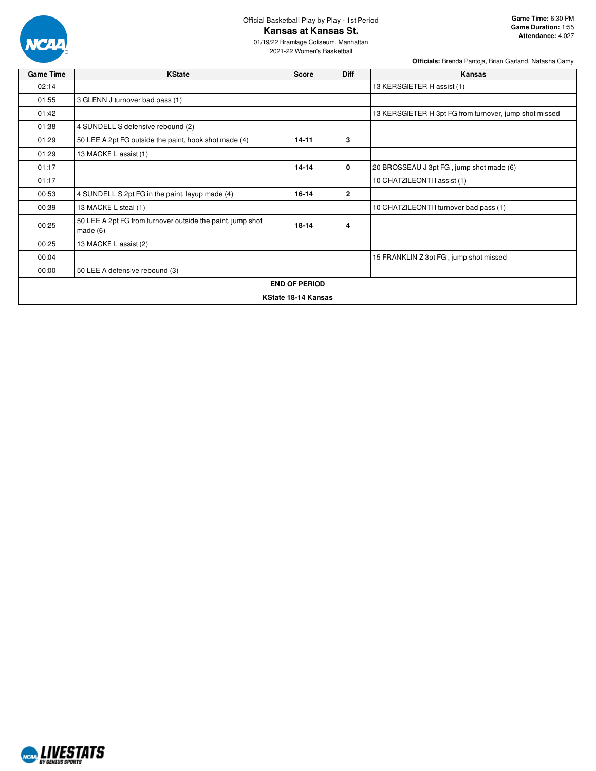

## Official Basketball Play by Play - 1st Period **Kansas at Kansas St.**

2021-22 Women's Basketball

**Officials:** Brenda Pantoja, Brian Garland, Natasha Camy

**Game Time:** 6:30 PM

**Attendance:** 4,027

| <b>Game Time</b> | <b>KState</b>                                                            | <b>Score</b>         | <b>Diff</b>    | Kansas                                                 |
|------------------|--------------------------------------------------------------------------|----------------------|----------------|--------------------------------------------------------|
| 02:14            |                                                                          |                      |                | 13 KERSGIETER H assist (1)                             |
| 01:55            | 3 GLENN J turnover bad pass (1)                                          |                      |                |                                                        |
| 01:42            |                                                                          |                      |                | 13 KERSGIETER H 3pt FG from turnover, jump shot missed |
| 01:38            | 4 SUNDELL S defensive rebound (2)                                        |                      |                |                                                        |
| 01:29            | 50 LEE A 2pt FG outside the paint, hook shot made (4)                    | $14 - 11$            | 3              |                                                        |
| 01:29            | 13 MACKE L assist (1)                                                    |                      |                |                                                        |
| 01:17            |                                                                          | $14 - 14$            | 0              | 20 BROSSEAU J 3pt FG, jump shot made (6)               |
| 01:17            |                                                                          |                      |                | 10 CHATZILEONTI I assist (1)                           |
| 00:53            | 4 SUNDELL S 2pt FG in the paint, layup made (4)                          | 16-14                | $\overline{2}$ |                                                        |
| 00:39            | 13 MACKE L steal (1)                                                     |                      |                | 10 CHATZILEONTI I turnover bad pass (1)                |
| 00:25            | 50 LEE A 2pt FG from turnover outside the paint, jump shot<br>made $(6)$ | $18 - 14$            | 4              |                                                        |
| 00:25            | 13 MACKE L assist (2)                                                    |                      |                |                                                        |
| 00:04            |                                                                          |                      |                | 15 FRANKLIN Z 3pt FG, jump shot missed                 |
| 00:00            | 50 LEE A defensive rebound (3)                                           |                      |                |                                                        |
|                  |                                                                          | <b>END OF PERIOD</b> |                |                                                        |
|                  |                                                                          | KState 18-14 Kansas  |                |                                                        |

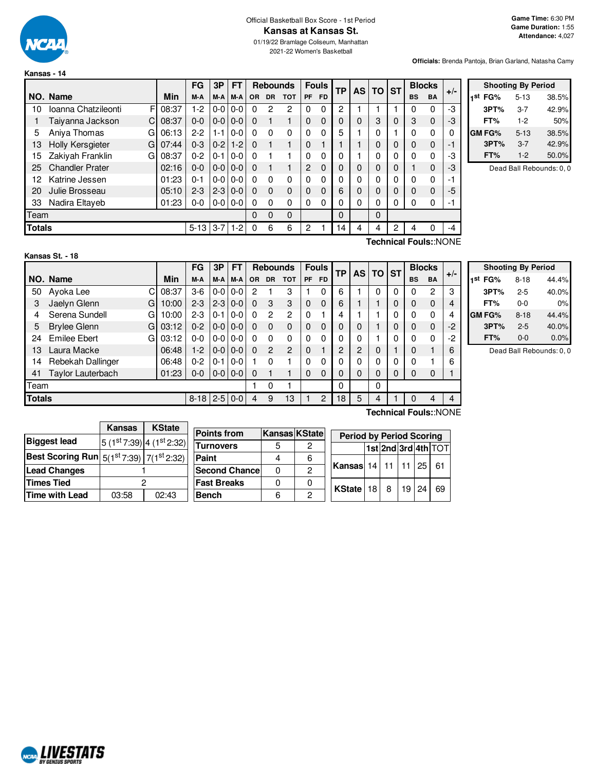

**Kansas - 14**

#### Official Basketball Box Score - 1st Period **Kansas at Kansas St.**

01/19/22 Bramlage Coliseum, Manhattan 2021-22 Women's Basketball

**Officials:** Brenda Pantoja, Brian Garland, Natasha Camy

|               |                              |       | FG       | 3P      | <b>FT</b> |          | <b>Rebounds</b> |            |                | <b>Fouls</b> | <b>TP</b><br><b>AS</b> |   | <b>TO</b>    | <b>ST</b> |           | <b>Blocks</b> | $+/-$ |
|---------------|------------------------------|-------|----------|---------|-----------|----------|-----------------|------------|----------------|--------------|------------------------|---|--------------|-----------|-----------|---------------|-------|
|               | NO. Name                     | Min   | M-A      | M-A     | M-A       | OR.      | <b>DR</b>       | <b>TOT</b> | <b>PF</b>      | <b>FD</b>    |                        |   |              |           | <b>BS</b> | <b>BA</b>     |       |
| 10            | Ioanna Chatzileonti<br>F     | 08:37 | $1-2$    | $0 - 0$ | $0-0$     | 0        | 2               | 2          | $\Omega$       | 0            | 2                      |   |              |           | 0         | 0             | -3    |
|               | Taiyanna Jackson<br>C        | 08:37 | $0 - 0$  | $0-0$   | $0-0$     | 0        |                 |            | $\mathbf{0}$   | $\Omega$     | 0                      | 0 | 3            | $\Omega$  | 3         | $\mathbf{0}$  | -3    |
| 5             | Aniya Thomas<br>G            | 06:13 | $2 - 2$  | $1 - 1$ | $0-0$     | 0        | $\Omega$        | 0          | $\Omega$       | 0            | 5                      |   | $\mathbf{0}$ |           | 0         | 0             |       |
| 13            | <b>Holly Kersgieter</b><br>G | 07:44 | $0 - 3$  | $0 - 2$ | $1-2$     | $\Omega$ |                 |            | $\mathbf{0}$   |              |                        |   | $\Omega$     | 0         | $\Omega$  | $\mathbf{0}$  | - 1   |
| 15            | Zakiyah Franklin<br>G        | 08:37 | $0 - 2$  | $0 - 1$ | $0 - 0$   | 0        |                 |            | $\Omega$       | 0            | 0                      |   | 0            | 0         | 0         | 0             | -3    |
| 25            | <b>Chandler Prater</b>       | 02:16 | $0 - 0$  | $0-0$   | $0 - 0$   | $\Omega$ |                 |            | $\overline{2}$ | $\Omega$     | 0                      | 0 | 0            | 0         |           | $\mathbf{0}$  | -3    |
| 12            | Katrine Jessen               | 01:23 | 0-1      | $0 - 0$ | $0-0$     | 0        | $\Omega$        | 0          | $\Omega$       | 0            | 0                      | 0 | $\mathbf{0}$ | 0         | 0         | 0             | -1    |
| 20            | Julie Brosseau               | 05:10 | $2 - 3$  | $2 - 3$ | $0-0$     | $\Omega$ | $\Omega$        | 0          | $\Omega$       | $\Omega$     | 6                      | 0 | 0            | 0         | $\Omega$  | $\mathbf{0}$  | $-5$  |
| 33            | Nadira Eltaveb               | 01:23 | $0-0$    | $0-0$   | $0-0$     | $\Omega$ | $\Omega$        | 0          | $\Omega$       | 0            | 0                      | 0 | 0            | 0         | 0         | 0             | - 1   |
| Team          |                              |       |          |         |           | 0        | $\Omega$        | 0          |                |              | 0                      |   | $\Omega$     |           |           |               |       |
| <b>Totals</b> |                              |       | $5 - 13$ | $3 - 7$ | $1-2$     | 0        | 6               | 6          | 2              |              | $\overline{4}$         | 4 | 4            | 2         | 4         | 0             | $-4$  |

| <b>Shooting By Period</b> |          |       |  |  |  |  |  |  |  |  |  |  |
|---------------------------|----------|-------|--|--|--|--|--|--|--|--|--|--|
| 1 <sup>st</sup> FG%       | $5 - 13$ | 38.5% |  |  |  |  |  |  |  |  |  |  |
| 3PT%                      | 3-7      | 42.9% |  |  |  |  |  |  |  |  |  |  |
| FT%                       | $1-2$    | 50%   |  |  |  |  |  |  |  |  |  |  |
| <b>GM FG%</b>             | $5 - 13$ | 38.5% |  |  |  |  |  |  |  |  |  |  |
| 3PT%                      | $3 - 7$  | 42.9% |  |  |  |  |  |  |  |  |  |  |
| FT%                       | $1-2$    | 50.0% |  |  |  |  |  |  |  |  |  |  |

Dead Ball Rebounds: 0, 0

**Technical Fouls:**:NONE

|               |                          |       | FG      | 3P           | <b>FT</b>     |          | <b>Rebounds</b> |                |             | <b>Fouls</b> | <b>TP</b> | AS I | TO. | <b>ST</b> | <b>Blocks</b> |                       | $+/-$ |
|---------------|--------------------------|-------|---------|--------------|---------------|----------|-----------------|----------------|-------------|--------------|-----------|------|-----|-----------|---------------|-----------------------|-------|
|               | NO. Name                 | Min   | M-A     | M-A          | M-A           | OR.      | <b>DR</b>       | <b>TOT</b>     | <b>PF</b>   | <b>FD</b>    |           |      |     |           | <b>BS</b>     | <b>BA</b>             |       |
| 50            | C.<br>Ayoka Lee          | 08:37 | $3-6$   | $0-0$        | $0-0$         | 2        |                 | 3              |             | 0            | 6         |      | 0   | 0         | 0             | 2                     | 3     |
| 3             | Jaelyn Glenn<br>G        | 10:00 | $2 - 3$ | $2 - 3$      | $0-0$         | 0        | 3               | 3              | $\mathbf 0$ | $\Omega$     | 6         |      |     | 0         | 0             | $\mathbf 0$           | 4     |
| 4             | Serena Sundell<br>G      | 10:00 | $2 - 3$ | $0 - 1$      | $0-0$         | 0        | $\overline{2}$  | 2              | 0           |              | 4         |      |     | 0         | 0             | 0                     | 4     |
| 5             | <b>Brylee Glenn</b><br>G | 03:12 | $0 - 2$ | $0 - 0$      | $0 - 0$       | $\Omega$ | $\Omega$        | 0              | $\mathbf 0$ | 0            | 0         | 0    |     | 0         | $\mathbf{0}$  | $\mathbf{0}$          | $-2$  |
| 24            | <b>Emilee Ebert</b><br>G | 03:12 | $0-0$   | $0-0$        | $0-0$         | 0        | 0               | 0              | $\Omega$    | 0            | 0         | 0    |     | 0         | 0             | $\Omega$              | $-2$  |
| 13            | Laura Macke              | 06:48 | $1-2$   | $0 - 0$      | $0 - 0$       | 0        | 2               | $\mathfrak{p}$ | $\mathbf 0$ |              | 2         | 2    | 0   |           | 0             |                       | 6     |
| 14            | Rebekah Dallinger        | 06:48 | $0 - 2$ | $0 - 1$      | $0 - 0$       |          | $\Omega$        |                | $\Omega$    | 0            | 0         | 0    | 0   | 0         | 0             |                       | 6     |
| 41            | Taylor Lauterbach        | 01:23 | $0-0$   |              | $0 - 0 0 - 0$ | 0        |                 |                | $\Omega$    | $\Omega$     | 0         | 0    | 0   | 0         | 0             | $\mathbf 0$           |       |
| Team          |                          |       |         |              |               |          | 0               |                |             |              | 0         |      | 0   |           |               |                       |       |
| <b>Totals</b> |                          |       |         | $8-18$   2-5 | $0-0$         | 4        | 9               | 13             |             | 2            | 18        | 5    | 4   |           | 0             | 4                     | 4     |
|               |                          |       |         |              |               |          |                 |                |             |              |           |      |     |           |               | Technical Fouls::NONE |       |

|                     | <b>Shooting By Period</b> |       |
|---------------------|---------------------------|-------|
| 1 <sup>st</sup> FG% | $8 - 18$                  | 44.4% |
| 3PT%                | $2 - 5$                   | 40.0% |
| FT%                 | $0 - 0$                   | 0%    |
| <b>GM FG%</b>       | $8 - 18$                  | 44.4% |
| 3PT%                | $2 - 5$                   | 40.0% |
| FT%                 | $0 - 0$                   | 0.0%  |

Dead Ball Rebounds: 0, 0

|                                                               | <b>Kansas</b> | <b>KState</b>                                                      |                       |                      |              |                                      |   |                 |    |                     |
|---------------------------------------------------------------|---------------|--------------------------------------------------------------------|-----------------------|----------------------|--------------|--------------------------------------|---|-----------------|----|---------------------|
|                                                               |               |                                                                    | <b>Points from</b>    | <b>Kansas KState</b> |              | <b>Period by Period Scoring</b>      |   |                 |    |                     |
| <b>Biggest lead</b>                                           |               | $\left 5\right\rangle(1^{st}7:39)\left 4\right\rangle(1^{st}2:32)$ | <b>Turnovers</b>      | 5                    | 2            |                                      |   |                 |    | 1st 2nd 3rd 4th TOT |
| Best Scoring Run $\mid$ 5(1st 7:39) $\mid$ 7(1st 2:32) $\mid$ |               |                                                                    | Paint                 |                      | 6            |                                      |   |                 |    |                     |
| <b>Lead Changes</b>                                           |               |                                                                    | <b>Second Chancel</b> | 0                    |              | <b>Kansas</b> 14   11   11   25   61 |   |                 |    |                     |
| <b>Times Tied</b>                                             |               |                                                                    | <b>Fast Breaks</b>    | 0                    | 0            |                                      | 8 | 19 <sup>1</sup> | 24 |                     |
| Time with Lead                                                | 03:58         | 02:43                                                              | <b>Bench</b>          | 6                    | <sup>n</sup> | KState   18                          |   |                 |    | -69                 |

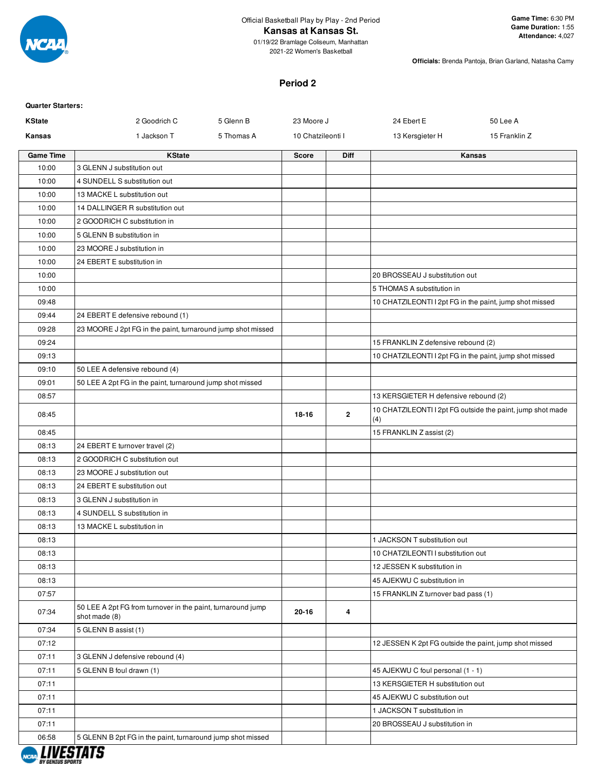

**Officials:** Brenda Pantoja, Brian Garland, Natasha Camy

## **Period 2**

| <b>Quarter Starters:</b> |                                                                              |            |                   |              |                                                         |                                                            |
|--------------------------|------------------------------------------------------------------------------|------------|-------------------|--------------|---------------------------------------------------------|------------------------------------------------------------|
| <b>KState</b>            | 2 Goodrich C                                                                 | 5 Glenn B  | 23 Moore J        |              | 24 Ebert E                                              | 50 Lee A                                                   |
| Kansas                   | 1 Jackson T                                                                  | 5 Thomas A | 10 Chatzileonti I |              | 13 Kersgieter H                                         | 15 Franklin Z                                              |
| <b>Game Time</b>         | <b>KState</b>                                                                |            | <b>Score</b>      | <b>Diff</b>  |                                                         | Kansas                                                     |
| 10:00                    | 3 GLENN J substitution out                                                   |            |                   |              |                                                         |                                                            |
| 10:00                    | 4 SUNDELL S substitution out                                                 |            |                   |              |                                                         |                                                            |
| 10:00                    | 13 MACKE L substitution out                                                  |            |                   |              |                                                         |                                                            |
| 10:00                    | 14 DALLINGER R substitution out                                              |            |                   |              |                                                         |                                                            |
| 10:00                    | 2 GOODRICH C substitution in                                                 |            |                   |              |                                                         |                                                            |
| 10:00                    | 5 GLENN B substitution in                                                    |            |                   |              |                                                         |                                                            |
| 10:00                    | 23 MOORE J substitution in                                                   |            |                   |              |                                                         |                                                            |
| 10:00                    | 24 EBERT E substitution in                                                   |            |                   |              |                                                         |                                                            |
| 10:00                    |                                                                              |            |                   |              | 20 BROSSEAU J substitution out                          |                                                            |
| 10:00                    |                                                                              |            |                   |              | 5 THOMAS A substitution in                              |                                                            |
| 09:48                    |                                                                              |            |                   |              | 10 CHATZILEONTI I 2pt FG in the paint, jump shot missed |                                                            |
| 09:44                    | 24 EBERT E defensive rebound (1)                                             |            |                   |              |                                                         |                                                            |
| 09:28                    | 23 MOORE J 2pt FG in the paint, turnaround jump shot missed                  |            |                   |              |                                                         |                                                            |
| 09:24                    |                                                                              |            |                   |              | 15 FRANKLIN Z defensive rebound (2)                     |                                                            |
| 09:13                    |                                                                              |            |                   |              | 10 CHATZILEONTI I 2pt FG in the paint, jump shot missed |                                                            |
| 09:10                    | 50 LEE A defensive rebound (4)                                               |            |                   |              |                                                         |                                                            |
| 09:01                    | 50 LEE A 2pt FG in the paint, turnaround jump shot missed                    |            |                   |              |                                                         |                                                            |
| 08:57                    |                                                                              |            |                   |              | 13 KERSGIETER H defensive rebound (2)                   |                                                            |
| 08:45                    |                                                                              |            | 18-16             | $\mathbf{2}$ | (4)                                                     | 10 CHATZILEONTI I 2pt FG outside the paint, jump shot made |
| 08:45                    |                                                                              |            |                   |              | 15 FRANKLIN Z assist (2)                                |                                                            |
| 08:13                    | 24 EBERT E turnover travel (2)                                               |            |                   |              |                                                         |                                                            |
| 08:13                    | 2 GOODRICH C substitution out                                                |            |                   |              |                                                         |                                                            |
| 08:13                    | 23 MOORE J substitution out                                                  |            |                   |              |                                                         |                                                            |
| 08:13                    | 24 EBERT E substitution out                                                  |            |                   |              |                                                         |                                                            |
| 08:13                    | 3 GLENN J substitution in                                                    |            |                   |              |                                                         |                                                            |
| 08:13                    | 4 SUNDELL S substitution in                                                  |            |                   |              |                                                         |                                                            |
| 08:13                    | 13 MACKE L substitution in                                                   |            |                   |              |                                                         |                                                            |
| 08:13                    |                                                                              |            |                   |              | 1 JACKSON T substitution out                            |                                                            |
| 08:13                    |                                                                              |            |                   |              | 10 CHATZILEONTI I substitution out                      |                                                            |
| 08:13                    |                                                                              |            |                   |              | 12 JESSEN K substitution in                             |                                                            |
| 08:13                    |                                                                              |            |                   |              | 45 AJEKWU C substitution in                             |                                                            |
| 07:57                    |                                                                              |            |                   |              | 15 FRANKLIN Z turnover bad pass (1)                     |                                                            |
| 07:34                    | 50 LEE A 2pt FG from turnover in the paint, turnaround jump<br>shot made (8) |            | 20-16             | 4            |                                                         |                                                            |
| 07:34                    | 5 GLENN B assist (1)                                                         |            |                   |              |                                                         |                                                            |
| 07:12                    |                                                                              |            |                   |              | 12 JESSEN K 2pt FG outside the paint, jump shot missed  |                                                            |
| 07:11                    | 3 GLENN J defensive rebound (4)                                              |            |                   |              |                                                         |                                                            |
| 07:11                    | 5 GLENN B foul drawn (1)                                                     |            |                   |              | 45 AJEKWU C foul personal (1 - 1)                       |                                                            |
| 07:11                    |                                                                              |            |                   |              | 13 KERSGIETER H substitution out                        |                                                            |
| 07:11                    |                                                                              |            |                   |              | 45 AJEKWU C substitution out                            |                                                            |
| 07:11                    |                                                                              |            |                   |              | 1 JACKSON T substitution in                             |                                                            |
| 07:11                    |                                                                              |            |                   |              | 20 BROSSEAU J substitution in                           |                                                            |
| 06:58                    | 5 GLENN B 2pt FG in the paint, turnaround jump shot missed                   |            |                   |              |                                                         |                                                            |

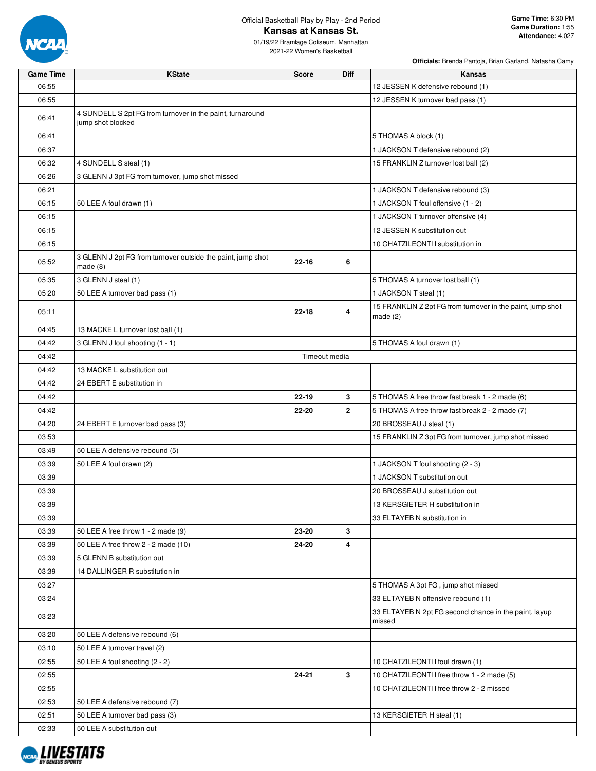

# Official Basketball Play by Play - 2nd Period **Kansas at Kansas St.**

01/19/22 Bramlage Coliseum, Manhattan 2021-22 Women's Basketball

| <b>Officials:</b> Brenda Pantoja, Brian Garland, Natasha Camy |  |  |  |
|---------------------------------------------------------------|--|--|--|

| <b>Game Time</b> | <b>KState</b>                                                                  | <b>Score</b>  | <b>Diff</b> | Kansas                                                                   |
|------------------|--------------------------------------------------------------------------------|---------------|-------------|--------------------------------------------------------------------------|
| 06:55            |                                                                                |               |             | 12 JESSEN K defensive rebound (1)                                        |
| 06:55            |                                                                                |               |             | 12 JESSEN K turnover bad pass (1)                                        |
| 06:41            | 4 SUNDELL S 2pt FG from turnover in the paint, turnaround<br>jump shot blocked |               |             |                                                                          |
| 06:41            |                                                                                |               |             | 5 THOMAS A block (1)                                                     |
| 06:37            |                                                                                |               |             | 1 JACKSON T defensive rebound (2)                                        |
| 06:32            | 4 SUNDELL S steal (1)                                                          |               |             | 15 FRANKLIN Z turnover lost ball (2)                                     |
| 06:26            | 3 GLENN J 3pt FG from turnover, jump shot missed                               |               |             |                                                                          |
| 06:21            |                                                                                |               |             | 1 JACKSON T defensive rebound (3)                                        |
| 06:15            | 50 LEE A foul drawn (1)                                                        |               |             | 1 JACKSON T foul offensive (1 - 2)                                       |
| 06:15            |                                                                                |               |             | 1 JACKSON T turnover offensive (4)                                       |
| 06:15            |                                                                                |               |             | 12 JESSEN K substitution out                                             |
| 06:15            |                                                                                |               |             | 10 CHATZILEONTI I substitution in                                        |
| 05:52            | 3 GLENN J 2pt FG from turnover outside the paint, jump shot<br>made $(8)$      | $22 - 16$     | 6           |                                                                          |
| 05:35            | 3 GLENN J steal (1)                                                            |               |             | 5 THOMAS A turnover lost ball (1)                                        |
| 05:20            | 50 LEE A turnover bad pass (1)                                                 |               |             | 1 JACKSON T steal (1)                                                    |
| 05:11            |                                                                                | $22 - 18$     | 4           | 15 FRANKLIN Z 2pt FG from turnover in the paint, jump shot<br>made $(2)$ |
| 04:45            | 13 MACKE L turnover lost ball (1)                                              |               |             |                                                                          |
| 04:42            | 3 GLENN J foul shooting (1 - 1)                                                |               |             | 5 THOMAS A foul drawn (1)                                                |
| 04:42            |                                                                                | Timeout media |             |                                                                          |
| 04:42            | 13 MACKE L substitution out                                                    |               |             |                                                                          |
| 04:42            | 24 EBERT E substitution in                                                     |               |             |                                                                          |
| 04:42            |                                                                                | $22 - 19$     | 3           | 5 THOMAS A free throw fast break 1 - 2 made (6)                          |
| 04:42            |                                                                                | 22-20         | 2           | 5 THOMAS A free throw fast break 2 - 2 made (7)                          |
| 04:20            | 24 EBERT E turnover bad pass (3)                                               |               |             | 20 BROSSEAU J steal (1)                                                  |
| 03:53            |                                                                                |               |             | 15 FRANKLIN Z 3pt FG from turnover, jump shot missed                     |
| 03:49            | 50 LEE A defensive rebound (5)                                                 |               |             |                                                                          |
| 03:39            | 50 LEE A foul drawn (2)                                                        |               |             | 1 JACKSON T foul shooting (2 - 3)                                        |
| 03:39            |                                                                                |               |             | 1 JACKSON T substitution out                                             |
| 03:39            |                                                                                |               |             | 20 BROSSEAU J substitution out                                           |
| 03:39            |                                                                                |               |             | 13 KERSGIETER H substitution in                                          |
| 03:39            |                                                                                |               |             | 33 ELTAYEB N substitution in                                             |
| 03:39            | 50 LEE A free throw 1 - 2 made (9)                                             | 23-20         | 3           |                                                                          |
| 03:39            | 50 LEE A free throw 2 - 2 made (10)                                            | 24-20         | 4           |                                                                          |
| 03:39            | 5 GLENN B substitution out                                                     |               |             |                                                                          |
| 03:39            | 14 DALLINGER R substitution in                                                 |               |             |                                                                          |
| 03:27            |                                                                                |               |             | 5 THOMAS A 3pt FG, jump shot missed                                      |
| 03:24            |                                                                                |               |             | 33 ELTAYEB N offensive rebound (1)                                       |
| 03:23            |                                                                                |               |             | 33 ELTAYEB N 2pt FG second chance in the paint, layup<br>missed          |
| 03:20            | 50 LEE A defensive rebound (6)                                                 |               |             |                                                                          |
| 03:10            | 50 LEE A turnover travel (2)                                                   |               |             |                                                                          |
| 02:55            | 50 LEE A foul shooting (2 - 2)                                                 |               |             | 10 CHATZILEONTI I foul drawn (1)                                         |
| 02:55            |                                                                                | $24 - 21$     | 3           | 10 CHATZILEONTI I free throw 1 - 2 made (5)                              |
| 02:55            |                                                                                |               |             | 10 CHATZILEONTI I free throw 2 - 2 missed                                |
| 02:53            | 50 LEE A defensive rebound (7)                                                 |               |             |                                                                          |
| 02:51            | 50 LEE A turnover bad pass (3)                                                 |               |             | 13 KERSGIETER H steal (1)                                                |
| 02:33            | 50 LEE A substitution out                                                      |               |             |                                                                          |

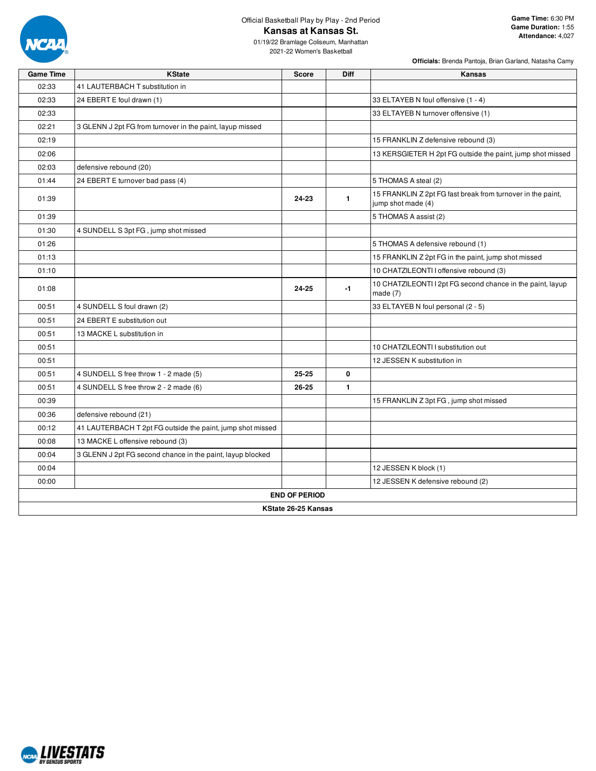

# Official Basketball Play by Play - 2nd Period **Kansas at Kansas St.**

01/19/22 Bramlage Coliseum, Manhattan 2021-22 Women's Basketball

| <b>Game Time</b> | <b>KState</b>                                              | <b>Score</b>         | <b>Diff</b>  | Kansas                                                                            |
|------------------|------------------------------------------------------------|----------------------|--------------|-----------------------------------------------------------------------------------|
| 02:33            | 41 LAUTERBACH T substitution in                            |                      |              |                                                                                   |
| 02:33            | 24 EBERT E foul drawn (1)                                  |                      |              | 33 ELTAYEB N foul offensive (1 - 4)                                               |
| 02:33            |                                                            |                      |              | 33 ELTAYEB N turnover offensive (1)                                               |
| 02:21            | 3 GLENN J 2pt FG from turnover in the paint, layup missed  |                      |              |                                                                                   |
| 02:19            |                                                            |                      |              | 15 FRANKLIN Z defensive rebound (3)                                               |
| 02:06            |                                                            |                      |              | 13 KERSGIETER H 2pt FG outside the paint, jump shot missed                        |
| 02:03            | defensive rebound (20)                                     |                      |              |                                                                                   |
| 01:44            | 24 EBERT E turnover bad pass (4)                           |                      |              | 5 THOMAS A steal (2)                                                              |
| 01:39            |                                                            | 24-23                | $\mathbf{1}$ | 15 FRANKLIN Z 2pt FG fast break from turnover in the paint,<br>jump shot made (4) |
| 01:39            |                                                            |                      |              | 5 THOMAS A assist (2)                                                             |
| 01:30            | 4 SUNDELL S 3pt FG, jump shot missed                       |                      |              |                                                                                   |
| 01:26            |                                                            |                      |              | 5 THOMAS A defensive rebound (1)                                                  |
| 01:13            |                                                            |                      |              | 15 FRANKLIN Z 2pt FG in the paint, jump shot missed                               |
| 01:10            |                                                            |                      |              | 10 CHATZILEONTI I offensive rebound (3)                                           |
| 01:08            |                                                            | 24-25                | $-1$         | 10 CHATZILEONTI I 2pt FG second chance in the paint, layup<br>made $(7)$          |
| 00:51            | 4 SUNDELL S foul drawn (2)                                 |                      |              | 33 ELTAYEB N foul personal (2 - 5)                                                |
| 00:51            | 24 EBERT E substitution out                                |                      |              |                                                                                   |
| 00:51            | 13 MACKE L substitution in                                 |                      |              |                                                                                   |
| 00:51            |                                                            |                      |              | 10 CHATZILEONTI I substitution out                                                |
| 00:51            |                                                            |                      |              | 12 JESSEN K substitution in                                                       |
| 00:51            | 4 SUNDELL S free throw 1 - 2 made (5)                      | 25-25                | 0            |                                                                                   |
| 00:51            | 4 SUNDELL S free throw 2 - 2 made (6)                      | 26-25                | $\mathbf{1}$ |                                                                                   |
| 00:39            |                                                            |                      |              | 15 FRANKLIN Z 3pt FG, jump shot missed                                            |
| 00:36            | defensive rebound (21)                                     |                      |              |                                                                                   |
| 00:12            | 41 LAUTERBACH T 2pt FG outside the paint, jump shot missed |                      |              |                                                                                   |
| 00:08            | 13 MACKE L offensive rebound (3)                           |                      |              |                                                                                   |
| 00:04            | 3 GLENN J 2pt FG second chance in the paint, layup blocked |                      |              |                                                                                   |
| 00:04            |                                                            |                      |              | 12 JESSEN K block (1)                                                             |
| 00:00            |                                                            |                      |              | 12 JESSEN K defensive rebound (2)                                                 |
|                  |                                                            | <b>END OF PERIOD</b> |              |                                                                                   |
|                  |                                                            | KState 26-25 Kansas  |              |                                                                                   |

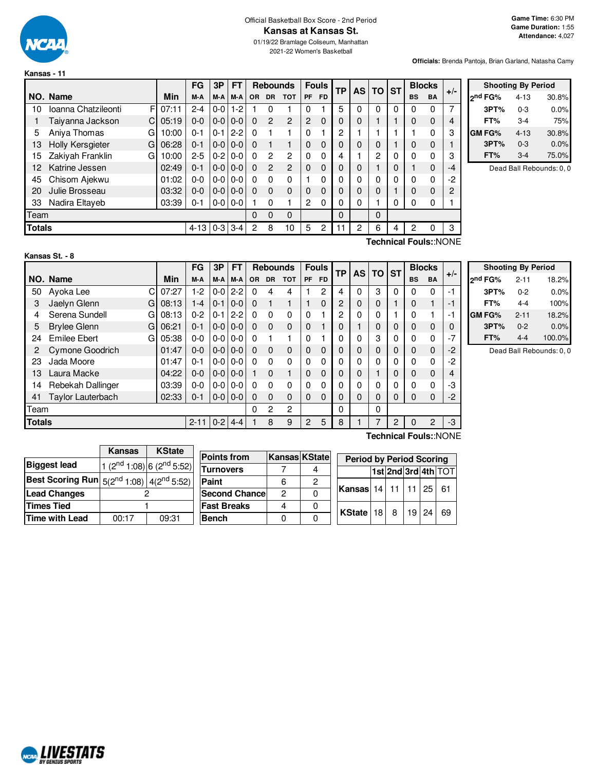

**Kansas - 11**

#### Official Basketball Box Score - 2nd Period **Kansas at Kansas St.**

01/19/22 Bramlage Coliseum, Manhattan 2021-22 Women's Basketball

**Officials:** Brenda Pantoja, Brian Garland, Natasha Camy

|               |                          |       | FG       | 3P      | <b>FT</b> |     | <b>Rebounds</b> |               |              | <b>Fouls</b> | <b>TP</b> | AS | ΤO | <b>ST</b> | <b>Blocks</b> |           | $+/-$ |
|---------------|--------------------------|-------|----------|---------|-----------|-----|-----------------|---------------|--------------|--------------|-----------|----|----|-----------|---------------|-----------|-------|
|               | NO. Name                 | Min   | M-A      | M-A     | M-A       | OR. | <b>DR</b>       | <b>TOT</b>    | PF           | <b>FD</b>    |           |    |    |           | <b>BS</b>     | <b>BA</b> |       |
| 10            | Ioanna Chatzileonti<br>F | 07:11 | $2 - 4$  | $0-0$   | $1 - 2$   |     | $\Omega$        |               | 0            |              | 5         |    | 0  | 0         | 0             | $\Omega$  |       |
|               | Taiyanna Jackson<br>С    | 05:19 | $0 - 0$  | $0-0$   | $0 - 0$   | 0   | 2               | $\mathcal{P}$ | 2            | $\Omega$     | $\Omega$  | 0  |    |           | 0             | $\Omega$  | 4     |
| 5             | Aniya Thomas<br>G        | 10:00 | $0 - 1$  | $0 - 1$ | $2 - 2$   | 0   |                 |               | $\mathbf{0}$ |              | 2         |    |    |           |               | O         | 3     |
| 13            | Holly Kersgieter<br>G    | 06:28 | $0 - 1$  | $0-0$   | $0-0$     | 0   |                 |               | 0            | $\Omega$     |           | O  | 0  |           | 0             | 0         |       |
| 15            | Zakiyah Franklin<br>G    | 10:00 | $2 - 5$  | $0 - 2$ | $0 - 0$   | 0   | $\overline{c}$  | 2             | $\mathbf{0}$ | $\Omega$     | 4         |    | 2  | 0         | 0             | 0         | 3     |
| 12            | Katrine Jessen           | 02:49 | $0 - 1$  | $0-0$   | $0-0$     | 0   | $\overline{2}$  | $\mathcal{P}$ | $\mathbf{0}$ | $\Omega$     | $\Omega$  | 0  |    | 0         |               | $\Omega$  | -4    |
| 45            | Chisom Ajekwu            | 01:02 | $0 - 0$  | $0 - 0$ | $0 - 0$   | 0   | $\Omega$        | 0             |              | O            |           | N  | 0  | 0         | 0             | 0         | -2    |
| 20            | Julie Brosseau           | 03:32 | $0 - 0$  | $0-0$   | $0-0$     | 0   | $\Omega$        | $\Omega$      | 0            | $\Omega$     |           | O  | 0  |           | 0             | $\Omega$  | 2     |
| 33            | Nadira Eltayeb           | 03:39 | $0 - 1$  | $0-0$   | $0 - 0$   |     | $\Omega$        |               | 2            | $\Omega$     |           | 0  |    | 0         | 0             | 0         |       |
| Team          |                          |       |          |         |           | 0   | $\Omega$        | $\Omega$      |              |              | $\Omega$  |    | 0  |           |               |           |       |
| <b>Totals</b> |                          |       | $4 - 13$ | $0 - 3$ | $3 - 4$   | 2   | 8               | 10            | 5            | 2            | 11        | 2  | 6  | 4         | 2             | 0         | 3     |

|                          | <b>Shooting By Period</b> |          |       |  |  |  |  |  |  |  |  |  |  |
|--------------------------|---------------------------|----------|-------|--|--|--|--|--|--|--|--|--|--|
| ond FG%<br>30.8%<br>4-13 |                           |          |       |  |  |  |  |  |  |  |  |  |  |
|                          | 3PT%                      | $0 - 3$  | 0.0%  |  |  |  |  |  |  |  |  |  |  |
|                          | FT%                       | 3-4      | 75%   |  |  |  |  |  |  |  |  |  |  |
|                          | GM FG%                    | $4 - 13$ | 30.8% |  |  |  |  |  |  |  |  |  |  |
|                          | 3PT%                      | $0 - 3$  | 0.0%  |  |  |  |  |  |  |  |  |  |  |
|                          | FT%                       | 3-4      | 75.0% |  |  |  |  |  |  |  |  |  |  |

Dead Ball Rebounds: 0, 0

| Kansas St. - 8 |  |  |
|----------------|--|--|
|                |  |  |

**Technical Fouls:**:NONE

|      |                          |       | FG      | 3P      | FТ      |           | <b>Rebounds</b> |            |          | <b>Fouls</b> | ТP | <b>AS</b> | <b>TO</b> | <b>ST</b> | <b>Blocks</b> |                       | $+/-$ |
|------|--------------------------|-------|---------|---------|---------|-----------|-----------------|------------|----------|--------------|----|-----------|-----------|-----------|---------------|-----------------------|-------|
|      | NO. Name                 | Min   | M-A     | M-A     | M-A     | <b>OR</b> | <b>DR</b>       | <b>TOT</b> | PF       | <b>FD</b>    |    |           |           |           | <b>BS</b>     | <b>BA</b>             |       |
| 50   | C<br>Ayoka Lee           | 07:27 | $1-2$   | $0 - 0$ | $2 - 2$ | 0         | 4               | 4          |          | 2            | 4  | 0         | 3         | $\Omega$  | 0             | 0                     | -1    |
| 3    | Jaelyn Glenn<br>G        | 08:13 | $1 - 4$ | $0 - 1$ | $0-0$   | $\Omega$  |                 |            |          | 0            | 2  | 0         | 0         |           | 0             |                       | - 1   |
| 4    | Serena Sundell<br>G      | 08:13 | $0 - 2$ | $0 - 1$ | $2 - 2$ | 0         | $\Omega$        | 0          | $\Omega$ |              | 2  | 0         | 0         |           | 0             |                       | -1    |
| 5    | <b>Brylee Glenn</b><br>G | 06:21 | $0 - 1$ | $0 - 0$ | $0 - 0$ | $\Omega$  | $\Omega$        | 0          | 0        |              | 0  |           | 0         | 0         | 0             | 0                     | 0     |
| 24   | <b>Emilee Ebert</b><br>G | 05:38 | $0 - 0$ | $0-0$   | $0-0$   | 0         |                 |            | $\Omega$ |              | 0  | 0         | 3         | 0         | 0             | 0                     | $-7$  |
| 2    | Cymone Goodrich          | 01:47 | 0-0     | $0-0$   | $0 - 0$ | 0         | $\Omega$        | 0          | 0        | 0            | 0  | 0         | 0         | $\Omega$  | 0             | $\Omega$              | $-2$  |
| 23   | Jada Moore               | 01:47 | $0 - 1$ | $0-0$   | $0-0$   | 0         | $\Omega$        | 0          | $\Omega$ | $\Omega$     | 0  | 0         | 0         | 0         | 0             | 0                     | $-2$  |
| 13   | Laura Macke              | 04:22 | $0 - 0$ | $0-0$   | $0 - 0$ |           | $\Omega$        |            | 0        | $\Omega$     | 0  | 0         | 1         | 0         | 0             | 0                     | 4     |
| 14   | Rebekah Dallinger        | 03:39 | $0-0$   | $0-0$   | $0 - 0$ | 0         | $\Omega$        | 0          | $\Omega$ | 0            | 0  | 0         | 0         | 0         | 0             | 0                     | -3    |
| 41   | Taylor Lauterbach        | 02:33 | 0-1     | $0-0$   | $0 - 0$ | 0         | $\Omega$        | 0          | 0        | $\Omega$     | 0  | 0         | 0         | $\Omega$  | $\Omega$      | $\Omega$              | $-2$  |
| Team |                          |       |         |         |         | 0         | 2               | 2          |          |              | 0  |           | 0         |           |               |                       |       |
|      | <b>Totals</b>            |       |         | $0 - 2$ | $4 - 4$ |           | 8               | 9          | 2        | 5            | 8  |           | 7         | 2         | $\Omega$      | 2                     | -3    |
|      |                          |       |         |         |         |           |                 |            |          |              |    |           |           |           |               | Technical Fouls::NONE |       |

|                     | <b>Shooting By Period</b> |        |  |  |  |  |  |  |  |  |  |  |
|---------------------|---------------------------|--------|--|--|--|--|--|--|--|--|--|--|
| 2 <sup>nd</sup> FG% | $2 - 11$                  | 18.2%  |  |  |  |  |  |  |  |  |  |  |
| 3PT%                | $0 - 2$                   | 0.0%   |  |  |  |  |  |  |  |  |  |  |
| FT%                 | 4-4                       | 100%   |  |  |  |  |  |  |  |  |  |  |
| GM FG%              | $2 - 11$                  | 18.2%  |  |  |  |  |  |  |  |  |  |  |
| 3PT%                | $0 - 2$                   | 0.0%   |  |  |  |  |  |  |  |  |  |  |
| FT%                 | 4-4                       | 100.0% |  |  |  |  |  |  |  |  |  |  |

Dead Ball Rebounds: 0, 0

|                                                  | Kansas | <b>KState</b>                            |                      |                      |   |                                 |    |        |    |                     |
|--------------------------------------------------|--------|------------------------------------------|----------------------|----------------------|---|---------------------------------|----|--------|----|---------------------|
|                                                  |        |                                          | <b>Points from</b>   | <b>Kansas KState</b> |   | <b>Period by Period Scoring</b> |    |        |    |                     |
| <b>Biggest lead</b>                              |        | $(2^{nd} 1:08)$ 6 (2 <sup>nd</sup> 5:52) | <b>Turnovers</b>     |                      |   |                                 |    |        |    |                     |
|                                                  |        |                                          |                      |                      | 4 |                                 |    |        |    | 1st 2nd 3rd 4th TOT |
| Best Scoring Run $ 5(2^{nd}1:08) 4(2^{nd}5:52) $ |        |                                          | Paint                | 6                    | 2 |                                 |    |        |    |                     |
| <b>Lead Changes</b>                              |        |                                          | <b>Second Chance</b> | $\overline{c}$       |   | Kansas 14 11 11 25 61           |    |        |    |                     |
| Times Tied                                       |        |                                          | <b>Fast Breaks</b>   |                      |   | KState 18                       | -8 | i 19 ' | 24 | - 69                |
| Time with Lead                                   | 00:17  | 09:31                                    | <b>Bench</b>         |                      |   |                                 |    |        |    |                     |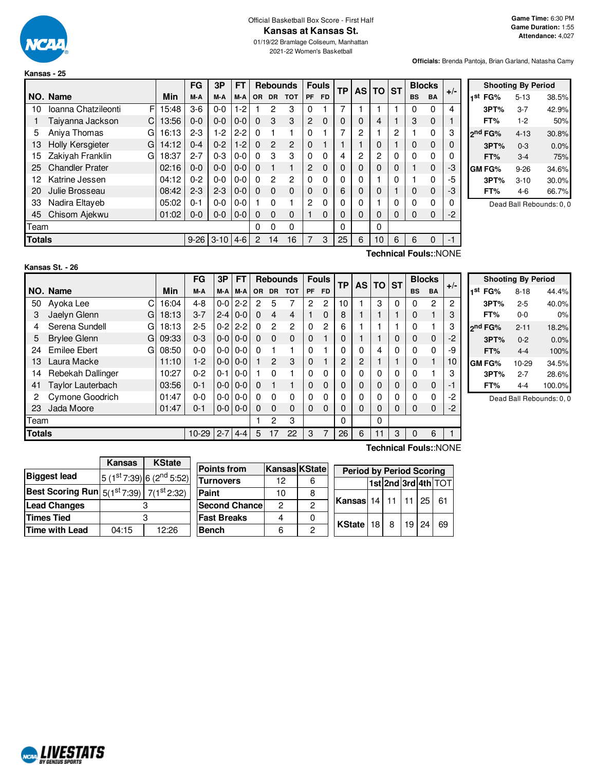

**Kansas - 25**

# Official Basketball Box Score - First Half **Kansas at Kansas St.**

01/19/22 Bramlage Coliseum, Manhattan 2021-22 Women's Basketball

**Officials:** Brenda Pantoja, Brian Garland, Natasha Camy

|               |                          |       | FG       | 3Р       | FТ      |                | <b>Rebounds</b> |                |           | <b>Fouls</b> | <b>TP</b> | <b>AS</b>      | <b>TO</b>      | <b>ST</b> |           | <b>Blocks</b>    | $+/-$    |
|---------------|--------------------------|-------|----------|----------|---------|----------------|-----------------|----------------|-----------|--------------|-----------|----------------|----------------|-----------|-----------|------------------|----------|
|               | NO. Name                 | Min   | M-A      | M-A      | M-A     | <b>OR</b>      | <b>DR</b>       | <b>TOT</b>     | <b>PF</b> | <b>FD</b>    |           |                |                |           | <b>BS</b> | <b>BA</b>        |          |
| 10            | Ioanna Chatzileonti<br>F | 15:48 | $3-6$    | $0 - 0$  | $1-2$   |                | 2               | 3              | 0         |              | 7         |                |                |           | 0         | 0                | 4        |
|               | Taiyanna Jackson<br>C    | 13:56 | $0 - 0$  | $0 - 0$  | $0 - 0$ | 0              | 3               | 3              | 2         | $\Omega$     |           | 0              | 4              |           | 3         | $\mathbf 0$      |          |
| 5             | Aniva Thomas<br>G        | 16:13 | $2-3$    | 1-2      | $2 - 2$ | $\Omega$       |                 |                | $\Omega$  |              |           | 2              |                | 2         |           | $\Omega$         | 3        |
| 13            | Holly Kersgieter<br>G    | 14:12 | $0 - 4$  | $0 - 2$  | $1 - 2$ | $\Omega$       | $\mathcal{P}$   | $\overline{2}$ | $\Omega$  |              |           |                | 0              |           | 0         | $\mathbf 0$      | $\Omega$ |
| 15            | Zakiyah Franklin<br>G    | 18:37 | $2 - 7$  | $0 - 3$  | $0 - 0$ | 0              | 3               | 3              | 0         | $\Omega$     | 4         | $\overline{c}$ | $\overline{2}$ | 0         | 0         | 0                | 0        |
| 25            | <b>Chandler Prater</b>   | 02:16 | $0 - 0$  | $0 - 0$  | $0 - 0$ | $\Omega$       |                 | 1              | 2         | $\Omega$     |           | 0              | 0              | 0         |           | $\mathbf 0$      | $-3$     |
| 12            | Katrine Jessen           | 04:12 | $0 - 2$  | $0 - 0$  | $0 - 0$ | 0              | 2               | 2              | 0         | $\Omega$     |           | 0              |                | 0         |           | 0                | -5       |
| 20            | Julie Brosseau           | 08:42 | $2 - 3$  | $2 - 3$  | $0-0$   | $\Omega$       | $\Omega$        | $\Omega$       | $\Omega$  | $\Omega$     | 6         | 0              | 0              |           | 0         | $\mathbf 0$      | -3       |
| 33            | Nadira Eltaveb           | 05:02 | $0 - 1$  | $0 - 0$  | $0-0$   |                | $\Omega$        |                | 2         | 0            |           | 0              |                | 0         | 0         | 0                | $\Omega$ |
| 45            | Chisom Ajekwu            | 01:02 | $0 - 0$  | $0 - 0$  | $0 - 0$ | 0              | $\Omega$        | $\Omega$       |           | $\Omega$     |           | 0              | 0              | 0         | 0         | $\mathbf 0$      | $-2$     |
| Team          |                          |       |          |          |         | 0              | $\Omega$        | 0              |           |              | 0         |                | 0              |           |           |                  |          |
| <b>Totals</b> |                          |       | $9 - 26$ | $3 - 10$ | $4-6$   | $\overline{2}$ | 14              | 16             | 7         | 3            | 25        | 6              | 10             | 6         | 6         | $\Omega$         | $-1$     |
|               |                          |       |          |          |         |                |                 |                |           |              |           |                |                |           |           | $T_{\text{sub}}$ |          |

| <b>Shooting By Period</b> |          |       |  |  |  |  |  |  |  |  |  |  |
|---------------------------|----------|-------|--|--|--|--|--|--|--|--|--|--|
| 1 <sup>st</sup> FG%       | $5 - 13$ | 38.5% |  |  |  |  |  |  |  |  |  |  |
| 3PT%                      | $3 - 7$  | 42.9% |  |  |  |  |  |  |  |  |  |  |
| FT%                       | $1-2$    | 50%   |  |  |  |  |  |  |  |  |  |  |
| ond FG%                   | $4 - 13$ | 30.8% |  |  |  |  |  |  |  |  |  |  |
| 3PT%                      | $0 - 3$  | 0.0%  |  |  |  |  |  |  |  |  |  |  |
| FT%                       | $3-4$    | 75%   |  |  |  |  |  |  |  |  |  |  |
| GM FG%                    | $9 - 26$ | 34.6% |  |  |  |  |  |  |  |  |  |  |
| 3PT%                      | $3 - 10$ | 30.0% |  |  |  |  |  |  |  |  |  |  |
| FT%                       | 4-6      | 66.7% |  |  |  |  |  |  |  |  |  |  |

Dead Ball Rebounds: 0, 0

# **Kansas St. - 26**

**Technical Fouls:**:NONE

|               |                          |       | FG      | 3P      | <b>FT</b>     |          | <b>Rebounds</b> |                |           | <b>Fouls</b> | TP | AS I | <b>TO</b> | <b>ST</b> |           | <b>Blocks</b>  | $+/-$ |
|---------------|--------------------------|-------|---------|---------|---------------|----------|-----------------|----------------|-----------|--------------|----|------|-----------|-----------|-----------|----------------|-------|
|               | NO. Name                 | Min   | M-A     | M-A     | M-A           | OR.      | <b>DR</b>       | <b>TOT</b>     | <b>PF</b> | <b>FD</b>    |    |      |           |           | <b>BS</b> | <b>BA</b>      |       |
| 50            | Ayoka Lee                | 16:04 | $4 - 8$ | $0-0$   | $2 - 2$       | 2        | 5               | 7              | 2         | 2            | 10 | 1    | 3         | 0         | 0         | $\overline{2}$ | 2     |
| 3             | Jaelyn Glenn<br>G        | 18:13 | $3 - 7$ | $2 - 4$ | $0 - 0$       | $\Omega$ | 4               | 4              |           | $\Omega$     | 8  |      |           |           | 0         |                | 3     |
| 4             | Serena Sundell<br>G      | 18:13 | $2 - 5$ | $0 - 2$ | $2 - 2$       | $\Omega$ | $\overline{2}$  | $\overline{c}$ | $\Omega$  | 2            | 6  |      |           |           | 0         |                | 3     |
| 5             | <b>Brylee Glenn</b><br>G | 09:33 | $0 - 3$ | $0-0$   | $0 - 0$       | $\Omega$ | $\Omega$        | $\Omega$       | $\Omega$  |              | 0  |      |           | 0         | 0         | $\mathbf 0$    | -2    |
| 24            | <b>Emilee Ebert</b><br>G | 08:50 | $0 - 0$ | $0-0$   | $0 - 0$       | $\Omega$ |                 |                | 0         |              | 0  | 0    | 4         | 0         | 0         | $\Omega$       | -9    |
| 13            | Laura Macke              | 11:10 | $1-2$   | $0-0$   | $0 - 0$       |          | $\overline{2}$  | 3              | $\Omega$  |              | 2  | 2    |           |           | 0         | $\mathbf{1}$   | 10    |
| 14            | Rebekah Dallinger        | 10:27 | $0 - 2$ | $0 - 1$ | $0-0$         |          | $\Omega$        |                | 0         | 0            | 0  | 0    | 0         | 0         | 0         |                | з     |
| 41            | Taylor Lauterbach        | 03:56 | $0 - 1$ | $0-0$   | $0 - 0$       | $\Omega$ |                 | $\blacksquare$ | $\Omega$  | $\Omega$     | 0  | 0    | $\Omega$  | $\Omega$  | 0         | $\mathbf 0$    | -1    |
| 2             | Cymone Goodrich          | 01:47 | $0 - 0$ | $0-0$   | $0 - 0$       | $\Omega$ | $\Omega$        | $\Omega$       | 0         | 0            | 0  | 0    | 0         | 0         | 0         | $\Omega$       | -2    |
| 23            | Jada Moore               | 01:47 | $0 - 1$ |         | $0 - 0 0 - 0$ | $\Omega$ | $\Omega$        | $\Omega$       | $\Omega$  | $\Omega$     | 0  | 0    | $\Omega$  | 0         | 0         | $\Omega$       | -2    |
| Team          |                          |       |         |         |               |          | 2               | 3              |           |              | 0  |      | 0         |           |           |                |       |
| <b>Totals</b> |                          |       | 10-29   | $2 - 7$ | $4 - 4$       | 5        | 17              | 22             | 3         |              | 26 | 6    | 11        | 3         | $\Omega$  | 6              |       |

| <b>Shooting By Period</b> |      |          |        |  |  |  |  |  |  |  |  |  |
|---------------------------|------|----------|--------|--|--|--|--|--|--|--|--|--|
| 1st<br>FG%                |      | $8 - 18$ | 44.4%  |  |  |  |  |  |  |  |  |  |
|                           | 3PT% | $2 - 5$  | 40.0%  |  |  |  |  |  |  |  |  |  |
| FT%                       |      | 0-0      | 0%     |  |  |  |  |  |  |  |  |  |
| 2 <sup>nd</sup> FG%       |      | $2 - 11$ | 18.2%  |  |  |  |  |  |  |  |  |  |
|                           | 3PT% | $0 - 2$  | 0.0%   |  |  |  |  |  |  |  |  |  |
|                           | FT%  | $4 - 4$  | 100%   |  |  |  |  |  |  |  |  |  |
| GM FG%                    |      | 10-29    | 34.5%  |  |  |  |  |  |  |  |  |  |
|                           | 3PT% | $2 - 7$  | 28.6%  |  |  |  |  |  |  |  |  |  |
|                           | FT%  | 4-4      | 100.0% |  |  |  |  |  |  |  |  |  |

Dead Ball Rebounds: 0, 0

|                                                           | <b>Kansas</b> | <b>KState</b> |                                           |                      |   |                                 |                                            |       |    |
|-----------------------------------------------------------|---------------|---------------|-------------------------------------------|----------------------|---|---------------------------------|--------------------------------------------|-------|----|
|                                                           |               |               | <b>Points from</b>                        | <b>Kansas KState</b> |   | <b>Period by Period Scoring</b> |                                            |       |    |
| <b>Biggest lead</b>                                       |               |               | $ 5(1^{st}7:39) 6(2^{nd}5:52) $ Turnovers | 12                   | 6 |                                 | $ 1$ st $ 2$ nd $ 3$ rd $ 4$ th $ 1$ O $1$ |       |    |
| <b>Best Scoring Run</b> $5(1^{st}7:39)$ 7( $1^{st}2:32$ ) |               |               | Paint                                     | 10                   |   |                                 |                                            |       |    |
| <b>Lead Changes</b>                                       |               |               | <b>Second Chance</b>                      | 2                    |   | <b>Kansas</b> 14 11 11 25 61    |                                            |       |    |
| <b>Times Tied</b>                                         |               |               | <b>Fast Breaks</b>                        |                      |   | KState 18                       | -8                                         | 19 24 | 69 |
| Time with Lead                                            | 04:15         | 12:26         | <b>Bench</b>                              |                      |   |                                 |                                            |       |    |

**Technical Fouls:**:NONE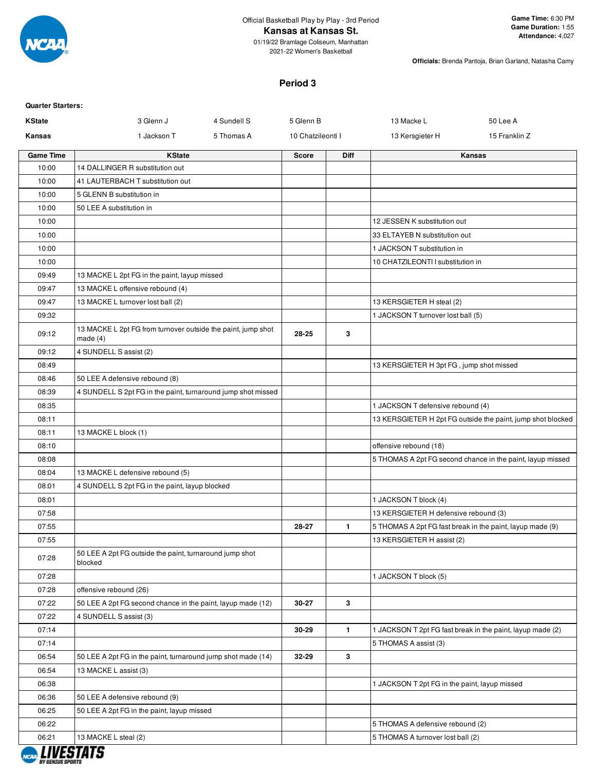

2021-22 Women's Basketball

**Officials:** Brenda Pantoja, Brian Garland, Natasha Camy

### **Period 3**

| <b>Quarter Starters:</b> |                                                                            |                   |              |                                               |                                                             |
|--------------------------|----------------------------------------------------------------------------|-------------------|--------------|-----------------------------------------------|-------------------------------------------------------------|
| <b>KState</b>            | 3 Glenn J<br>4 Sundell S                                                   | 5 Glenn B         |              | 13 Macke L                                    | 50 Lee A                                                    |
| Kansas                   | 1 Jackson T<br>5 Thomas A                                                  | 10 Chatzileonti I |              | 13 Kersgieter H                               | 15 Franklin Z                                               |
| <b>Game Time</b>         | <b>KState</b>                                                              | <b>Score</b>      | <b>Diff</b>  |                                               | Kansas                                                      |
| 10:00                    | 14 DALLINGER R substitution out                                            |                   |              |                                               |                                                             |
| 10:00                    | 41 LAUTERBACH T substitution out                                           |                   |              |                                               |                                                             |
| 10:00                    | 5 GLENN B substitution in                                                  |                   |              |                                               |                                                             |
| 10:00                    | 50 LEE A substitution in                                                   |                   |              |                                               |                                                             |
| 10:00                    |                                                                            |                   |              | 12 JESSEN K substitution out                  |                                                             |
| 10:00                    |                                                                            |                   |              | 33 ELTAYEB N substitution out                 |                                                             |
| 10:00                    |                                                                            |                   |              | 1 JACKSON T substitution in                   |                                                             |
| 10:00                    |                                                                            |                   |              | 10 CHATZILEONTI I substitution in             |                                                             |
| 09:49                    | 13 MACKE L 2pt FG in the paint, layup missed                               |                   |              |                                               |                                                             |
| 09:47                    | 13 MACKE L offensive rebound (4)                                           |                   |              |                                               |                                                             |
| 09:47                    | 13 MACKE L turnover lost ball (2)                                          |                   |              | 13 KERSGIETER H steal (2)                     |                                                             |
| 09:32                    |                                                                            |                   |              | 1 JACKSON T turnover lost ball (5)            |                                                             |
| 09:12                    | 13 MACKE L 2pt FG from turnover outside the paint, jump shot<br>made $(4)$ | 28-25             | 3            |                                               |                                                             |
| 09:12                    | 4 SUNDELL S assist (2)                                                     |                   |              |                                               |                                                             |
| 08:49                    |                                                                            |                   |              | 13 KERSGIETER H 3pt FG, jump shot missed      |                                                             |
| 08:46                    | 50 LEE A defensive rebound (8)                                             |                   |              |                                               |                                                             |
| 08:39                    | 4 SUNDELL S 2pt FG in the paint, turnaround jump shot missed               |                   |              |                                               |                                                             |
| 08:35                    |                                                                            |                   |              | 1 JACKSON T defensive rebound (4)             |                                                             |
| 08:11                    |                                                                            |                   |              |                                               | 13 KERSGIETER H 2pt FG outside the paint, jump shot blocked |
| 08:11                    | 13 MACKE L block (1)                                                       |                   |              |                                               |                                                             |
| 08:10                    |                                                                            |                   |              | offensive rebound (18)                        |                                                             |
| 08:08                    |                                                                            |                   |              |                                               | 5 THOMAS A 2pt FG second chance in the paint, layup missed  |
| 08:04                    | 13 MACKE L defensive rebound (5)                                           |                   |              |                                               |                                                             |
| 08:01                    | 4 SUNDELL S 2pt FG in the paint, layup blocked                             |                   |              |                                               |                                                             |
| 08:01                    |                                                                            |                   |              | 1 JACKSON T block (4)                         |                                                             |
| 07:58                    |                                                                            |                   |              | 13 KERSGIETER H defensive rebound (3)         |                                                             |
| 07:55                    |                                                                            | 28-27             | $\mathbf{1}$ |                                               | 5 THOMAS A 2pt FG fast break in the paint, layup made (9)   |
| 07:55                    |                                                                            |                   |              | 13 KERSGIETER H assist (2)                    |                                                             |
| 07:28                    | 50 LEE A 2pt FG outside the paint, turnaround jump shot<br>blocked         |                   |              |                                               |                                                             |
| 07:28                    |                                                                            |                   |              | 1 JACKSON T block (5)                         |                                                             |
| 07:28                    | offensive rebound (26)                                                     |                   |              |                                               |                                                             |
| 07:22                    | 50 LEE A 2pt FG second chance in the paint, layup made (12)                | 30-27             | 3            |                                               |                                                             |
| 07:22                    | 4 SUNDELL S assist (3)                                                     |                   |              |                                               |                                                             |
| 07:14                    |                                                                            | 30-29             | $\mathbf{1}$ |                                               | 1 JACKSON T 2pt FG fast break in the paint, layup made (2)  |
| 07:14                    |                                                                            |                   |              | 5 THOMAS A assist (3)                         |                                                             |
| 06:54                    | 50 LEE A 2pt FG in the paint, turnaround jump shot made (14)               | 32-29             | 3            |                                               |                                                             |
| 06:54                    | 13 MACKE L assist (3)                                                      |                   |              |                                               |                                                             |
| 06:38                    |                                                                            |                   |              | 1 JACKSON T 2pt FG in the paint, layup missed |                                                             |
| 06:36                    | 50 LEE A defensive rebound (9)                                             |                   |              |                                               |                                                             |
| 06:25                    | 50 LEE A 2pt FG in the paint, layup missed                                 |                   |              |                                               |                                                             |
| 06:22                    |                                                                            |                   |              | 5 THOMAS A defensive rebound (2)              |                                                             |
| 06:21                    | 13 MACKE L steal (2)                                                       |                   |              | 5 THOMAS A turnover lost ball (2)             |                                                             |

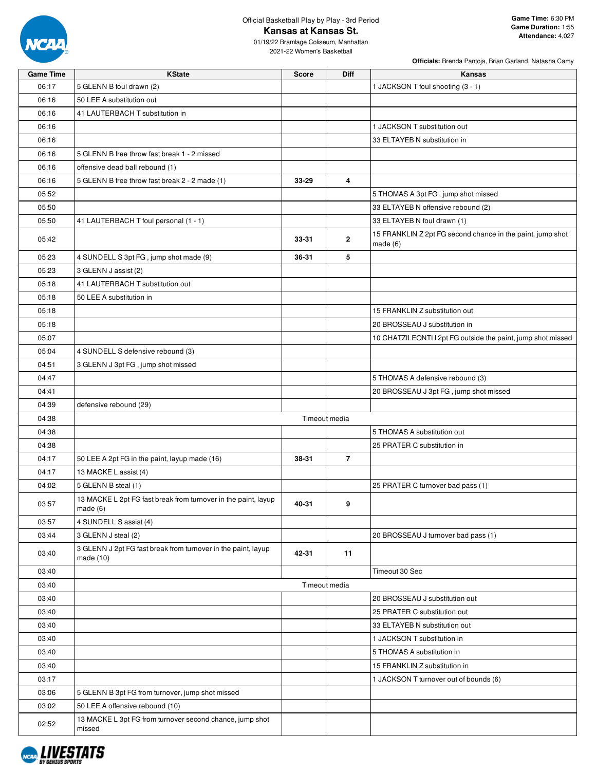

# Official Basketball Play by Play - 3rd Period **Kansas at Kansas St.**

| <b>Game Time</b> | <b>KState</b>                                                                | <b>Score</b> | Diff           | Kansas                                                                |
|------------------|------------------------------------------------------------------------------|--------------|----------------|-----------------------------------------------------------------------|
| 06:17            | 5 GLENN B foul drawn (2)                                                     |              |                | 1 JACKSON T foul shooting (3 - 1)                                     |
| 06:16            | 50 LEE A substitution out                                                    |              |                |                                                                       |
| 06:16            | 41 LAUTERBACH T substitution in                                              |              |                |                                                                       |
| 06:16            |                                                                              |              |                | 1 JACKSON T substitution out                                          |
| 06:16            |                                                                              |              |                | 33 ELTAYEB N substitution in                                          |
| 06:16            | 5 GLENN B free throw fast break 1 - 2 missed                                 |              |                |                                                                       |
| 06:16            | offensive dead ball rebound (1)                                              |              |                |                                                                       |
| 06:16            | 5 GLENN B free throw fast break 2 - 2 made (1)                               | 33-29        | 4              |                                                                       |
| 05:52            |                                                                              |              |                | 5 THOMAS A 3pt FG, jump shot missed                                   |
| 05:50            |                                                                              |              |                | 33 ELTAYEB N offensive rebound (2)                                    |
| 05:50            | 41 LAUTERBACH T foul personal (1 - 1)                                        |              |                | 33 ELTAYEB N foul drawn (1)                                           |
| 05:42            |                                                                              | 33-31        | $\mathbf{2}$   | 15 FRANKLIN Z 2pt FG second chance in the paint, jump shot<br>made(6) |
| 05:23            | 4 SUNDELL S 3pt FG, jump shot made (9)                                       | 36-31        | 5              |                                                                       |
| 05:23            | 3 GLENN J assist (2)                                                         |              |                |                                                                       |
| 05:18            | 41 LAUTERBACH T substitution out                                             |              |                |                                                                       |
| 05:18            | 50 LEE A substitution in                                                     |              |                |                                                                       |
| 05:18            |                                                                              |              |                | 15 FRANKLIN Z substitution out                                        |
| 05:18            |                                                                              |              |                | 20 BROSSEAU J substitution in                                         |
| 05:07            |                                                                              |              |                | 10 CHATZILEONTI I 2pt FG outside the paint, jump shot missed          |
| 05:04            | 4 SUNDELL S defensive rebound (3)                                            |              |                |                                                                       |
| 04:51            | 3 GLENN J 3pt FG, jump shot missed                                           |              |                |                                                                       |
| 04:47            |                                                                              |              |                | 5 THOMAS A defensive rebound (3)                                      |
| 04:41            |                                                                              |              |                | 20 BROSSEAU J 3pt FG, jump shot missed                                |
| 04:39            | defensive rebound (29)                                                       |              |                |                                                                       |
| 04:38            |                                                                              |              | Timeout media  |                                                                       |
| 04:38            |                                                                              |              |                | 5 THOMAS A substitution out                                           |
| 04:38            |                                                                              |              |                | 25 PRATER C substitution in                                           |
| 04:17            | 50 LEE A 2pt FG in the paint, layup made (16)                                | 38-31        | $\overline{7}$ |                                                                       |
| 04:17            | 13 MACKE L assist (4)                                                        |              |                |                                                                       |
| 04:02            | 5 GLENN B steal (1)                                                          |              |                | 25 PRATER C turnover bad pass (1)                                     |
| 03:57            | 13 MACKE L 2pt FG fast break from turnover in the paint, layup<br>made $(6)$ | 40-31        | 9              |                                                                       |
| 03:57            | 4 SUNDELL S assist (4)                                                       |              |                |                                                                       |
| 03:44            | 3 GLENN J steal (2)                                                          |              |                | 20 BROSSEAU J turnover bad pass (1)                                   |
| 03:40            | 3 GLENN J 2pt FG fast break from turnover in the paint, layup<br>made (10)   | 42-31        | 11             |                                                                       |
| 03:40            |                                                                              |              |                | Timeout 30 Sec                                                        |
| 03:40            |                                                                              |              | Timeout media  |                                                                       |
| 03:40            |                                                                              |              |                | 20 BROSSEAU J substitution out                                        |
| 03:40            |                                                                              |              |                | 25 PRATER C substitution out                                          |
| 03:40            |                                                                              |              |                | 33 ELTAYEB N substitution out                                         |
| 03:40            |                                                                              |              |                | 1 JACKSON T substitution in                                           |
| 03:40            |                                                                              |              |                | 5 THOMAS A substitution in                                            |
| 03:40            |                                                                              |              |                | 15 FRANKLIN Z substitution in                                         |
| 03:17            |                                                                              |              |                | 1 JACKSON T turnover out of bounds (6)                                |
| 03:06            | 5 GLENN B 3pt FG from turnover, jump shot missed                             |              |                |                                                                       |
| 03:02            | 50 LEE A offensive rebound (10)                                              |              |                |                                                                       |
|                  | 13 MACKE L 3pt FG from turnover second chance, jump shot                     |              |                |                                                                       |
| 02:52            | missed                                                                       |              |                |                                                                       |

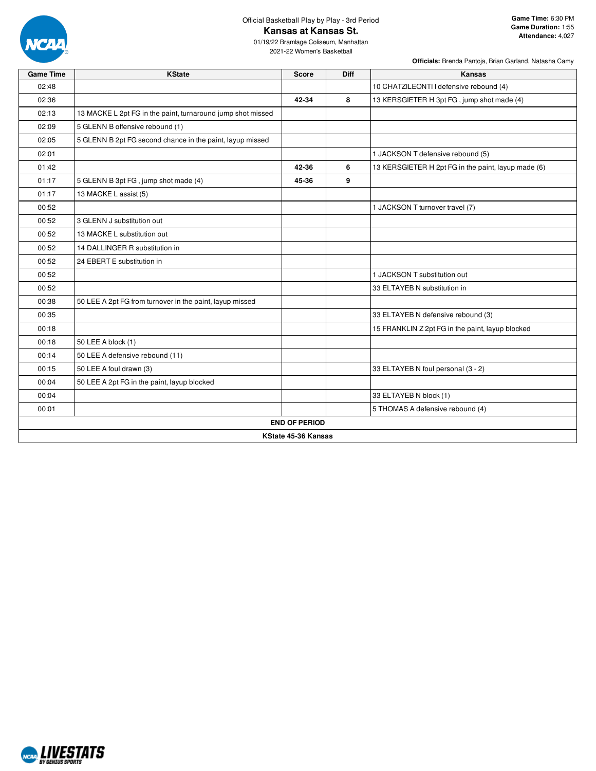

# Official Basketball Play by Play - 3rd Period **Kansas at Kansas St.**

01/19/22 Bramlage Coliseum, Manhattan 2021-22 Women's Basketball

| <b>Game Time</b> | <b>KState</b>                                               | <b>Score</b>         | <b>Diff</b> | Kansas                                              |  |  |  |  |  |  |  |
|------------------|-------------------------------------------------------------|----------------------|-------------|-----------------------------------------------------|--|--|--|--|--|--|--|
| 02:48            |                                                             |                      |             | 10 CHATZILEONTI I defensive rebound (4)             |  |  |  |  |  |  |  |
| 02:36            |                                                             | 42-34                | 8           | 13 KERSGIETER H 3pt FG, jump shot made (4)          |  |  |  |  |  |  |  |
| 02:13            | 13 MACKE L 2pt FG in the paint, turnaround jump shot missed |                      |             |                                                     |  |  |  |  |  |  |  |
| 02:09            | 5 GLENN B offensive rebound (1)                             |                      |             |                                                     |  |  |  |  |  |  |  |
| 02:05            | 5 GLENN B 2pt FG second chance in the paint, layup missed   |                      |             |                                                     |  |  |  |  |  |  |  |
| 02:01            |                                                             |                      |             | 1 JACKSON T defensive rebound (5)                   |  |  |  |  |  |  |  |
| 01:42            |                                                             | 42-36                | 6           | 13 KERSGIETER H 2pt FG in the paint, layup made (6) |  |  |  |  |  |  |  |
| 01:17            | 5 GLENN B 3pt FG, jump shot made (4)                        | 45-36                | 9           |                                                     |  |  |  |  |  |  |  |
| 01:17            | 13 MACKE L assist (5)                                       |                      |             |                                                     |  |  |  |  |  |  |  |
| 00:52            |                                                             |                      |             | 1 JACKSON T turnover travel (7)                     |  |  |  |  |  |  |  |
| 00:52            | 3 GLENN J substitution out                                  |                      |             |                                                     |  |  |  |  |  |  |  |
| 00:52            | 13 MACKE L substitution out                                 |                      |             |                                                     |  |  |  |  |  |  |  |
| 00:52            | 14 DALLINGER R substitution in                              |                      |             |                                                     |  |  |  |  |  |  |  |
| 00:52            | 24 EBERT E substitution in                                  |                      |             |                                                     |  |  |  |  |  |  |  |
| 00:52            |                                                             |                      |             | 1 JACKSON T substitution out                        |  |  |  |  |  |  |  |
| 00:52            |                                                             |                      |             | 33 ELTAYEB N substitution in                        |  |  |  |  |  |  |  |
| 00:38            | 50 LEE A 2pt FG from turnover in the paint, layup missed    |                      |             |                                                     |  |  |  |  |  |  |  |
| 00:35            |                                                             |                      |             | 33 ELTAYEB N defensive rebound (3)                  |  |  |  |  |  |  |  |
| 00:18            |                                                             |                      |             | 15 FRANKLIN Z 2pt FG in the paint, layup blocked    |  |  |  |  |  |  |  |
| 00:18            | 50 LEE A block (1)                                          |                      |             |                                                     |  |  |  |  |  |  |  |
| 00:14            | 50 LEE A defensive rebound (11)                             |                      |             |                                                     |  |  |  |  |  |  |  |
| 00:15            | 50 LEE A foul drawn (3)                                     |                      |             | 33 ELTAYEB N foul personal (3 - 2)                  |  |  |  |  |  |  |  |
| 00:04            | 50 LEE A 2pt FG in the paint, layup blocked                 |                      |             |                                                     |  |  |  |  |  |  |  |
| 00:04            |                                                             |                      |             | 33 ELTAYEB N block (1)                              |  |  |  |  |  |  |  |
| 00:01            |                                                             |                      |             | 5 THOMAS A defensive rebound (4)                    |  |  |  |  |  |  |  |
|                  |                                                             | <b>END OF PERIOD</b> |             |                                                     |  |  |  |  |  |  |  |
|                  | KState 45-36 Kansas                                         |                      |             |                                                     |  |  |  |  |  |  |  |

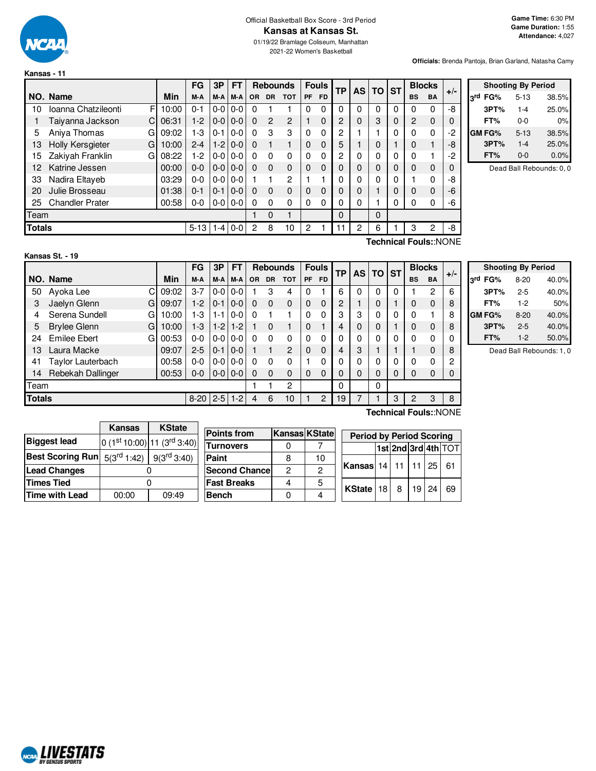

**Kansas - 11**

# Official Basketball Box Score - 3rd Period **Kansas at Kansas St.**

01/19/22 Bramlage Coliseum, Manhattan 2021-22 Women's Basketball

**Officials:** Brenda Pantoja, Brian Garland, Natasha Camy

|               |                          |       | <b>FG</b> | 3P            | <b>FT</b> | <b>Rebounds</b> |                |                |              |           |          |          |             |   |                |           |    |  |  |  |  |  |  |  |  | <b>Fouls</b> |  | <b>AS</b> | ТP |  | <b>ST</b> |  | <b>Blocks</b> | $+/-$ |
|---------------|--------------------------|-------|-----------|---------------|-----------|-----------------|----------------|----------------|--------------|-----------|----------|----------|-------------|---|----------------|-----------|----|--|--|--|--|--|--|--|--|--------------|--|-----------|----|--|-----------|--|---------------|-------|
|               | NO. Name                 | Min   | M-A       | M-A           | M-A       | <b>OR</b>       | <b>DR</b>      | <b>TOT</b>     | <b>PF</b>    | <b>FD</b> |          |          | <b>TO</b>   |   | <b>BS</b>      | <b>BA</b> |    |  |  |  |  |  |  |  |  |              |  |           |    |  |           |  |               |       |
| 10            | Ioanna Chatzileonti<br>F | 10:00 | $0 - 1$   | $0-0$         | $0 - 0$   | 0               |                |                | 0            | 0         | 0        | $\Omega$ | 0           | 0 | 0              | $\Omega$  | -8 |  |  |  |  |  |  |  |  |              |  |           |    |  |           |  |               |       |
|               | Cı<br>Taiyanna Jackson   | 06:31 | $1-2$     | $0-0$         | $0 - 0$   | 0               | $\overline{2}$ | $\overline{2}$ |              | $\Omega$  | 2        | 0        | 3           | 0 | $\overline{2}$ | 0         | 0  |  |  |  |  |  |  |  |  |              |  |           |    |  |           |  |               |       |
| 5             | Aniya Thomas<br>G        | 09:02 | 1-3       | $0 - 1$       | $0 - 0$   | 0               | 3              | 3              | $\mathbf{0}$ | 0         | 2        |          |             | 0 | 0              | 0         | -2 |  |  |  |  |  |  |  |  |              |  |           |    |  |           |  |               |       |
| 13            | Holly Kersgieter<br>G    | 10:00 | $2 - 4$   | $1 - 2$       | $0 - 0$   | $\Omega$        |                |                | $\Omega$     | $\Omega$  | 5        |          | $\Omega$    |   | 0              |           | -8 |  |  |  |  |  |  |  |  |              |  |           |    |  |           |  |               |       |
| 15            | Zakiyah Franklin<br>G    | 08:22 | $1-2$     | $0 - 0 0 - 0$ |           | $\Omega$        | $\Omega$       | 0              | $\Omega$     | 0         | 2        | 0        | 0           | 0 | 0              |           | -2 |  |  |  |  |  |  |  |  |              |  |           |    |  |           |  |               |       |
| 12            | Katrine Jessen           | 00:00 | $0 - 0$   | $0 - 0 0 - 0$ |           | $\Omega$        | $\Omega$       | $\Omega$       | $\Omega$     | $\Omega$  | 0        | 0        | 0           | 0 | 0              | 0         | 0  |  |  |  |  |  |  |  |  |              |  |           |    |  |           |  |               |       |
| 33            | Nadira Eltayeb           | 03:29 | $0 - 0$   | $0-0$         | $0 - 0$   |                 |                | $\mathfrak{p}$ |              |           | 0        | O        | 0           | 0 |                | 0         | -8 |  |  |  |  |  |  |  |  |              |  |           |    |  |           |  |               |       |
| 20            | Julie Brosseau           | 01:38 | $0 - 1$   | $0 - 1$       | $0 - 0$   | $\Omega$        | $\Omega$       | $\Omega$       | $\Omega$     | $\Omega$  | 0        | 0        |             | 0 | 0              | $\Omega$  | -6 |  |  |  |  |  |  |  |  |              |  |           |    |  |           |  |               |       |
| 25            | <b>Chandler Prater</b>   | 00:58 | $0-0$     | $0 - 0 0 - 0$ |           | $\Omega$        | $\Omega$       | $\Omega$       | $\Omega$     | 0         | 0        | 0        | 1           | 0 | 0              | 0         | -6 |  |  |  |  |  |  |  |  |              |  |           |    |  |           |  |               |       |
| Team          |                          |       |           |               |           |                 | $\Omega$       |                |              |           | $\Omega$ |          | $\mathbf 0$ |   |                |           |    |  |  |  |  |  |  |  |  |              |  |           |    |  |           |  |               |       |
| <b>Totals</b> |                          |       | $5 - 13$  | $1 - 4$       | $0 - 0$   | 2               | 8              | 10             | 2            |           | 11       | 2        | 6           |   | 3              | 2         | -8 |  |  |  |  |  |  |  |  |              |  |           |    |  |           |  |               |       |

| <b>Shooting By Period</b> |               |          |       |  |  |  |  |  |  |  |  |
|---------------------------|---------------|----------|-------|--|--|--|--|--|--|--|--|
|                           | 3rd FG%       | $5 - 13$ | 38.5% |  |  |  |  |  |  |  |  |
|                           | 3PT%          | $1 - 4$  | 25.0% |  |  |  |  |  |  |  |  |
|                           | FT%           | $0 - 0$  | 0%    |  |  |  |  |  |  |  |  |
|                           | <b>GM FG%</b> | $5 - 13$ | 38.5% |  |  |  |  |  |  |  |  |
|                           | 3PT%          | $1 - 4$  | 25.0% |  |  |  |  |  |  |  |  |
|                           | FT%           | 0-0      | 0.0%  |  |  |  |  |  |  |  |  |

Dead Ball Rebounds: 0, 0

| Kansas St. - 19 |  |  |
|-----------------|--|--|
|                 |  |  |
|                 |  |  |

**Technical Fouls:**:NONE

|               |                          |       | FG       | 3P      | <b>FT</b> |           | <b>Rebounds</b> |                |             | <b>Fouls</b> | ТP |   | AS I | TO ST |           |                       | <b>Blocks</b> | $+/-$ |
|---------------|--------------------------|-------|----------|---------|-----------|-----------|-----------------|----------------|-------------|--------------|----|---|------|-------|-----------|-----------------------|---------------|-------|
|               | NO. Name                 | Min   | M-A      | M-A     | M-A       | <b>OR</b> | <b>DR</b>       | <b>TOT</b>     | PF          | <b>FD</b>    |    |   |      |       | <b>BS</b> | <b>BA</b>             |               |       |
| 50            | С<br>Ayoka Lee           | 09:02 | 3-7      | $0 - 0$ | $0-0$     |           | 3               | 4              | $\Omega$    |              | 6  | 0 | 0    | 0     |           | 2                     | 6             |       |
| 3             | Jaelyn Glenn<br>G        | 09:07 | $1-2$    | $0 - 1$ | $0-0$     | 0         | 0               | 0              | $\mathbf 0$ | 0            | 2  |   | 0    |       | 0         | $\Omega$              | 8             |       |
| 4             | Serena Sundell<br>G      | 10:00 | 1-3      | $1 - 1$ | $0-0$     | 0         |                 |                | $\Omega$    | 0            | 3  | 3 | 0    | 0     | 0         |                       | 8             |       |
| 5             | <b>Brylee Glenn</b><br>G | 10:00 | $1 - 3$  | $1-2$   | $1-2$     |           | 0               |                | 0           |              | 4  | 0 | 0    |       | 0         | $\mathbf 0$           | 8             |       |
| 24            | <b>Emilee Ebert</b><br>G | 00:53 | 0-0      | $0-0$   | $0-0$     | 0         | $\Omega$        | 0              | $\Omega$    | 0            | 0  | 0 | 0    | 0     | 0         | 0                     |               |       |
| 13            | Laura Macke              | 09:07 | $2 - 5$  | $0 - 1$ | $0 - 0$   |           |                 | $\mathfrak{p}$ | $\mathbf 0$ | 0            | 4  | 3 |      |       |           | $\mathbf 0$           | 8             |       |
| 41            | Taylor Lauterbach        | 00:58 | 0-0      | $0 - 0$ | $0-0$     | 0         | $\Omega$        | 0              |             | 0            | 0  | 0 | 0    | 0     | 0         | $\Omega$              | 2             |       |
| 14            | Rebekah Dallinger        | 00:53 | $0-0$    | $0-0$   | $0-0$     | 0         | $\Omega$        | 0              | $\Omega$    | 0            | 0  | 0 | 0    | 0     | 0         | $\mathbf 0$           |               |       |
| Team          |                          |       |          |         |           |           |                 | 2              |             |              | 0  |   | 0    |       |           |                       |               |       |
| <b>Totals</b> |                          |       | $8 - 20$ | $2-5$   | $1-2$     | 4         | 6               | 10             |             | 2            | 19 |   |      | 3     | 2         | 3                     | 8             |       |
|               |                          |       |          |         |           |           |                 |                |             |              |    |   |      |       |           | Technical Fouls::NONE |               |       |

| <b>Shooting By Period</b> |          |       |  |  |  |  |  |  |  |
|---------------------------|----------|-------|--|--|--|--|--|--|--|
| 3rd FG%                   | $8 - 20$ | 40.0% |  |  |  |  |  |  |  |
| 3PT%                      | $2 - 5$  | 40.0% |  |  |  |  |  |  |  |
| FT%                       | $1-2$    | 50%   |  |  |  |  |  |  |  |
| <b>GM FG%</b>             | $8 - 20$ | 40.0% |  |  |  |  |  |  |  |
| 3PT%                      | $2 - 5$  | 40.0% |  |  |  |  |  |  |  |
| FT%                       | $1-2$    | 50.0% |  |  |  |  |  |  |  |

Dead Ball Rebounds: 1, 0

|                         | Kansas                 | <b>KState</b>            |                       |   |               |                                 |                |    |                 |                     |
|-------------------------|------------------------|--------------------------|-----------------------|---|---------------|---------------------------------|----------------|----|-----------------|---------------------|
|                         |                        |                          | <b>Points from</b>    |   | Kansas KState | <b>Period by Period Scoring</b> |                |    |                 |                     |
| <b>Biggest lead</b>     |                        | $0(1st10:00)11(3rd3:40)$ | <b>Turnovers</b>      |   |               |                                 |                |    |                 | 1st 2nd 3rd 4th TOT |
| <b>Best Scoring Run</b> | $5(3^{\text{rd}}1:42)$ | $9(3^{\text{rd}}3:40)$   | Paint                 |   | 10            |                                 |                |    |                 |                     |
| <b>Lead Changes</b>     |                        |                          | <b>Second Chancel</b> | 2 |               | Kansas                          | $14$   11   11 |    | 25 <sub>1</sub> | -61                 |
| <b>Times Tied</b>       |                        |                          | <b> Fast Breaks</b>   | 4 | 5             |                                 |                | 19 | 24 I            | -69                 |
| Time with Lead          | 00:00                  | 09:49                    | <b>Bench</b>          |   |               | KState $ 18 8$                  |                |    |                 |                     |

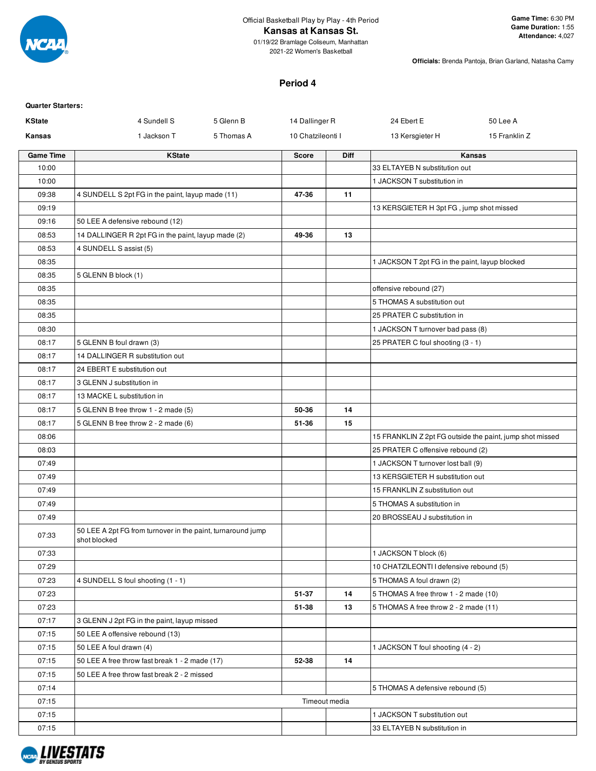

#### **Kansas at Kansas St.**

01/19/22 Bramlage Coliseum, Manhattan 2021-22 Women's Basketball

**Officials:** Brenda Pantoja, Brian Garland, Natasha Camy

## **Period 4**

| <b>Quarter Starters:</b> |                                                                             |            |                   |               |                                                |                                                          |
|--------------------------|-----------------------------------------------------------------------------|------------|-------------------|---------------|------------------------------------------------|----------------------------------------------------------|
| <b>KState</b>            | 4 Sundell S                                                                 | 5 Glenn B  | 14 Dallinger R    |               | 24 Ebert E                                     | 50 Lee A                                                 |
| Kansas                   | 1 Jackson T                                                                 | 5 Thomas A | 10 Chatzileonti I |               | 13 Kersgieter H                                | 15 Franklin Z                                            |
| <b>Game Time</b>         | <b>KState</b>                                                               |            | <b>Score</b>      | <b>Diff</b>   |                                                | Kansas                                                   |
| 10:00                    |                                                                             |            |                   |               | 33 ELTAYEB N substitution out                  |                                                          |
| 10:00                    |                                                                             |            |                   |               | 1 JACKSON T substitution in                    |                                                          |
| 09:38                    | 4 SUNDELL S 2pt FG in the paint, layup made (11)                            |            | 47-36             | 11            |                                                |                                                          |
| 09:19                    |                                                                             |            |                   |               | 13 KERSGIETER H 3pt FG, jump shot missed       |                                                          |
| 09:16                    | 50 LEE A defensive rebound (12)                                             |            |                   |               |                                                |                                                          |
| 08:53                    | 14 DALLINGER R 2pt FG in the paint, layup made (2)                          |            | 49-36             | 13            |                                                |                                                          |
| 08:53                    | 4 SUNDELL S assist (5)                                                      |            |                   |               |                                                |                                                          |
| 08:35                    |                                                                             |            |                   |               | 1 JACKSON T 2pt FG in the paint, layup blocked |                                                          |
| 08:35                    | 5 GLENN B block (1)                                                         |            |                   |               |                                                |                                                          |
| 08:35                    |                                                                             |            |                   |               | offensive rebound (27)                         |                                                          |
| 08:35                    |                                                                             |            |                   |               | 5 THOMAS A substitution out                    |                                                          |
| 08:35                    |                                                                             |            |                   |               | 25 PRATER C substitution in                    |                                                          |
| 08:30                    |                                                                             |            |                   |               | 1 JACKSON T turnover bad pass (8)              |                                                          |
| 08:17                    | 5 GLENN B foul drawn (3)                                                    |            |                   |               | 25 PRATER C foul shooting (3 - 1)              |                                                          |
| 08:17                    | 14 DALLINGER R substitution out                                             |            |                   |               |                                                |                                                          |
| 08:17                    | 24 EBERT E substitution out                                                 |            |                   |               |                                                |                                                          |
| 08:17                    | 3 GLENN J substitution in                                                   |            |                   |               |                                                |                                                          |
| 08:17                    | 13 MACKE L substitution in                                                  |            |                   |               |                                                |                                                          |
| 08:17                    | 5 GLENN B free throw 1 - 2 made (5)                                         |            | 50-36             | 14            |                                                |                                                          |
| 08:17                    | 5 GLENN B free throw 2 - 2 made (6)                                         |            | 51-36             | 15            |                                                |                                                          |
| 08:06                    |                                                                             |            |                   |               |                                                | 15 FRANKLIN Z 2pt FG outside the paint, jump shot missed |
| 08:03                    |                                                                             |            |                   |               | 25 PRATER C offensive rebound (2)              |                                                          |
| 07:49                    |                                                                             |            |                   |               | 1 JACKSON T turnover lost ball (9)             |                                                          |
| 07:49                    |                                                                             |            |                   |               | 13 KERSGIETER H substitution out               |                                                          |
| 07:49                    |                                                                             |            |                   |               | 15 FRANKLIN Z substitution out                 |                                                          |
| 07:49                    |                                                                             |            |                   |               | 5 THOMAS A substitution in                     |                                                          |
| 07:49                    |                                                                             |            |                   |               | 20 BROSSEAU J substitution in                  |                                                          |
| 07:33                    | 50 LEE A 2pt FG from turnover in the paint, turnaround jump<br>shot blocked |            |                   |               |                                                |                                                          |
| 07:33                    |                                                                             |            |                   |               | 1 JACKSON T block (6)                          |                                                          |
| 07:29                    |                                                                             |            |                   |               | 10 CHATZILEONTI I defensive rebound (5)        |                                                          |
| 07:23                    | 4 SUNDELL S foul shooting (1 - 1)                                           |            |                   |               | 5 THOMAS A foul drawn (2)                      |                                                          |
| 07:23                    |                                                                             |            | 51-37             | 14            | 5 THOMAS A free throw 1 - 2 made (10)          |                                                          |
| 07:23                    |                                                                             |            | 51-38             | 13            | 5 THOMAS A free throw 2 - 2 made (11)          |                                                          |
| 07:17                    | 3 GLENN J 2pt FG in the paint, layup missed                                 |            |                   |               |                                                |                                                          |
| 07:15                    | 50 LEE A offensive rebound (13)                                             |            |                   |               |                                                |                                                          |
| 07:15                    | 50 LEE A foul drawn (4)                                                     |            |                   |               | 1 JACKSON T foul shooting (4 - 2)              |                                                          |
| 07:15                    | 50 LEE A free throw fast break 1 - 2 made (17)                              |            | 52-38             | 14            |                                                |                                                          |
| 07:15                    | 50 LEE A free throw fast break 2 - 2 missed                                 |            |                   |               |                                                |                                                          |
| 07:14                    |                                                                             |            |                   |               | 5 THOMAS A defensive rebound (5)               |                                                          |
| 07:15                    |                                                                             |            |                   | Timeout media |                                                |                                                          |
| 07:15                    |                                                                             |            |                   |               | 1 JACKSON T substitution out                   |                                                          |
| 07:15                    |                                                                             |            |                   |               | 33 ELTAYEB N substitution in                   |                                                          |

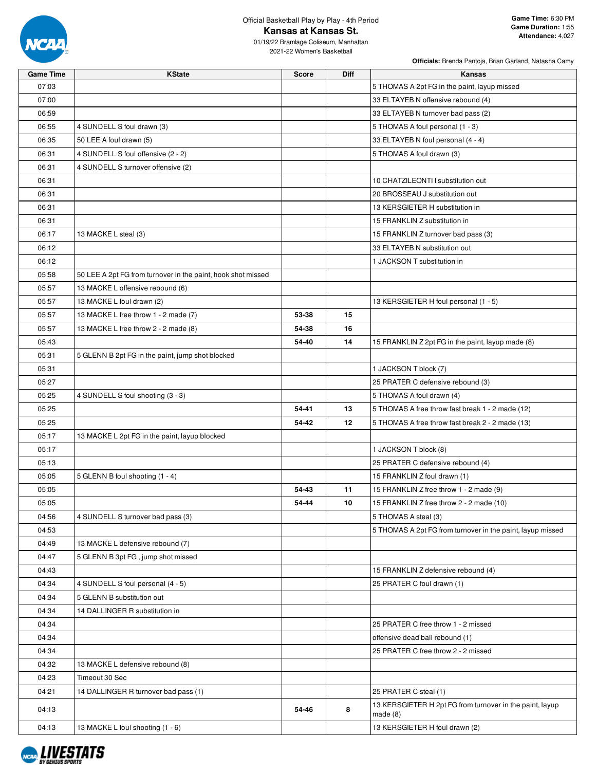

## Official Basketball Play by Play - 4th Period **Kansas at Kansas St.**

**Officials:** Brenda Pantoja, Brian Garland, Natasha Camy

01/19/22 Bramlage Coliseum, Manhattan 2021-22 Women's Basketball

**Game Time KState Score Diff Kansas**

| 07:03 |                                                              |       |    | 5 THOMAS A 2pt FG in the paint, layup missed                         |
|-------|--------------------------------------------------------------|-------|----|----------------------------------------------------------------------|
| 07:00 |                                                              |       |    | 33 ELTAYEB N offensive rebound (4)                                   |
| 06:59 |                                                              |       |    | 33 ELTAYEB N turnover bad pass (2)                                   |
| 06:55 | 4 SUNDELL S foul drawn (3)                                   |       |    | 5 THOMAS A foul personal (1 - 3)                                     |
| 06:35 | 50 LEE A foul drawn (5)                                      |       |    | 33 ELTAYEB N foul personal (4 - 4)                                   |
| 06:31 | 4 SUNDELL S foul offensive (2 - 2)                           |       |    | 5 THOMAS A foul drawn (3)                                            |
| 06:31 | 4 SUNDELL S turnover offensive (2)                           |       |    |                                                                      |
| 06:31 |                                                              |       |    | 10 CHATZILEONTI I substitution out                                   |
| 06:31 |                                                              |       |    | 20 BROSSEAU J substitution out                                       |
| 06:31 |                                                              |       |    | 13 KERSGIETER H substitution in                                      |
| 06:31 |                                                              |       |    | 15 FRANKLIN Z substitution in                                        |
| 06:17 | 13 MACKE L steal (3)                                         |       |    | 15 FRANKLIN Z turnover bad pass (3)                                  |
| 06:12 |                                                              |       |    | 33 ELTAYEB N substitution out                                        |
| 06:12 |                                                              |       |    | 1 JACKSON T substitution in                                          |
| 05:58 | 50 LEE A 2pt FG from turnover in the paint, hook shot missed |       |    |                                                                      |
| 05:57 | 13 MACKE L offensive rebound (6)                             |       |    |                                                                      |
| 05:57 | 13 MACKE L foul drawn (2)                                    |       |    | 13 KERSGIETER H foul personal (1 - 5)                                |
| 05:57 | 13 MACKE L free throw 1 - 2 made (7)                         | 53-38 | 15 |                                                                      |
| 05:57 | 13 MACKE L free throw 2 - 2 made (8)                         | 54-38 | 16 |                                                                      |
| 05:43 |                                                              | 54-40 | 14 | 15 FRANKLIN Z 2pt FG in the paint, layup made (8)                    |
| 05:31 | 5 GLENN B 2pt FG in the paint, jump shot blocked             |       |    |                                                                      |
| 05:31 |                                                              |       |    | 1 JACKSON T block (7)                                                |
| 05:27 |                                                              |       |    | 25 PRATER C defensive rebound (3)                                    |
| 05:25 | 4 SUNDELL S foul shooting (3 - 3)                            |       |    | 5 THOMAS A foul drawn (4)                                            |
| 05:25 |                                                              | 54-41 | 13 | 5 THOMAS A free throw fast break 1 - 2 made (12)                     |
| 05:25 |                                                              | 54-42 | 12 | 5 THOMAS A free throw fast break 2 - 2 made (13)                     |
| 05:17 | 13 MACKE L 2pt FG in the paint, layup blocked                |       |    |                                                                      |
| 05:17 |                                                              |       |    | 1 JACKSON T block (8)                                                |
| 05:13 |                                                              |       |    | 25 PRATER C defensive rebound (4)                                    |
| 05:05 | 5 GLENN B foul shooting (1 - 4)                              |       |    | 15 FRANKLIN Z foul drawn (1)                                         |
| 05:05 |                                                              | 54-43 | 11 | 15 FRANKLIN Z free throw 1 - 2 made (9)                              |
| 05:05 |                                                              | 54-44 | 10 | 15 FRANKLIN Z free throw 2 - 2 made (10)                             |
| 04:56 | 4 SUNDELL S turnover bad pass (3)                            |       |    | 5 THOMAS A steal (3)                                                 |
| 04:53 |                                                              |       |    | 5 THOMAS A 2pt FG from turnover in the paint, layup missed           |
| 04:49 | 13 MACKE L defensive rebound (7)                             |       |    |                                                                      |
| 04:47 | 5 GLENN B 3pt FG, jump shot missed                           |       |    |                                                                      |
| 04:43 |                                                              |       |    | 15 FRANKLIN Z defensive rebound (4)                                  |
| 04:34 | 4 SUNDELL S foul personal (4 - 5)                            |       |    | 25 PRATER C foul drawn (1)                                           |
| 04:34 | 5 GLENN B substitution out                                   |       |    |                                                                      |
| 04:34 | 14 DALLINGER R substitution in                               |       |    |                                                                      |
| 04:34 |                                                              |       |    | 25 PRATER C free throw 1 - 2 missed                                  |
| 04:34 |                                                              |       |    | offensive dead ball rebound (1)                                      |
| 04:34 |                                                              |       |    | 25 PRATER C free throw 2 - 2 missed                                  |
| 04:32 | 13 MACKE L defensive rebound (8)                             |       |    |                                                                      |
| 04:23 | Timeout 30 Sec                                               |       |    |                                                                      |
| 04:21 | 14 DALLINGER R turnover bad pass (1)                         |       |    | 25 PRATER C steal (1)                                                |
| 04:13 |                                                              | 54-46 | 8  | 13 KERSGIETER H 2pt FG from turnover in the paint, layup<br>made (8) |
| 04:13 | 13 MACKE L foul shooting (1 - 6)                             |       |    | 13 KERSGIETER H foul drawn (2)                                       |

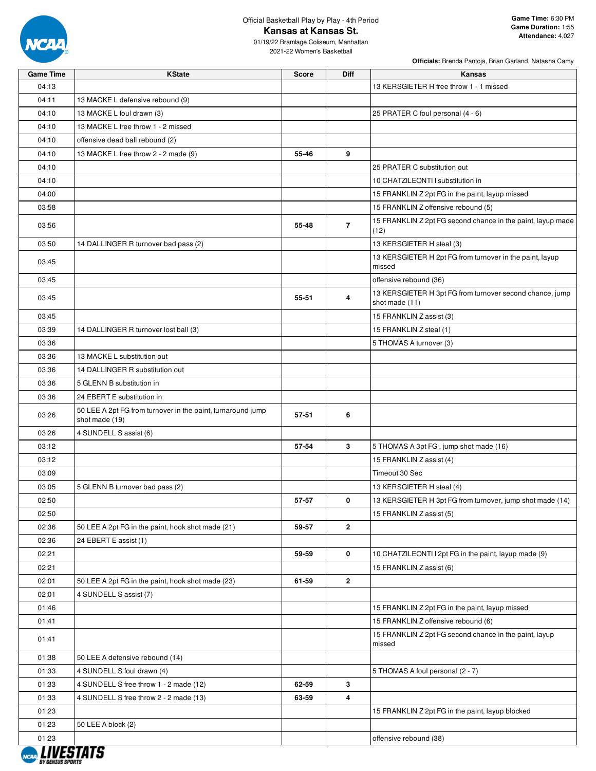

# Official Basketball Play by Play - 4th Period **Kansas at Kansas St.**

01/19/22 Bramlage Coliseum, Manhattan 2021-22 Women's Basketball

| <b>Game Time</b>               | <b>KState</b>                                                                 | <b>Score</b> | <b>Diff</b>    | <b>Kansas</b>                                                              |
|--------------------------------|-------------------------------------------------------------------------------|--------------|----------------|----------------------------------------------------------------------------|
| 04:13                          |                                                                               |              |                | 13 KERSGIETER H free throw 1 - 1 missed                                    |
| 04:11                          | 13 MACKE L defensive rebound (9)                                              |              |                |                                                                            |
| 04:10                          | 13 MACKE L foul drawn (3)                                                     |              |                | 25 PRATER C foul personal (4 - 6)                                          |
| 04:10                          | 13 MACKE L free throw 1 - 2 missed                                            |              |                |                                                                            |
| 04:10                          | offensive dead ball rebound (2)                                               |              |                |                                                                            |
| 04:10                          | 13 MACKE L free throw 2 - 2 made (9)                                          | 55-46        | 9              |                                                                            |
| 04:10                          |                                                                               |              |                | 25 PRATER C substitution out                                               |
| 04:10                          |                                                                               |              |                | 10 CHATZILEONTI I substitution in                                          |
| 04:00                          |                                                                               |              |                | 15 FRANKLIN Z 2pt FG in the paint, layup missed                            |
| 03:58                          |                                                                               |              |                | 15 FRANKLIN Z offensive rebound (5)                                        |
| 03:56                          |                                                                               | 55-48        | $\overline{7}$ | 15 FRANKLIN Z 2pt FG second chance in the paint, layup made<br>(12)        |
| 03:50                          | 14 DALLINGER R turnover bad pass (2)                                          |              |                | 13 KERSGIETER H steal (3)                                                  |
| 03:45                          |                                                                               |              |                | 13 KERSGIETER H 2pt FG from turnover in the paint, layup<br>missed         |
| 03:45                          |                                                                               |              |                | offensive rebound (36)                                                     |
| 03:45                          |                                                                               | 55-51        | 4              | 13 KERSGIETER H 3pt FG from turnover second chance, jump<br>shot made (11) |
| 03:45                          |                                                                               |              |                | 15 FRANKLIN Z assist (3)                                                   |
| 03:39                          | 14 DALLINGER R turnover lost ball (3)                                         |              |                | 15 FRANKLIN Z steal (1)                                                    |
| 03:36                          |                                                                               |              |                | 5 THOMAS A turnover (3)                                                    |
| 03:36                          | 13 MACKE L substitution out                                                   |              |                |                                                                            |
| 03:36                          | 14 DALLINGER R substitution out                                               |              |                |                                                                            |
| 03:36                          | 5 GLENN B substitution in                                                     |              |                |                                                                            |
| 03:36                          | 24 EBERT E substitution in                                                    |              |                |                                                                            |
| 03:26                          | 50 LEE A 2pt FG from turnover in the paint, turnaround jump<br>shot made (19) | 57-51        | 6              |                                                                            |
| 03:26                          | 4 SUNDELL S assist (6)                                                        |              |                |                                                                            |
| 03:12                          |                                                                               | 57-54        | 3              | 5 THOMAS A 3pt FG, jump shot made (16)                                     |
| 03:12                          |                                                                               |              |                | 15 FRANKLIN Z assist (4)                                                   |
| 03:09                          |                                                                               |              |                | Timeout 30 Sec                                                             |
| 03:05                          | 5 GLENN B turnover bad pass (2)                                               |              |                | 13 KERSGIETER H steal (4)                                                  |
| 02:50                          |                                                                               | 57-57        | 0              | 13 KERSGIETER H 3pt FG from turnover, jump shot made (14)                  |
| 02:50                          |                                                                               |              |                | 15 FRANKLIN Z assist (5)                                                   |
| 02:36                          | 50 LEE A 2pt FG in the paint, hook shot made (21)                             | 59-57        | $\overline{2}$ |                                                                            |
| 02:36                          | 24 EBERT E assist (1)                                                         |              |                |                                                                            |
| 02:21                          |                                                                               | 59-59        | 0              | 10 CHATZILEONTI I 2pt FG in the paint, layup made (9)                      |
| 02:21                          |                                                                               |              |                | 15 FRANKLIN Z assist (6)                                                   |
| 02:01                          | 50 LEE A 2pt FG in the paint, hook shot made (23)                             | 61-59        | $\mathbf{2}$   |                                                                            |
| 02:01                          | 4 SUNDELL S assist (7)                                                        |              |                |                                                                            |
| 01:46                          |                                                                               |              |                | 15 FRANKLIN Z 2pt FG in the paint, layup missed                            |
| 01:41                          |                                                                               |              |                | 15 FRANKLIN Z offensive rebound (6)                                        |
| 01:41                          |                                                                               |              |                | 15 FRANKLIN Z 2pt FG second chance in the paint, layup<br>missed           |
| 01:38                          | 50 LEE A defensive rebound (14)                                               |              |                |                                                                            |
| 01:33                          | 4 SUNDELL S foul drawn (4)                                                    |              |                | 5 THOMAS A foul personal (2 - 7)                                           |
| 01:33                          | 4 SUNDELL S free throw 1 - 2 made (12)                                        | 62-59        | 3              |                                                                            |
| 01:33                          | 4 SUNDELL S free throw 2 - 2 made (13)                                        | 63-59        | 4              |                                                                            |
| 01:23                          |                                                                               |              |                | 15 FRANKLIN Z 2pt FG in the paint, layup blocked                           |
| 01:23                          | 50 LEE A block (2)                                                            |              |                |                                                                            |
| 01:23                          |                                                                               |              |                | offensive rebound (38)                                                     |
|                                |                                                                               |              |                |                                                                            |
| <i><b>RY GENTIIS SPORT</b></i> |                                                                               |              |                |                                                                            |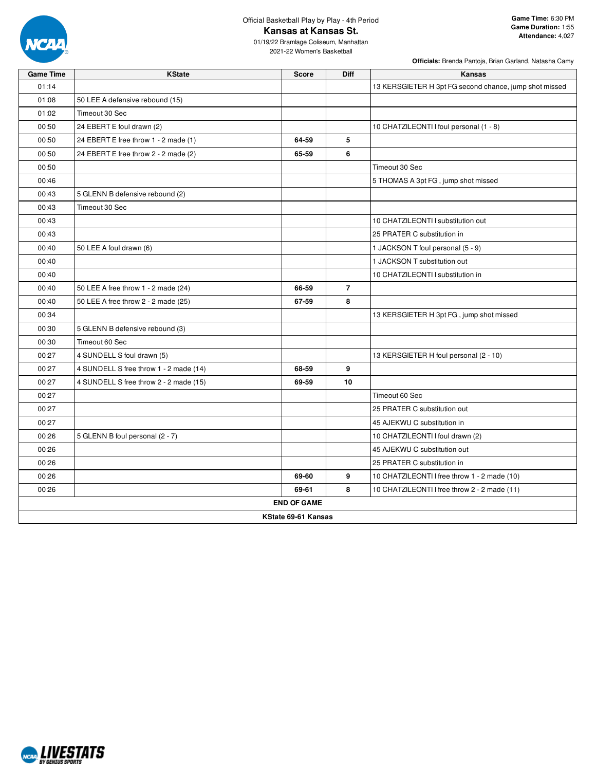

# Official Basketball Play by Play - 4th Period **Kansas at Kansas St.**

**Officials:** Brenda Pantoja, Brian Garland, Natasha Camy

2021-22 Women's Basketball

| <b>Game Time</b> | <b>KState</b>                          | <b>Score</b>       | Diff           | Kansas                                                 |  |  |  |  |  |  |
|------------------|----------------------------------------|--------------------|----------------|--------------------------------------------------------|--|--|--|--|--|--|
| 01:14            |                                        |                    |                | 13 KERSGIETER H 3pt FG second chance, jump shot missed |  |  |  |  |  |  |
| 01:08            | 50 LEE A defensive rebound (15)        |                    |                |                                                        |  |  |  |  |  |  |
| 01:02            | Timeout 30 Sec                         |                    |                |                                                        |  |  |  |  |  |  |
| 00:50            | 24 EBERT E foul drawn (2)              |                    |                | 10 CHATZILEONTI I foul personal (1 - 8)                |  |  |  |  |  |  |
| 00:50            | 24 EBERT E free throw 1 - 2 made (1)   | 64-59              | 5              |                                                        |  |  |  |  |  |  |
| 00:50            | 24 EBERT E free throw 2 - 2 made (2)   | 65-59              | 6              |                                                        |  |  |  |  |  |  |
| 00:50            |                                        |                    |                | Timeout 30 Sec                                         |  |  |  |  |  |  |
| 00:46            |                                        |                    |                | 5 THOMAS A 3pt FG, jump shot missed                    |  |  |  |  |  |  |
| 00:43            | 5 GLENN B defensive rebound (2)        |                    |                |                                                        |  |  |  |  |  |  |
| 00:43            | Timeout 30 Sec                         |                    |                |                                                        |  |  |  |  |  |  |
| 00:43            |                                        |                    |                | 10 CHATZILEONTI I substitution out                     |  |  |  |  |  |  |
| 00:43            |                                        |                    |                | 25 PRATER C substitution in                            |  |  |  |  |  |  |
| 00:40            | 50 LEE A foul drawn (6)                |                    |                | 1 JACKSON T foul personal (5 - 9)                      |  |  |  |  |  |  |
| 00:40            |                                        |                    |                | 1 JACKSON T substitution out                           |  |  |  |  |  |  |
| 00:40            |                                        |                    |                | 10 CHATZILEONTI I substitution in                      |  |  |  |  |  |  |
| 00:40            | 50 LEE A free throw 1 - 2 made (24)    | 66-59              | $\overline{7}$ |                                                        |  |  |  |  |  |  |
| 00:40            | 50 LEE A free throw 2 - 2 made (25)    | 67-59              | 8              |                                                        |  |  |  |  |  |  |
| 00:34            |                                        |                    |                | 13 KERSGIETER H 3pt FG, jump shot missed               |  |  |  |  |  |  |
| 00:30            | 5 GLENN B defensive rebound (3)        |                    |                |                                                        |  |  |  |  |  |  |
| 00:30            | Timeout 60 Sec                         |                    |                |                                                        |  |  |  |  |  |  |
| 00:27            | 4 SUNDELL S foul drawn (5)             |                    |                | 13 KERSGIETER H foul personal (2 - 10)                 |  |  |  |  |  |  |
| 00:27            | 4 SUNDELL S free throw 1 - 2 made (14) | 68-59              | 9              |                                                        |  |  |  |  |  |  |
| 00:27            | 4 SUNDELL S free throw 2 - 2 made (15) | 69-59              | 10             |                                                        |  |  |  |  |  |  |
| 00:27            |                                        |                    |                | Timeout 60 Sec                                         |  |  |  |  |  |  |
| 00:27            |                                        |                    |                | 25 PRATER C substitution out                           |  |  |  |  |  |  |
| 00:27            |                                        |                    |                | 45 AJEKWU C substitution in                            |  |  |  |  |  |  |
| 00:26            | 5 GLENN B foul personal (2 - 7)        |                    |                | 10 CHATZILEONTI I foul drawn (2)                       |  |  |  |  |  |  |
| 00:26            |                                        |                    |                | 45 AJEKWU C substitution out                           |  |  |  |  |  |  |
| 00:26            |                                        |                    |                | 25 PRATER C substitution in                            |  |  |  |  |  |  |
| 00:26            |                                        | 69-60              | 9              | 10 CHATZILEONTI I free throw 1 - 2 made (10)           |  |  |  |  |  |  |
| 00:26            |                                        | 69-61              | 8              | 10 CHATZILEONTI I free throw 2 - 2 made (11)           |  |  |  |  |  |  |
|                  |                                        | <b>END OF GAME</b> |                |                                                        |  |  |  |  |  |  |
|                  | KState 69-61 Kansas                    |                    |                |                                                        |  |  |  |  |  |  |

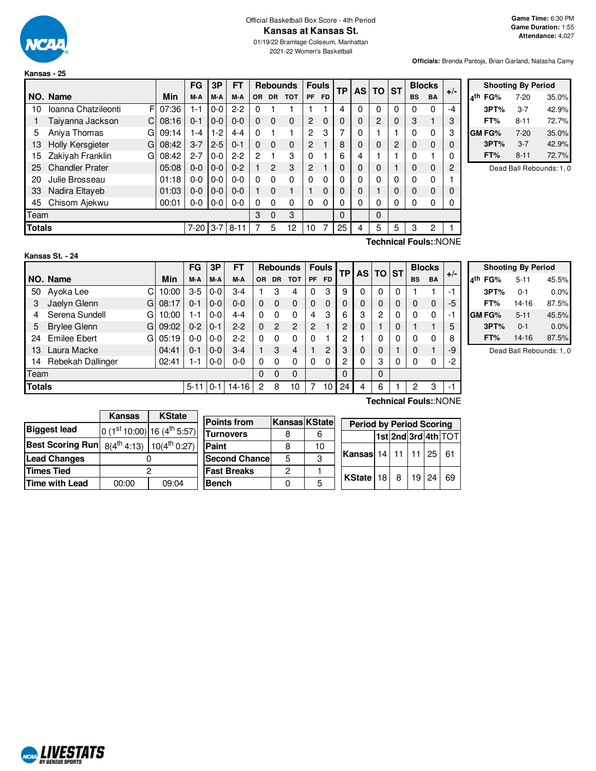

**Kansas - 25**

**Officials:** Brenda Pantoja, Brian Garland, Natasha Camy

|               |                              |       | <b>FG</b> | 3P      | <b>FT</b> |          |                | <b>Rebounds</b> | <b>Fouls</b>   |           | TP | <b>AS</b> | <b>TO</b>      | <b>ST</b> |              | <b>Blocks</b> | $+/-$ |
|---------------|------------------------------|-------|-----------|---------|-----------|----------|----------------|-----------------|----------------|-----------|----|-----------|----------------|-----------|--------------|---------------|-------|
|               | NO. Name                     | Min   | M-A       | M-A     | M-A       | OR.      | <b>DR</b>      | <b>TOT</b>      | <b>PF</b>      | <b>FD</b> |    |           |                |           | <b>BS</b>    | <b>BA</b>     |       |
| 10            | Ioanna Chatzileonti<br>F     | 07:36 | $1 - 1$   | $0-0$   | $2 - 2$   | 0        |                |                 |                |           | 4  | 0         | 0              | 0         | 0            | 0             | -4    |
|               | Taiyanna Jackson<br>C        | 08:16 | $0 - 1$   | $0-0$   | $0 - 0$   | 0        | $\Omega$       | $\Omega$        | 2              | 0         | 0  | 0         | $\overline{2}$ | 0         | 3            |               | 3     |
| 5             | Aniya Thomas<br>G            | 09:14 | 1-4       | $1-2$   | $4 - 4$   | 0        |                |                 | 2              | 3         | 7  | 0         |                |           | 0            | 0             | 3     |
| 13            | <b>Holly Kersgieter</b><br>G | 08:42 | $3 - 7$   | $2 - 5$ | $0 - 1$   | $\Omega$ | $\Omega$       | $\Omega$        | $\overline{2}$ |           | 8  | 0         | 0              | 2         | 0            | $\Omega$      | 0     |
| 15            | Zakiyah Franklin<br>G        | 08:42 | $2 - 7$   | $0 - 0$ | $2-2$     | 2        |                | 3               | 0              |           | 6  | 4         |                |           | $\mathbf 0$  |               | 0     |
| 25            | <b>Chandler Prater</b>       | 05:08 | $0 - 0$   | $0-0$   | $0 - 2$   |          | $\overline{2}$ | 3               | $\overline{2}$ |           | 0  | 0         | 0              |           | 0            | 0             | 2     |
| 20            | Julie Brosseau               | 01:18 | $0 - 0$   | $0 - 0$ | $0 - 0$   | 0        | 0              | $\Omega$        | 0              | 0         | 0  | 0         | $\Omega$       | 0         | $\mathbf 0$  | 0             |       |
| 33            | Nadira Eltayeb               | 01:03 | $0 - 0$   | $0 - 0$ | $0 - 0$   |          | $\Omega$       |                 |                | 0         | 0  | 0         |                | 0         | $\Omega$     | $\Omega$      | 0     |
| 45            | Chisom Ajekwu                | 00:01 | $0 - 0$   | $0-0$   | $0 - 0$   | $\Omega$ | 0              | 0               | 0              | 0         | 0  | 0         | 0              | 0         | $\mathbf{0}$ | 0             | 0     |
| Team          |                              |       |           |         |           | 3        | 0              | 3               |                |           | 0  |           | 0              |           |              |               |       |
| <b>Totals</b> |                              |       | $7 - 20$  | $3 - 7$ | $8 - 11$  | 7        | 5              | 12              | 10             | 7         | 25 | 4         | 5              | 5         | 3            | 2             |       |
|               | Technical Fouls::NONE        |       |           |         |           |          |                |                 |                |           |    |           |                |           |              |               |       |

| <b>Shooting By Period</b> |          |       |  |  |  |  |  |  |  |
|---------------------------|----------|-------|--|--|--|--|--|--|--|
| лth<br>FG%                | $7 - 20$ | 35.0% |  |  |  |  |  |  |  |
| 3PT%                      | $3 - 7$  | 42.9% |  |  |  |  |  |  |  |
| FT%                       | 8-11     | 72.7% |  |  |  |  |  |  |  |
| <b>GM FG%</b>             | $7-20$   | 35.0% |  |  |  |  |  |  |  |
| 3PT%                      | $3 - 7$  | 42.9% |  |  |  |  |  |  |  |
| FT%                       | $8 - 11$ | 72.7% |  |  |  |  |  |  |  |

Dead Ball Rebounds: 1, 0

| Kansas St. - 24 |  |  |
|-----------------|--|--|
|                 |  |  |

**ARALIVESTATS** BY GENIUS S

 $C$  10:00  $G$  08:17 G 10:00  $G$  09:02 G 05:19 **NO. Name Min**  $FG$   $3P$   $FT$  **Rebounds**  $F$ ouls  $TF$   $AS$   $TO$   $ST$  $\begin{bmatrix} \mathsf{FG} \end{bmatrix}$   $\begin{bmatrix} \mathsf{3P} \end{bmatrix}$   $\begin{bmatrix} \mathsf{FT} \end{bmatrix}$   $\begin{bmatrix} \mathsf{Re} \end{bmatrix}$  **BODER**  $\begin{bmatrix} \mathsf{FT} \end{bmatrix}$   $\begin{bmatrix} \mathsf{FT} \end{bmatrix}$   $\begin{bmatrix} \mathsf{FT} \end{bmatrix}$   $\begin{bmatrix} \mathsf{AG} \end{bmatrix}$   $\begin{bmatrix} \mathsf{ST} \end{bmatrix}$   $\begin{bmatrix} \mathsf{BIO} \mathsf{CKS} \end$ 50 Ayoka Lee 10:00 3-5 0-0 3-4 1 3 4 0 3 9 0 0 0 1 1 -1 3 Jaelyn Glenn 08:17 0-1 0-0 0-0 0 0 0 0 0 0 0 0 0 0 0 -5 4 Serena Sundell G | 10:00 | 1-1 | 0-0 | 4-4 | 0 0 0 | 4 3 | 6 | 3 | 2 | 0 | 0 0 | -1 5 Brylee Glenn G | 09:02 | 0-2 | 0-1 | 2-2 | 0 2 2 | 2 1 | 2 | 0 | 1 | 0 | 1 1 | 5 24 Emilee Ebert G 05:19 0-0 0-0 2-2 0 0 0 0 1 2 1 0 0 0 0 8 13 Laura Macke 04:41 0-1 0-0 3-4 1 3 4 1 2 3 0 0 1 0 1 -9

14 Rebekah Dallinger | 02:41 | 1-1 | 0-0 | 0-0 | 0 0 0 0 0 0 0 | 2 | 0 | 3 | 0 | 0 0 | -2

**Totals** 5-11 | 0-1 | 14-16 | 2 8 10 | 7 10 | 24 | 4 | 6 | 1 | 2 3 | -1

Team 0 0 0 0 0

| <b>Shooting By Period</b> |          |         |  |  |  |  |  |  |  |
|---------------------------|----------|---------|--|--|--|--|--|--|--|
| лth<br>FG%                | $5 - 11$ | 45.5%   |  |  |  |  |  |  |  |
| 3PT%                      | $0 - 1$  | 0.0%    |  |  |  |  |  |  |  |
| FT%                       | 14-16    | 87.5%   |  |  |  |  |  |  |  |
| <b>GMFG%</b>              | $5 - 11$ | 45.5%   |  |  |  |  |  |  |  |
| 3PT%                      | 0-1      | $0.0\%$ |  |  |  |  |  |  |  |

**FT%** 14-16 87.5% Dead Ball Rebounds: 1, 0

|                         | <b>Kansas</b> | <b>KState</b>                                     |
|-------------------------|---------------|---------------------------------------------------|
| <b>Biggest lead</b>     |               | 0 (1st 10:00) 16 (4 <sup>th</sup> 5:57)           |
| <b>Best Scoring Run</b> |               | $8(4^{\text{th}}\,4:13)$ 10(4 <sup>th</sup> 0:27) |
| <b>Lead Changes</b>     |               |                                                   |
| <b>Times Tied</b>       |               | 2                                                 |
| <b>Time with Lead</b>   | 00:00         | 09:04                                             |

| <b>Points from</b>    | Kansas KState |    | <b>Period by Period Scoring</b> |                     |       |     |
|-----------------------|---------------|----|---------------------------------|---------------------|-------|-----|
| Turnovers             |               |    |                                 | 1st 2nd 3rd 4th TOT |       |     |
| Paint                 |               | 10 |                                 |                     |       |     |
| <b>Second Chancel</b> | 5             | 3  | Kansas 14   11   11   25        |                     |       | -61 |
| <b>Fast Breaks</b>    | 2             |    |                                 |                     |       |     |
| Bench                 |               |    | KState $18 \mid 8$              |                     | 19 24 | 69  |
|                       |               |    |                                 |                     |       |     |

**Technical Fouls:**:NONE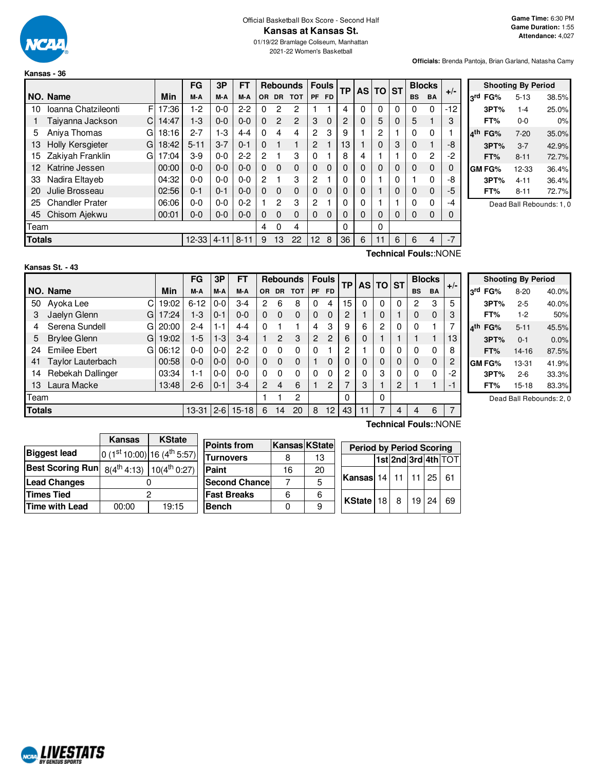

# Official Basketball Box Score - Second Half **Kansas at Kansas St.**

01/19/22 Bramlage Coliseum, Manhattan 2021-22 Women's Basketball

**Officials:** Brenda Pantoja, Brian Garland, Natasha Camy

|               |                              |       | FG        | 3P      | FT       |          |           | <b>Rebounds</b> |                | <b>Fouls</b> | ТP | AS | <b>TO</b> | <b>ST</b> |           | <b>Blocks</b> | $+/-$                 |
|---------------|------------------------------|-------|-----------|---------|----------|----------|-----------|-----------------|----------------|--------------|----|----|-----------|-----------|-----------|---------------|-----------------------|
|               | NO. Name                     | Min   | M-A       | M-A     | M-A      | OR.      | <b>DR</b> | <b>TOT</b>      | <b>PF</b>      | <b>FD</b>    |    |    |           |           | <b>BS</b> | <b>BA</b>     |                       |
| 10            | Ioanna Chatzileonti<br>F     | 17:36 | $1-2$     | $0 - 0$ | $2-2$    | 0        | 2         | 2               |                |              | 4  | 0  | 0         | 0         | 0         | $\Omega$      | $-12$                 |
|               | Taiyanna Jackson<br>C        | 14:47 | $1-3$     | $0 - 0$ | 0-0      | $\Omega$ | 2         | 2               | 3              | $\Omega$     | 2  | 0  | 5         | 0         | 5         |               | 3                     |
| 5             | Aniva Thomas<br>G            | 18:16 | $2 - 7$   | $1 - 3$ | 4-4      | $\Omega$ | 4         | 4               | 2              | 3            | 9  |    | 2         |           | O         | 0             |                       |
| 13            | <b>Holly Kersgieter</b><br>G | 18:42 | $5 - 11$  | $3 - 7$ | $0 - 1$  | $\Omega$ |           | 1               | $\overline{2}$ |              | 13 |    | 0         | 3         | 0         |               | -8                    |
| 15            | Zakiyah Franklin<br>G        | 17:04 | $3-9$     | $0 - 0$ | $2-2$    | 2        |           | 3               | $\Omega$       |              | 8  | 4  |           |           | 0         | 2             | -2                    |
| 12            | Katrine Jessen               | 00:00 | $0 - 0$   | $0 - 0$ | $0 - 0$  | $\Omega$ | $\Omega$  | $\mathbf 0$     | $\Omega$       | $\Omega$     |    | 0  | 0         | 0         | 0         | $\mathbf 0$   |                       |
| 33            | Nadira Eltaveb               | 04:32 | $0 - 0$   | $0 - 0$ | $0 - 0$  | 2        |           | 3               | 2              |              |    | 0  |           | 0         |           | 0             | -8                    |
| 20            | Julie Brosseau               | 02:56 | $0 - 1$   | $0 - 1$ | 0-0      | $\Omega$ | $\Omega$  | $\mathbf 0$     | $\Omega$       | $\Omega$     |    | 0  |           | 0         | 0         | $\mathbf 0$   | -5                    |
| 25            | <b>Chandler Prater</b>       | 06:06 | $0 - 0$   | $0 - 0$ | $0 - 2$  |          | 2         | 3               | 2              |              |    | 0  |           |           | U         | 0             | -4                    |
| 45            | Chisom Ajekwu                | 00:01 | 0-0       | $0 - 0$ | $0 - 0$  | $\Omega$ | 0         | $\Omega$        | 0              | $\Omega$     | 0  | 0  | 0         | 0         | $\Omega$  | 0             |                       |
| Team          |                              |       |           |         |          | 4        | 0         | 4               |                |              | 0  |    | 0         |           |           |               |                       |
| <b>Totals</b> |                              |       | $12 - 33$ | 4-11    | $8 - 11$ | 9        | 13        | 22              | 12             | 8            | 36 | 6  | 11        | 6         | 6         | 4             | $-7$                  |
|               |                              |       |           |         |          |          |           |                 |                |              |    |    |           |           |           |               | Technical Foule: NONE |

|     |        | <b>Shooting By Period</b> |       |
|-----|--------|---------------------------|-------|
| 3rd | FG%    | $5 - 13$                  | 38.5% |
|     | 3PT%   | $1 - 4$                   | 25.0% |
|     | FT%    | ი-ი                       | 0%    |
| ⊿th | FG%    | $7-20$                    | 35.0% |
|     | 3PT%   | $3 - 7$                   | 42.9% |
|     | FT%    | $8 - 11$                  | 72.7% |
|     | GM FG% | 12-33                     | 36.4% |
|     | 3PT%   | 4-11                      | 36.4% |
|     | FT%    | $8 - 11$                  | 72.7% |

Dead Ball Rebounds: 1, 0

# **Kansas St. - 43**

**Technical Fouls:**:NONE

|               |                          |       | FG        | 3P      | <b>FT</b> |          |           | <b>Rebounds</b> |    | <b>Fouls</b>   | TP. |          | AS TO ST |          |                       | <b>Blocks</b> |       |
|---------------|--------------------------|-------|-----------|---------|-----------|----------|-----------|-----------------|----|----------------|-----|----------|----------|----------|-----------------------|---------------|-------|
|               | NO. Name                 | Min   | M-A       | M-A     | M-A       | OR.      | <b>DR</b> | <b>TOT</b>      | PF | FD.            |     |          |          |          | <b>BS</b>             | <b>BA</b>     | $+/-$ |
| 50            | Ayoka Lee<br>C.          | 19:02 | $6 - 12$  | $0-0$   | $3 - 4$   | 2        | 6         | 8               | 0  | 4              | 15  | 0        | 0        | $\Omega$ | 2                     | 3             | 5     |
| 3             | Jaelyn Glenn<br>G        | 17:24 | $1-3$     | $0 - 1$ | $0 - 0$   | $\Omega$ | $\Omega$  | $\mathbf 0$     | 0  | $\Omega$       | 2   |          | 0        |          | 0                     | $\Omega$      | 3     |
| 4             | Serena Sundell<br>G      | 20:00 | $2 - 4$   | $1 - 1$ | $4 - 4$   | $\Omega$ |           |                 | 4  | 3              | 9   | 6        | 2        | $\Omega$ | $\mathbf{0}$          |               | 7     |
| 5             | <b>Brylee Glenn</b><br>G | 19:02 | $1-5$     | $1-3$   | $3 - 4$   |          | 2         | 3               | 2  | 2              | 6   | $\Omega$ |          |          |                       |               | 13    |
| 24            | <b>Emilee Ebert</b><br>G | 06:12 | $0 - 0$   | $0-0$   | $2 - 2$   | 0        | 0         | 0               | 0  |                | 2   |          | 0        | $\Omega$ | $\mathbf{0}$          | 0             | 8     |
| 41            | Taylor Lauterbach        | 00:58 | $0 - 0$   | $0-0$   | $0 - 0$   | $\Omega$ | $\Omega$  | 0               |    | 0              | 0   | $\Omega$ | 0        | 0        | $\Omega$              | $\Omega$      | 2     |
| 14            | Rebekah Dallinger        | 03:34 | 1-1       | $0-0$   | $0-0$     | 0        | 0         | $\Omega$        | 0  | $\Omega$       | 2   | 0        | 3        | $\Omega$ | $\Omega$              | $\Omega$      | -2    |
| 13            | Laura Macke              | 13:48 | $2 - 6$   | $0 - 1$ | $3 - 4$   | 2        | 4         | 6               |    | $\overline{c}$ | 7   | 3        |          | 2        |                       |               | $-1$  |
| Team          |                          |       |           |         |           |          |           | 2               |    |                | 0   |          | 0        |          |                       |               |       |
| <b>Totals</b> |                          |       | $13 - 31$ | $2 - 6$ | $15 - 18$ | 6        | 14        | 20              | 8  | 12             | 43  |          |          | 4        | 4                     | 6             | 7     |
|               |                          |       |           |         |           |          |           |                 |    |                |     |          |          |          | Technical Fouls::NONE |               |       |

|     |        | <b>Shooting By Period</b> |       |
|-----|--------|---------------------------|-------|
| لrd | FG%    | $8 - 20$                  | 40.0% |
|     | 3PT%   | $2 - 5$                   | 40.0% |
|     | FT%    | $1-2$                     | 50%   |
| ⊿th | FG%    | $5 - 11$                  | 45.5% |
|     | 3PT%   | $0 - 1$                   | 0.0%  |
|     | FT%    | 14-16                     | 87.5% |
|     | GM FG% | 13-31                     | 41.9% |
|     | 3PT%   | $2 - 6$                   | 33.3% |
|     | FT%    | $15 - 18$                 | 83.3% |

Dead Ball Rebounds: 2, 0

|                                                                  | Kansas | <b>KState</b>            |                       |                      |    |                                 |  |    |                 |                     |
|------------------------------------------------------------------|--------|--------------------------|-----------------------|----------------------|----|---------------------------------|--|----|-----------------|---------------------|
|                                                                  |        |                          | <b>Points from</b>    | <b>Kansas KState</b> |    | <b>Period by Period Scoring</b> |  |    |                 |                     |
| <b>Biggest lead</b>                                              |        | $0(1st10:00)16(4th5:57)$ | <b>Turnovers</b>      |                      | 13 |                                 |  |    |                 | 1st 2nd 3rd 4th TOT |
| <b>Best Scoring Run</b> $8(4^{th}4:13)$ 10(4 <sup>th</sup> 0:27) |        |                          | Paint                 | 16                   | 20 |                                 |  |    |                 |                     |
| <b>Lead Changes</b>                                              |        |                          | <b>Second Chancel</b> |                      |    | <b>Kansas</b> 14   11   11      |  |    | 25 <sub>1</sub> | -61                 |
| <b>Times Tied</b>                                                |        |                          | <b>Fast Breaks</b>    |                      | 6  |                                 |  |    |                 |                     |
| <b>Time with Lead</b>                                            | 00:00  | 19:15                    | <b>Bench</b>          |                      |    | KState $ 18 8$                  |  | 19 | 24 <sup>1</sup> | -69                 |

# NCAL LIVESTATS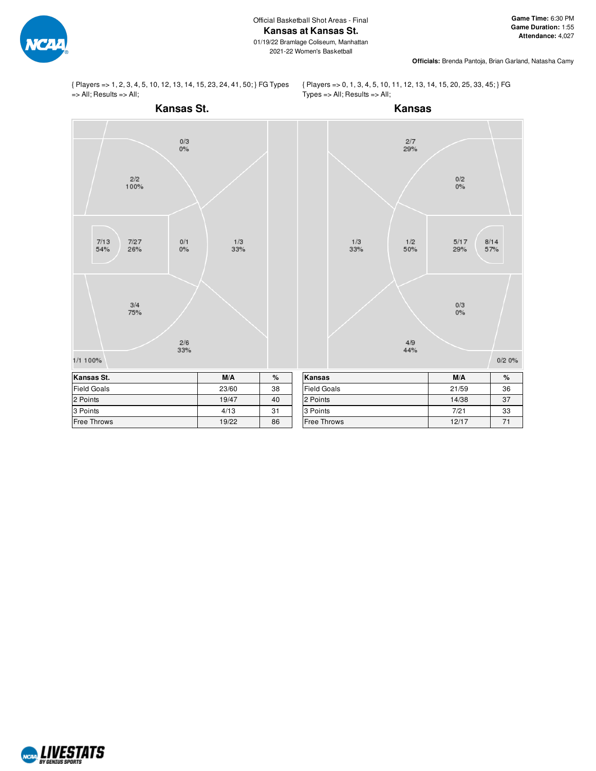**Officials:** Brenda Pantoja, Brian Garland, Natasha Camy

{ Players => 1, 2, 3, 4, 5, 10, 12, 13, 14, 15, 23, 24, 41, 50; } FG Types => All; Results => All;

{ Players => 0, 1, 3, 4, 5, 10, 11, 12, 13, 14, 15, 20, 25, 33, 45; } FG Types => All; Results => All;



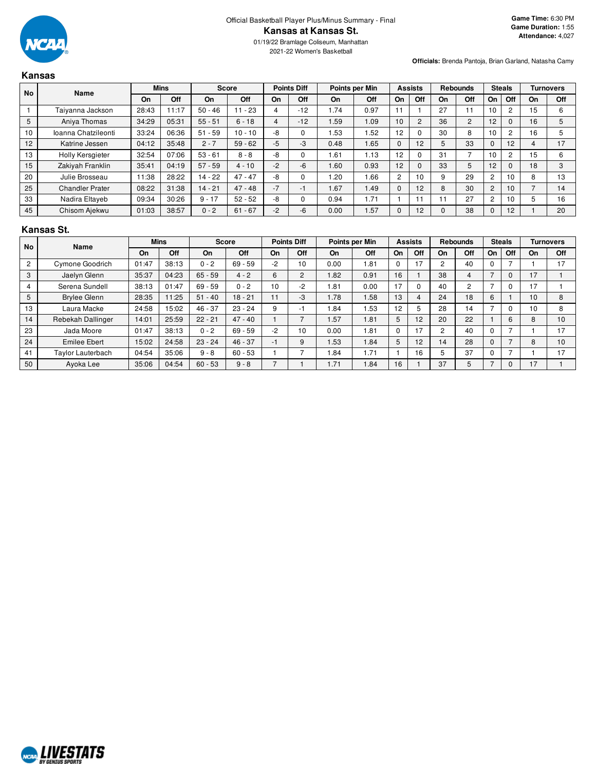

01/19/22 Bramlage Coliseum, Manhattan 2021-22 Women's Basketball

**Officials:** Brenda Pantoja, Brian Garland, Natasha Camy

# **Kansas**

|    | <b>No</b><br>Name      |       | <b>Mins</b> |           | <b>Score</b> |      | <b>Points Diff</b> |           | Points per Min |                | <b>Assists</b>  |    | <b>Rebounds</b> |                | <b>Steals</b>   |    | <b>Turnovers</b> |
|----|------------------------|-------|-------------|-----------|--------------|------|--------------------|-----------|----------------|----------------|-----------------|----|-----------------|----------------|-----------------|----|------------------|
|    |                        | On    | Off         | <b>On</b> | Off          | On   | Off                | On        | Off            | On             | Off             | On | Off             | On             | Off             | On | Off              |
|    | Taiyanna Jackson       | 28:43 | 11:17       | $50 - 46$ | $11 - 23$    | 4    | $-12$              | .74       | 0.97           |                |                 | 27 |                 | 10             |                 | 15 | 6                |
| 5  | Aniva Thomas           | 34:29 | 05:31       | $55 - 51$ | $6 - 18$     | 4    | $-12$              | 1.59      | I .09          | 10             | $\overline{2}$  | 36 | $\overline{2}$  | 12             |                 | 16 | 5                |
| 10 | Ioanna Chatzileonti    | 33:24 | 06:36       | $51 - 59$ | $10 - 10$    | -8   | 0                  | 1.53      | .52            | 12             |                 | 30 | 8               | 10             | $\overline{2}$  | 16 | 5                |
| 12 | Katrine Jessen         | 04:12 | 35:48       | $2 - 7$   | $59 - 62$    | $-5$ | -3                 | 0.48      | 1.65           |                | 12              |    | 33              | $\Omega$       | 12              |    | 17               |
| 13 | Holly Kersgieter       | 32:54 | 07:06       | $53 - 61$ | $8 - 8$      | -8   | 0                  | 1.61      | 1.13           | 12             |                 | 31 |                 | 10             | 2               | 15 | 6                |
| 15 | Zakiyah Franklin       | 35:41 | 04:19       | $57 - 59$ | $4 - 10$     | $-2$ | $-6$               | 1.60      | 0.93           | 12             |                 | 33 | 5               | 12             |                 | 18 | 3                |
| 20 | Julie Brosseau         | 11:38 | 28:22       | $14 - 22$ | $47 - 47$    | -8   | 0                  | .20       | .66            | $\overline{2}$ | 10 <sup>1</sup> |    | 29              | $\overline{c}$ | 10              | 8  | 13               |
| 25 | <b>Chandler Prater</b> | 08:22 | 31:38       | $14 - 21$ | $47 - 48$    | $-7$ | -1                 | <b>67</b> | .49            |                | 12              | 8  | 30              | 2              | 10 <sup>1</sup> |    | 14               |
| 33 | Nadira Eltayeb         | 09:34 | 30:26       | $9 - 17$  | $52 - 52$    | -8   | 0                  | 0.94      | .71            |                |                 |    | 27              | 2              | 10              |    | 16               |
| 45 | Chisom Ajekwu          | 01:03 | 38:57       | $0 - 2$   | $61 - 67$    | $-2$ | $-6$               | 0.00      | .57            |                | 12              |    | 38              | $\mathbf{0}$   | 12              |    | 20               |

## **Kansas St.**

|                | <b>No</b><br>Name      |       | <b>Mins</b> |           | Score     |                | <b>Points Diff</b> |      | Points per Min |    | <b>Assists</b> |    | <b>Rebounds</b> |                          | <b>Steals</b>  |    | <b>Turnovers</b> |
|----------------|------------------------|-------|-------------|-----------|-----------|----------------|--------------------|------|----------------|----|----------------|----|-----------------|--------------------------|----------------|----|------------------|
|                |                        | On    | Off         | On        | Off       | On             | Off                | On   | Off            | On | Off            | On | Off             | On                       | Off            | On | <b>Off</b>       |
| $\overline{2}$ | <b>Cymone Goodrich</b> | 01:47 | 38:13       | $0 - 2$   | $69 - 59$ | $-2$           | 10                 | 0.00 | .81            |    | $-1$           |    | 40              | $\Omega$                 | ⇁              |    | 17               |
| 3              | Jaelyn Glenn           | 35:37 | 04:23       | $65 - 59$ | $4 - 2$   | 6              | 2                  | 1.82 | 0.91           | 16 |                | 38 | 4               | $\overline{\phantom{0}}$ | 0              | 17 |                  |
| 4              | Serena Sundell         | 38:13 | 01:47       | $69 - 59$ | $0 - 2$   | 10             | $-2$               | .81  | 0.00           | 17 |                | 40 | $\overline{2}$  |                          | 0              | 17 |                  |
| 5              | <b>Brylee Glenn</b>    | 28:35 | 11:25       | $51 - 40$ | $18 - 21$ | 11             | -3                 | .78  | .58            | 13 |                | 24 | 18              | 6                        |                | 10 | 8                |
| 13             | Laura Macke            | 24:58 | 15:02       | $46 - 37$ | $23 - 24$ | 9              | -1                 | .84  | .53            | 12 | 5              | 28 | 14              |                          | 0              | 10 | 8                |
| 14             | Rebekah Dallinger      | 14:01 | 25:59       | $22 - 21$ | $47 - 40$ |                |                    | .57  | .81            | 5  | 12             | 20 | 22              |                          | 6              | 8  | 10 <sup>1</sup>  |
| 23             | Jada Moore             | 01:47 | 38:13       | $0 - 2$   | $69 - 59$ | $-2$           | 10                 | 0.00 | . 81           |    | 17             |    | 40              | $\Omega$                 | $\overline{ }$ |    | 17               |
| 24             | <b>Emilee Ebert</b>    | 15:02 | 24:58       | $23 - 24$ | $46 - 37$ | -1             | 9                  | .53  | .84            | 5  | 12             | 14 | 28              | $\Omega$                 | $\overline{ }$ | 8  | 10 <sup>1</sup>  |
| 41             | Taylor Lauterbach      | 04:54 | 35:06       | $9 - 8$   | $60 - 53$ |                |                    | .84  | 1.71           |    | 16             |    | 37              | $\Omega$                 | $\overline{ }$ |    | 17               |
| 50             | Ayoka Lee              | 35:06 | 04:54       | $60 - 53$ | $9 - 8$   | $\overline{ }$ |                    | .71  | l.84           | 16 |                | 37 | 5               |                          | 0              | 17 |                  |

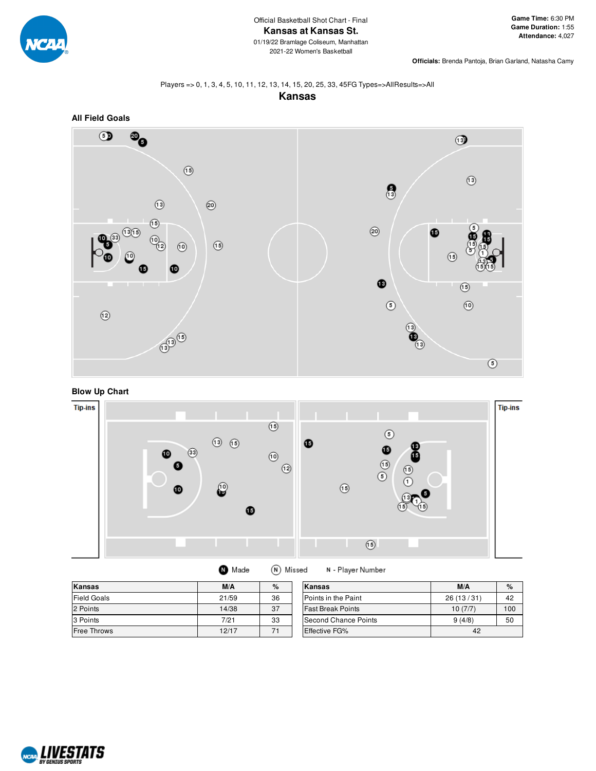

**Officials:** Brenda Pantoja, Brian Garland, Natasha Camy

# Players => 0, 1, 3, 4, 5, 10, 11, 12, 13, 14, 15, 20, 25, 33, 45FG Types=>AllResults=>All









| Kansas             | M/A   | %  | Kansas                   | M/A       | $\%$ |
|--------------------|-------|----|--------------------------|-----------|------|
| <b>Field Goals</b> | 21/59 | 36 | Points in the Paint      | 26(13/31) | 42   |
| 2 Points           | 14/38 | 37 | <b>Fast Break Points</b> | 10(7/7)   | 100  |
| 3 Points           | 7/21  | 33 | Second Chance Points     | 9(4/8)    | 50   |
| <b>Free Throws</b> | 12/17 | 71 | <b>Effective FG%</b>     | 42        |      |

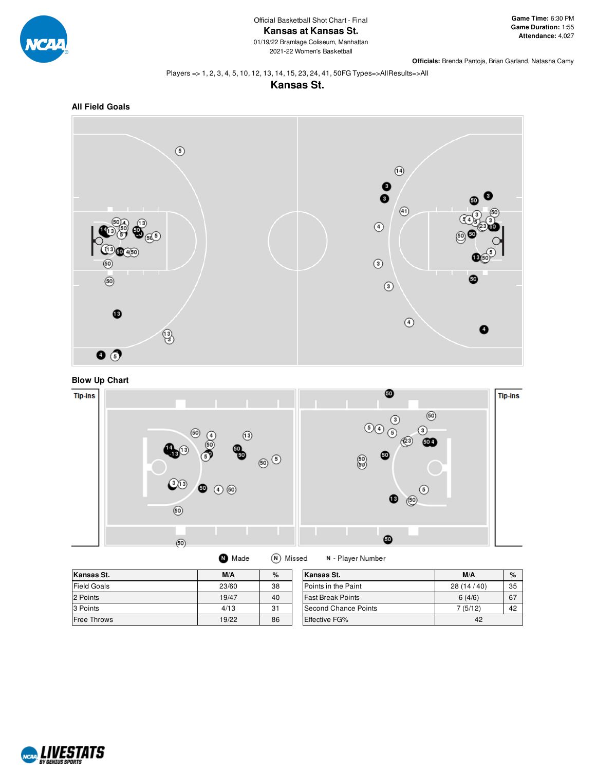

**Officials:** Brenda Pantoja, Brian Garland, Natasha Camy

#### Players => 1, 2, 3, 4, 5, 10, 12, 13, 14, 15, 23, 24, 41, 50FG Types=>AllResults=>All





**All Field Goals**







| Kansas St.         | M/A   | %  | Kansas St.               | M/A          | $\%$ |
|--------------------|-------|----|--------------------------|--------------|------|
| <b>Field Goals</b> | 23/60 | 38 | Points in the Paint      | 28 (14 / 40) | 35   |
| 2 Points           | 19/47 | 40 | <b>Fast Break Points</b> | 6(4/6)       | 67   |
| 3 Points           | 4/13  | 31 | Second Chance Points     | 7(5/12)      | 42   |
| <b>Free Throws</b> | 19/22 | 86 | <b>Effective FG%</b>     | 42           |      |

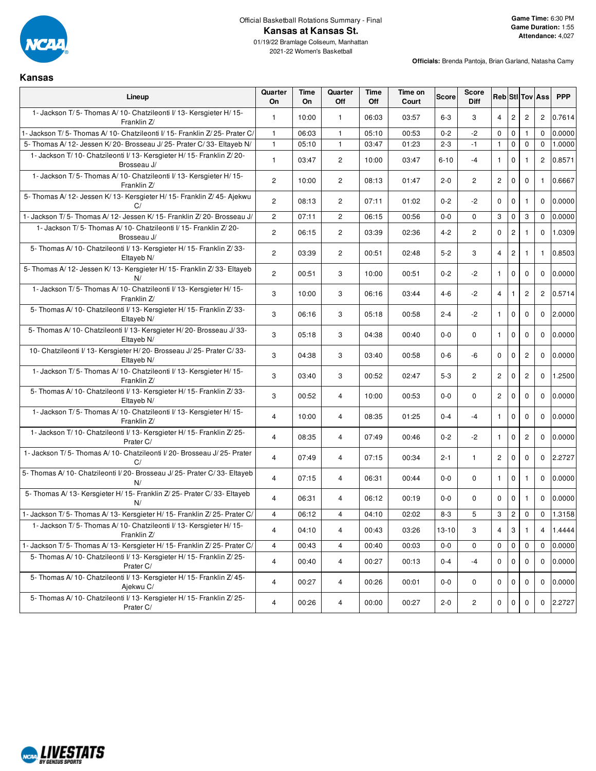

**Kansas**

01/19/22 Bramlage Coliseum, Manhattan 2021-22 Women's Basketball

| Lineup                                                                                | Quarter<br>On         | Time<br><b>On</b> | Quarter<br>Off | <b>Time</b><br>Off | Time on<br>Court | <b>Score</b> | <b>Score</b><br><b>Diff</b> |                |                |                | Reb StI Tov Ass | <b>PPP</b> |
|---------------------------------------------------------------------------------------|-----------------------|-------------------|----------------|--------------------|------------------|--------------|-----------------------------|----------------|----------------|----------------|-----------------|------------|
| 1- Jackson T/5- Thomas A/10- Chatzileonti I/13- Kersgieter H/15-<br>Franklin Z/       | $\mathbf{1}$          | 10:00             | $\mathbf{1}$   | 06:03              | 03:57            | $6-3$        | 3                           | $\overline{4}$ | $\mathbf{2}$   | $\overline{c}$ | $\overline{2}$  | 0.7614     |
| - Jackson T/5- Thomas A/10- Chatzileonti I/15- Franklin Z/25- Prater C/               | $\mathbf{1}$          | 06:03             | $\mathbf{1}$   | 05:10              | 00:53            | $0 - 2$      | $-2$                        | $\mathbf 0$    | $\mathbf 0$    | $\mathbf{1}$   | $\mathbf 0$     | 0.0000     |
| 5- Thomas A/ 12- Jessen K/ 20- Brosseau J/ 25- Prater C/ 33- Eltayeb N/               | $\mathbf{1}$          | 05:10             | $\mathbf{1}$   | 03:47              | 01:23            | $2 - 3$      | $-1$                        | $\mathbf{1}$   | $\mathbf 0$    | $\mathbf 0$    | $\mathbf 0$     | 1.0000     |
| 1- Jackson T/10- Chatzileonti I/13- Kersgieter H/15- Franklin Z/20-<br>Brosseau J/    | $\mathbf{1}$          | 03:47             | $\overline{c}$ | 10:00              | 03:47            | $6 - 10$     | $-4$                        | $\mathbf{1}$   | 0              |                | $\overline{c}$  | 0.8571     |
| 1- Jackson T/5- Thomas A/10- Chatzileonti I/13- Kersgieter H/15-<br>Franklin Z/       | $\mathbf{2}^{\prime}$ | 10:00             | $\mathbf{2}$   | 08:13              | 01:47            | $2 - 0$      | $\mathbf{2}^{\prime}$       | $\overline{c}$ | $\mathbf 0$    | $\mathbf 0$    | $\mathbf{1}$    | 0.6667     |
| 5- Thomas A/ 12- Jessen K/ 13- Kersgieter H/ 15- Franklin Z/ 45- Ajekwu<br>C/         | $\overline{c}$        | 08:13             | $\overline{c}$ | 07:11              | 01:02            | $0 - 2$      | -2                          | $\mathbf 0$    | $\pmb{0}$      |                | $\Omega$        | 0.0000     |
| 1- Jackson T/5- Thomas A/12- Jessen K/15- Franklin Z/20- Brosseau J/                  | $\overline{c}$        | 07:11             | $\overline{c}$ | 06:15              | 00:56            | $0-0$        | $\Omega$                    | 3              | $\mathbf 0$    | 3              | $\mathbf 0$     | 0.0000     |
| 1- Jackson T/5- Thomas A/10- Chatzileonti I/15- Franklin Z/20-<br>Brosseau J/         | $\overline{c}$        | 06:15             | $\mathbf{2}$   | 03:39              | 02:36            | $4 - 2$      | $\mathbf{2}^{\prime}$       | $\mathbf 0$    | $\mathbf{2}$   | -1             | $\mathbf{0}$    | 1.0309     |
| 5- Thomas A/ 10- Chatzileonti I/ 13- Kersgieter H/ 15- Franklin Z/ 33-<br>Eltayeb N/  | $\overline{c}$        | 03:39             | $\mathbf{2}$   | 00:51              | 02:48            | $5-2$        | 3                           | $\overline{4}$ | $\overline{c}$ |                | 1.              | 0.8503     |
| 5- Thomas A/ 12- Jessen K/ 13- Kersgieter H/ 15- Franklin Z/ 33- Eltayeb<br>N/        | $\overline{c}$        | 00:51             | 3              | 10:00              | 00:51            | $0 - 2$      | $-2$                        | $\mathbf{1}$   | $\mathbf 0$    | $\mathbf 0$    | $\mathbf{0}$    | 0.0000     |
| 1- Jackson T/5- Thomas A/10- Chatzileonti I/13- Kersgieter H/15-<br>Franklin Z/       | 3                     | 10:00             | 3              | 06:16              | 03:44            | $4 - 6$      | $-2$                        | $\overline{4}$ |                | $\overline{c}$ | $\overline{2}$  | 0.5714     |
| 5- Thomas A/ 10- Chatzileonti I/ 13- Kersgieter H/ 15- Franklin Z/ 33-<br>Eltayeb N/  | 3                     | 06:16             | 3              | 05:18              | 00:58            | $2 - 4$      | $-2$                        | $\mathbf{1}$   | $\mathbf 0$    | $\mathbf 0$    | $\mathbf 0$     | 2.0000     |
| 5- Thomas A/ 10- Chatzileonti I/ 13- Kersgieter H/ 20- Brosseau J/ 33-<br>Eltayeb N/  | 3                     | 05:18             | 3              | 04:38              | 00:40            | $0 - 0$      | 0                           | $\mathbf{1}$   | $\mathbf 0$    | $\mathbf 0$    | $\Omega$        | 0.0000     |
| 10- Chatzileonti I/ 13- Kersgieter H/ 20- Brosseau J/ 25- Prater C/ 33-<br>Eltayeb N/ | 3                     | 04:38             | 3              | 03:40              | 00:58            | $0-6$        | $-6$                        | $\mathbf 0$    | $\mathbf 0$    | $\overline{c}$ | $\mathbf{0}$    | 0.0000     |
| 1- Jackson T/5- Thomas A/10- Chatzileonti I/13- Kersgieter H/15-<br>Franklin Z/       | 3                     | 03:40             | 3              | 00:52              | 02:47            | $5-3$        | 2                           | $\overline{c}$ | $\mathbf 0$    | $\overline{c}$ | $\Omega$        | 1.2500     |
| 5- Thomas A/ 10- Chatzileonti I/ 13- Kersgieter H/ 15- Franklin Z/ 33-<br>Eltayeb N/  | 3                     | 00:52             | $\overline{4}$ | 10:00              | 00:53            | $0 - 0$      | $\mathbf 0$                 | $\overline{c}$ | $\mathbf 0$    | $\mathbf 0$    | $\mathbf{0}$    | 0.0000     |
| 1- Jackson T/5- Thomas A/10- Chatzileonti I/13- Kersgieter H/15-<br>Franklin Z/       | 4                     | 10:00             | $\overline{4}$ | 08:35              | 01:25            | $0 - 4$      | $-4$                        | $\mathbf{1}$   | $\mathbf 0$    | $\mathbf 0$    | $\Omega$        | 0.0000     |
| 1- Jackson T/10- Chatzileonti I/13- Kersgieter H/15- Franklin Z/25-<br>Prater C/      | $\overline{4}$        | 08:35             | $\overline{4}$ | 07:49              | 00:46            | $0 - 2$      | $-2$                        | $\mathbf{1}$   | $\mathbf 0$    | $\overline{c}$ | $\mathbf 0$     | 0.0000     |
| 1- Jackson T/5- Thomas A/10- Chatzileonti I/20- Brosseau J/25- Prater<br>C/           | $\overline{4}$        | 07:49             | $\overline{4}$ | 07:15              | 00:34            | $2 - 1$      | $\mathbf{1}$                | $\mathbf{2}$   | $\mathbf 0$    | $\Omega$       | $\Omega$        | 2.2727     |
| 5- Thomas A/10- Chatzileonti I/20- Brosseau J/25- Prater C/33- Eltayeb<br>N/          | $\overline{4}$        | 07:15             | $\overline{4}$ | 06:31              | 00:44            | $0-0$        | $\mathbf 0$                 | $\mathbf{1}$   | $\mathbf 0$    | $\mathbf{1}$   | $\mathbf 0$     | 0.0000     |
| 5- Thomas A/13- Kersgieter H/15- Franklin Z/25- Prater C/33- Eltayeb<br>N/            | 4                     | 06:31             | 4              | 06:12              | 00:19            | $0-0$        | 0                           | $\mathbf 0$    | $\mathbf 0$    |                | 0               | 0.0000     |
| 1- Jackson T/5- Thomas A/13- Kersgieter H/15- Franklin Z/25- Prater C/                | $\overline{4}$        | 06:12             | 4              | 04:10              | 02:02            | $8-3$        | 5                           | 3              | $\overline{c}$ | 0              | $\mathbf 0$     | 1.3158     |
| 1- Jackson T/5- Thomas A/10- Chatzileonti I/13- Kersgieter H/15-<br>Franklin Z/       | 4                     | 04:10             | 4              | 00:43              | 03:26            | $13 - 10$    | 3                           | $\overline{4}$ | $\mathbf{3}$   | $\overline{1}$ | 4               | 1.4444     |
| - Jackson T/5- Thomas A/13- Kersgieter H/15- Franklin Z/25- Prater C/                 | $\overline{4}$        | 00:43             | $\overline{4}$ | 00:40              | 00:03            | $0-0$        | $\mathbf 0$                 | $\mathbf 0$    | $\mathbf 0$    | $\mathbf 0$    | $\mathbf 0$     | 0.0000     |
| 5- Thomas A/ 10- Chatzileonti I/ 13- Kersgieter H/ 15- Franklin Z/ 25-<br>Prater C/   | $\overline{4}$        | 00:40             | $\overline{4}$ | 00:27              | 00:13            | $0 - 4$      | $-4$                        | $\Omega$       | $\Omega$       | $\mathbf 0$    | $\mathbf{0}$    | 0.0000     |
| 5- Thomas A/ 10- Chatzileonti I/ 13- Kersgieter H/ 15- Franklin Z/ 45-<br>Ajekwu C/   | 4                     | 00:27             | 4              | 00:26              | 00:01            | $0-0$        | 0                           | $\mathbf 0$    | $\mathbf 0$    | $\mathbf 0$    | $\mathbf{0}$    | 0.0000     |
| 5- Thomas A/ 10- Chatzileonti I/ 13- Kersgieter H/ 15- Franklin Z/ 25-<br>Prater C/   | 4                     | 00:26             | 4              | 00:00              | 00:27            | $2 - 0$      | $\overline{2}$              | 0              | 0              | $\mathbf 0$    | 0               | 2.2727     |

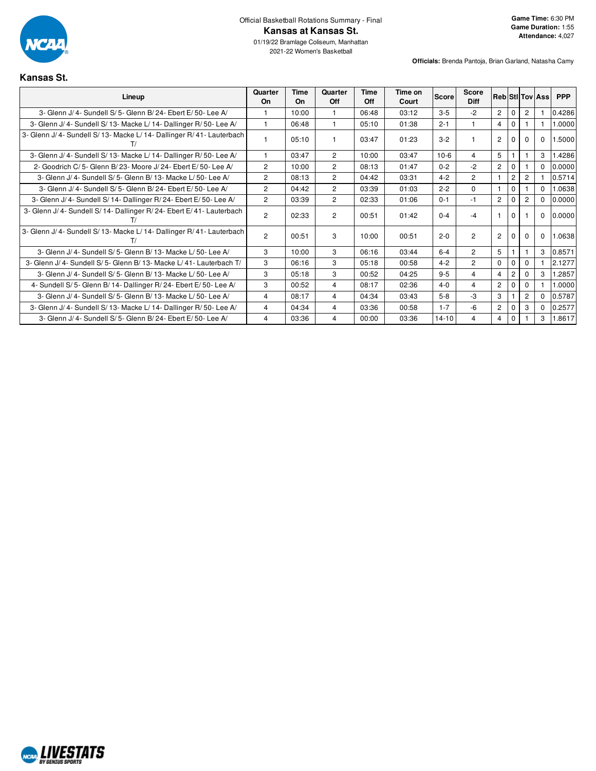

**Officials:** Brenda Pantoja, Brian Garland, Natasha Camy

# **Kansas St.**

| Lineup                                                                 | Quarter<br>On  | <b>Time</b><br>On | Quarter<br><b>Off</b> | Time<br>Off | Time on<br>Court | <b>Score</b> | <b>Score</b><br><b>Diff</b> |                |                |                | <b>Reb StilTov Ass</b> | <b>PPP</b> |
|------------------------------------------------------------------------|----------------|-------------------|-----------------------|-------------|------------------|--------------|-----------------------------|----------------|----------------|----------------|------------------------|------------|
| 3- Glenn J/ 4- Sundell S/ 5- Glenn B/ 24- Ebert E/ 50- Lee A/          |                | 10:00             |                       | 06:48       | 03:12            | $3 - 5$      | $-2$                        | $\overline{2}$ | $\Omega$       | $\overline{2}$ |                        | 0.4286     |
| 3- Glenn J/4- Sundell S/13- Macke L/14- Dallinger R/50- Lee A/         |                | 06:48             | 1                     | 05:10       | 01:38            | $2 - 1$      |                             | $\overline{4}$ | $\mathbf{0}$   |                |                        | 1.0000     |
| 3- Glenn J/4- Sundell S/13- Macke L/14- Dallinger R/41- Lauterbach     |                | 05:10             | 1                     | 03:47       | 01:23            | $3-2$        |                             | $\overline{2}$ |                | $\Omega$       | $\Omega$               | 1.5000     |
| 3- Glenn J/4- Sundell S/13- Macke L/14- Dallinger R/50- Lee A/         |                | 03:47             | $\overline{2}$        | 10:00       | 03:47            | $10-6$       | 4                           | 5 <sup>5</sup> |                |                | 3                      | 1.4286     |
| 2- Goodrich C/5- Glenn B/23- Moore J/24- Ebert E/50- Lee A/            | $\overline{2}$ | 10:00             | $\overline{2}$        | 08:13       | 01:47            | $0 - 2$      | $-2$                        | $\overline{2}$ | $\Omega$       |                | $\Omega$               | 0.0000     |
| 3- Glenn J/ 4- Sundell S/ 5- Glenn B/ 13- Macke L/ 50- Lee A/          | $\overline{c}$ | 08:13             | $\mathbf{2}^{\prime}$ | 04:42       | 03:31            | $4 - 2$      | $\overline{2}$              |                | $\overline{2}$ | 2              |                        | 0.5714     |
| 3- Glenn J/ 4- Sundell S/ 5- Glenn B/ 24- Ebert E/ 50- Lee A/          | $\overline{c}$ | 04:42             | $\overline{2}$        | 03:39       | 01:03            | $2 - 2$      | $\Omega$                    | $\overline{1}$ | $\Omega$       |                | $\Omega$               | 1.0638     |
| 3- Glenn J/ 4- Sundell S/ 14- Dallinger R/ 24- Ebert E/ 50- Lee A/     | $\overline{2}$ | 03:39             | $\overline{2}$        | 02:33       | 01:06            | $0 - 1$      | $-1$                        | $\overline{2}$ | $\Omega$       | $\overline{2}$ | $\Omega$               | 0.0000     |
| 3- Glenn J/ 4- Sundell S/ 14- Dallinger R/ 24- Ebert E/ 41- Lauterbach | $\mathcal{P}$  | 02:33             | $\overline{2}$        | 00:51       | 01:42            | $0 - 4$      | -4                          |                | $\Omega$       |                | $\Omega$               | 0.0000     |
| 3- Glenn J/4- Sundell S/13- Macke L/14- Dallinger R/41- Lauterbach     | $\overline{2}$ | 00:51             | 3                     | 10:00       | 00:51            | $2 - 0$      | $\overline{2}$              | $\overline{2}$ | $\Omega$       | 0              | $\Omega$               | 1.0638     |
| 3- Glenn J/ 4- Sundell S/ 5- Glenn B/ 13- Macke L/ 50- Lee A/          | 3              | 10:00             | 3                     | 06:16       | 03:44            | $6 - 4$      | $\overline{2}$              | 5              |                |                | 3                      | 0.8571     |
| 3- Glenn J/ 4- Sundell S/ 5- Glenn B/ 13- Macke L/ 41- Lauterbach T/   | 3              | 06:16             | 3                     | 05:18       | 00:58            | $4 - 2$      | $\overline{2}$              | $\Omega$       | $\mathbf 0$    | $\Omega$       |                        | 2.1277     |
| 3- Glenn J/ 4- Sundell S/ 5- Glenn B/ 13- Macke L/ 50- Lee A/          | 3              | 05:18             | 3                     | 00:52       | 04:25            | $9 - 5$      | $\overline{4}$              | $\overline{4}$ | $\overline{2}$ |                | 3                      | .2857      |
| 4- Sundell S/5- Glenn B/14- Dallinger R/24- Ebert E/50- Lee A/         | 3              | 00:52             | 4                     | 08:17       | 02:36            | $4 - 0$      | 4                           | $\overline{2}$ | 0              | 0              |                        | 0000.1     |
| 3- Glenn J/ 4- Sundell S/ 5- Glenn B/ 13- Macke L/ 50- Lee A/          | 4              | 08:17             | 4                     | 04:34       | 03:43            | $5-8$        | $-3$                        | 3              |                | 2              | $\Omega$               | 0.5787     |
| 3- Glenn J/ 4- Sundell S/ 13- Macke L/ 14- Dallinger R/ 50- Lee A/     | $\overline{4}$ | 04:34             | 4                     | 03:36       | 00:58            | $1 - 7$      | -6                          | $\overline{2}$ | $\Omega$       | 3              | $\Omega$               | 0.2577     |
| 3- Glenn J/ 4- Sundell S/ 5- Glenn B/ 24- Ebert E/ 50- Lee A/          | 4              | 03:36             | 4                     | 00:00       | 03:36            | $14 - 10$    | 4                           | $\overline{4}$ | $\mathbf{0}$   |                | 3                      | 1.8617     |

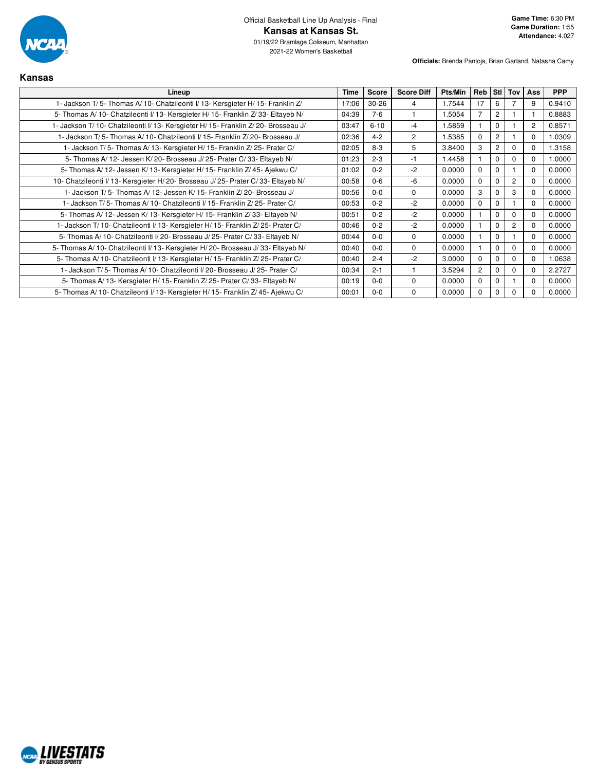

2021-22 Women's Basketball

| <b>Kansas</b>                                                                      |       |              |                   |         |                |                |                |                |            |
|------------------------------------------------------------------------------------|-------|--------------|-------------------|---------|----------------|----------------|----------------|----------------|------------|
| Lineup                                                                             |       | <b>Score</b> | <b>Score Diff</b> | Pts/Min | Reb            | Stl            | Tov            | Ass            | <b>PPP</b> |
| 1- Jackson T/5- Thomas A/10- Chatzileonti I/13- Kersgieter H/15- Franklin Z/       | 17:06 | $30 - 26$    | 4                 | 1.7544  | 17             | 6              | 7              | 9              | 0.9410     |
| 5- Thomas A/10- Chatzileonti I/13- Kersgieter H/15- Franklin Z/33- Eltayeb N/      | 04:39 | $7-6$        |                   | 1.5054  | $\overline{7}$ | $\overline{2}$ |                |                | 0.8883     |
| 1- Jackson T/10- Chatzileonti I/13- Kersgieter H/15- Franklin Z/20- Brosseau J/    | 03:47 | $6 - 10$     | $-4$              | 1.5859  |                | 0              |                | $\overline{2}$ | 0.8571     |
| 1- Jackson T/5- Thomas A/10- Chatzileonti I/15- Franklin Z/20- Brosseau J/         | 02:36 | $4 - 2$      | $\overline{c}$    | 1.5385  | $\Omega$       | 2              |                | $\Omega$       | 1.0309     |
| 1- Jackson T/5- Thomas A/13- Kersgieter H/15- Franklin Z/25- Prater C/             | 02:05 | $8 - 3$      | 5                 | 3.8400  | 3              | 2              | $\Omega$       | $\Omega$       | 1.3158     |
| 5- Thomas A/12- Jessen K/20- Brosseau J/25- Prater C/33- Eltayeb N/                | 01:23 | $2 - 3$      | $-1$              | 1.4458  |                | 0              | $\mathbf 0$    | 0              | 1.0000     |
| 5- Thomas A/ 12- Jessen K/ 13- Kersgieter H/ 15- Franklin Z/ 45- Ajekwu C/         | 01:02 | $0 - 2$      | $-2$              | 0.0000  | $\Omega$       | 0              |                | $\Omega$       | 0.0000     |
| 10- Chatzileonti I/ 13- Kersgieter H/ 20- Brosseau J/ 25- Prater C/ 33- Eltayeb N/ | 00:58 | $0 - 6$      | $-6$              | 0.0000  | $\Omega$       | 0              | $\overline{2}$ | 0              | 0.0000     |
| 1- Jackson T/5- Thomas A/12- Jessen K/15- Franklin Z/20- Brosseau J/               | 00:56 | $0 - 0$      | $\mathbf 0$       | 0.0000  | 3              | O.             | 3              | 0              | 0.0000     |
| 1- Jackson T/5- Thomas A/10- Chatzileonti I/15- Franklin Z/25- Prater C/           | 00:53 | $0 - 2$      | $-2$              | 0.0000  | $\Omega$       | 0              |                | $\Omega$       | 0.0000     |
| 5- Thomas A/ 12- Jessen K/ 13- Kersgieter H/ 15- Franklin Z/ 33- Eltayeb N/        | 00:51 | $0 - 2$      | $-2$              | 0.0000  |                | 0              | $\Omega$       | <sup>0</sup>   | 0.0000     |
| 1- Jackson T/10- Chatzileonti I/13- Kersgieter H/15- Franklin Z/25- Prater C/      | 00:46 | $0 - 2$      | $-2$              | 0.0000  |                | 0              | $\overline{c}$ | <sup>0</sup>   | 0.0000     |
| 5- Thomas A/10- Chatzileonti I/20- Brosseau J/25- Prater C/33- Eltayeb N/          | 00:44 | $0 - 0$      | $\Omega$          | 0.0000  |                | 0              |                | $\Omega$       | 0.0000     |
| 5- Thomas A/ 10- Chatzileonti I/ 13- Kersgieter H/ 20- Brosseau J/ 33- Eltayeb N/  | 00:40 | $0 - 0$      | $\Omega$          | 0.0000  |                | 0              | $\Omega$       | 0              | 0.0000     |
| 5- Thomas A/10- Chatzileonti I/13- Kersgieter H/15- Franklin Z/25- Prater C/       | 00:40 | $2 - 4$      | $-2$              | 3.0000  | $\Omega$       | O.             | $\Omega$       | <sup>0</sup>   | 1.0638     |
| 1- Jackson T/5- Thomas A/10- Chatzileonti I/20- Brosseau J/25- Prater C/           | 00:34 | $2 - 1$      |                   | 3.5294  | $\overline{c}$ | 0              | $\Omega$       | <sup>0</sup>   | 2.2727     |
| 5- Thomas A/13- Kersgieter H/15- Franklin Z/25- Prater C/33- Eltayeb N/            | 00:19 | $0 - 0$      | $\Omega$          | 0.0000  | $\Omega$       | 0              |                | $\Omega$       | 0.0000     |
| 5- Thomas A/ 10- Chatzileonti I/ 13- Kersgieter H/ 15- Franklin Z/ 45- Ajekwu C/   | 00:01 | $0 - 0$      | $\Omega$          | 0.0000  | $\Omega$       | 0              | $\Omega$       | <sup>0</sup>   | 0.0000     |